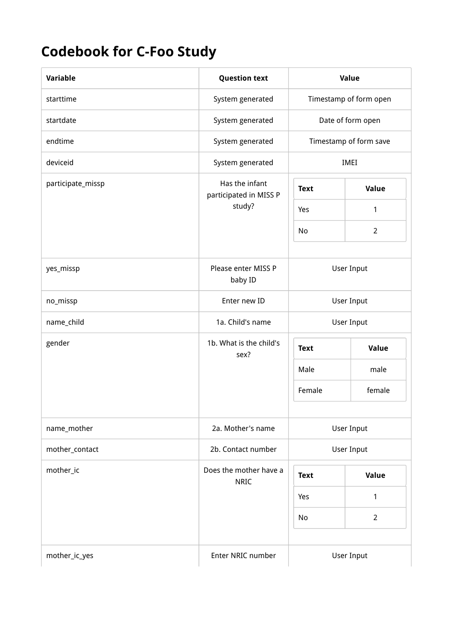## Codebook for C-Foo Study

| <b>Variable</b>   | <b>Question text</b>                     | Value                  |                        |
|-------------------|------------------------------------------|------------------------|------------------------|
| starttime         | System generated                         | Timestamp of form open |                        |
| startdate         | System generated                         | Date of form open      |                        |
| endtime           | System generated                         |                        | Timestamp of form save |
| deviceid          | System generated                         |                        | IMEI                   |
| participate_missp | Has the infant<br>participated in MISS P | <b>Text</b>            | Value                  |
|                   | study?                                   | Yes                    | 1                      |
|                   |                                          | No                     | $\overline{2}$         |
|                   |                                          |                        |                        |
| yes_missp         | Please enter MISS P<br>baby ID           | User Input             |                        |
| no_missp          | Enter new ID                             | <b>User Input</b>      |                        |
| name_child        | 1a. Child's name                         | <b>User Input</b>      |                        |
| gender            | 1b. What is the child's<br>sex?          | Value<br><b>Text</b>   |                        |
|                   |                                          | Male                   | male                   |
|                   |                                          | Female                 | female                 |
| name_mother       | 2a. Mother's name                        | <b>User Input</b>      |                        |
| mother_contact    | 2b. Contact number                       |                        | User Input             |
| mother_ic         | Does the mother have a                   |                        |                        |
|                   | <b>NRIC</b>                              | <b>Text</b>            | Value                  |
|                   |                                          | Yes                    | 1                      |
|                   |                                          | No                     | $\overline{2}$         |
|                   |                                          |                        |                        |
| mother_ic_yes     | Enter NRIC number                        |                        | User Input             |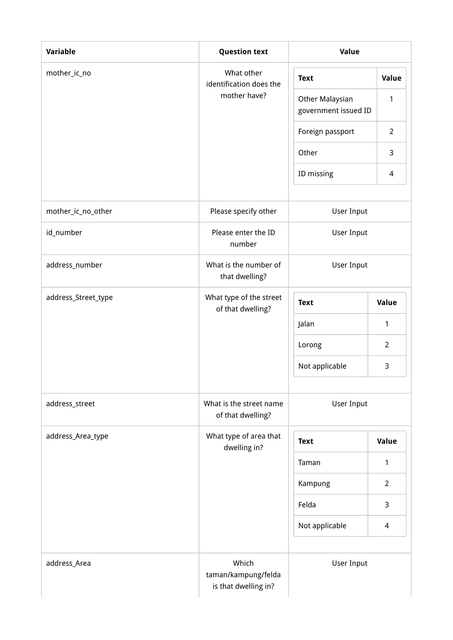| <b>Variable</b>     | <b>Question text</b>                                 | Value                                   |                |
|---------------------|------------------------------------------------------|-----------------------------------------|----------------|
| mother_ic_no        | What other<br>identification does the                | <b>Text</b>                             | Value          |
|                     | mother have?                                         | Other Malaysian<br>government issued ID | 1              |
|                     |                                                      | Foreign passport                        | $\overline{2}$ |
|                     |                                                      | Other                                   | 3              |
|                     |                                                      | ID missing                              | 4              |
| mother_ic_no_other  | Please specify other                                 | <b>User Input</b>                       |                |
| id_number           | Please enter the ID<br>number                        | User Input                              |                |
| address_number      | What is the number of<br>that dwelling?              | <b>User Input</b>                       |                |
| address_Street_type | What type of the street<br>of that dwelling?         | <b>Text</b>                             | Value          |
|                     |                                                      | Jalan                                   | $\mathbf{1}$   |
|                     |                                                      | Lorong                                  | $\overline{2}$ |
|                     |                                                      | Not applicable                          | 3              |
| address_street      | What is the street name<br>of that dwelling?         | User Input                              |                |
| address_Area_type   | What type of area that<br>dwelling in?               | <b>Text</b>                             | Value          |
|                     |                                                      | Taman                                   | 1              |
|                     |                                                      | Kampung                                 | $\overline{2}$ |
|                     |                                                      | Felda                                   | 3              |
|                     |                                                      | Not applicable                          | $\overline{4}$ |
| address_Area        | Which<br>taman/kampung/felda<br>is that dwelling in? | User Input                              |                |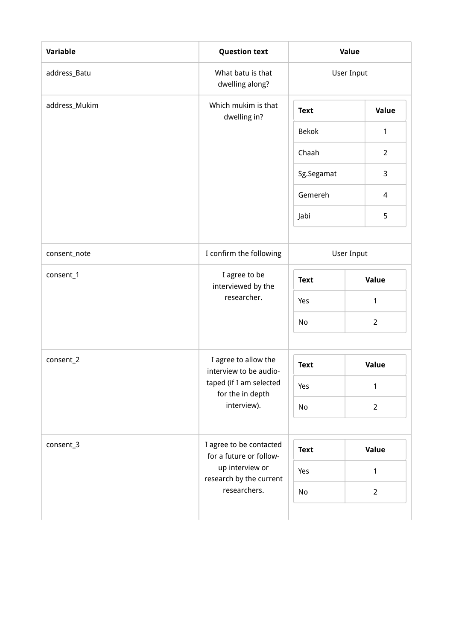| Variable      | <b>Question text</b>                               | Value        |                |
|---------------|----------------------------------------------------|--------------|----------------|
| address_Batu  | What batu is that<br>dwelling along?               | User Input   |                |
| address_Mukim | Which mukim is that<br>dwelling in?                | <b>Text</b>  | Value          |
|               |                                                    | <b>Bekok</b> | 1              |
|               |                                                    | Chaah        | $\overline{2}$ |
|               |                                                    | Sg.Segamat   | 3              |
|               |                                                    | Gemereh      | 4              |
|               |                                                    | Jabi         | 5              |
|               |                                                    |              |                |
| consent_note  | I confirm the following                            | User Input   |                |
| consent_1     | I agree to be<br>interviewed by the<br>researcher. | <b>Text</b>  | Value          |
|               |                                                    | Yes          | 1              |
|               |                                                    | No           | $\overline{2}$ |
|               |                                                    |              |                |
| consent_2     | I agree to allow the<br>interview to be audio-     | <b>Text</b>  | <b>Value</b>   |
|               | taped (if I am selected<br>for the in depth        | Yes          | 1              |
|               | interview).                                        | No           | $\overline{2}$ |
|               |                                                    |              |                |
| consent_3     | I agree to be contacted<br>for a future or follow- | <b>Text</b>  | <b>Value</b>   |
|               | up interview or<br>research by the current         | Yes          | 1              |
|               | researchers.                                       | No           | $\overline{2}$ |
|               |                                                    |              |                |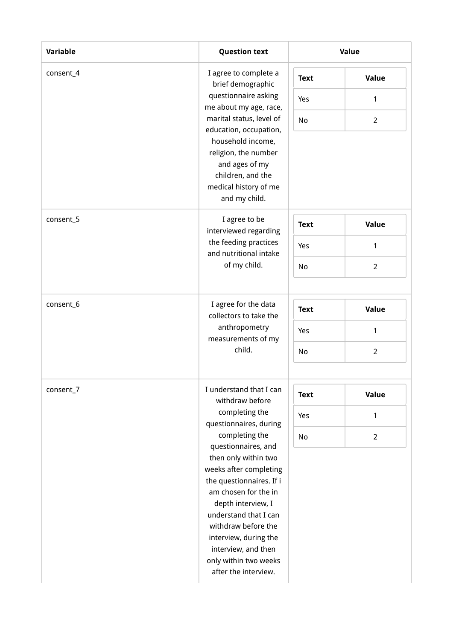| Variable  | <b>Question text</b>                               |             | Value          |
|-----------|----------------------------------------------------|-------------|----------------|
| consent_4 | I agree to complete a<br>brief demographic         | <b>Text</b> | Value          |
|           | questionnaire asking<br>me about my age, race,     | Yes         | 1              |
|           | marital status, level of<br>education, occupation, | No          | $\overline{2}$ |
|           | household income,<br>religion, the number          |             |                |
|           | and ages of my                                     |             |                |
|           | children, and the<br>medical history of me         |             |                |
|           | and my child.                                      |             |                |
| consent_5 | I agree to be<br>interviewed regarding             | <b>Text</b> | <b>Value</b>   |
|           | the feeding practices<br>and nutritional intake    | Yes         | 1              |
|           | of my child.                                       | No          | $\overline{2}$ |
|           |                                                    |             |                |
| consent_6 | I agree for the data<br>collectors to take the     | <b>Text</b> | <b>Value</b>   |
|           | anthropometry<br>measurements of my                | Yes         | $\mathbf{1}$   |
|           | child.                                             | No          | $\overline{2}$ |
| consent_7 | I understand that I can                            |             |                |
|           | withdraw before                                    | <b>Text</b> | Value          |
|           | completing the<br>questionnaires, during           | Yes         | $\mathbf{1}$   |
|           | completing the<br>questionnaires, and              | No          | $\overline{2}$ |
|           | then only within two<br>weeks after completing     |             |                |
|           | the questionnaires. If i                           |             |                |
|           | am chosen for the in                               |             |                |
|           | depth interview, I<br>understand that I can        |             |                |
|           | withdraw before the                                |             |                |
|           | interview, during the                              |             |                |
|           | interview, and then                                |             |                |
|           | only within two weeks                              |             |                |
|           | after the interview.                               |             |                |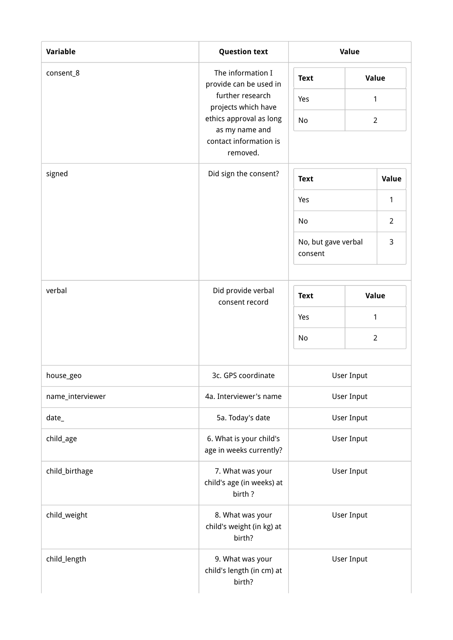| Variable         | <b>Question text</b>                                    | Value                          |                   |                |  |
|------------------|---------------------------------------------------------|--------------------------------|-------------------|----------------|--|
| consent_8        | The information I<br>provide can be used in             | Value<br><b>Text</b>           |                   |                |  |
|                  | further research<br>projects which have                 | Yes                            | 1                 |                |  |
|                  | ethics approval as long<br>as my name and               | No                             | $\overline{2}$    |                |  |
|                  | contact information is<br>removed.                      |                                |                   |                |  |
| signed           | Did sign the consent?                                   | <b>Text</b><br>1<br>Yes        |                   | <b>Value</b>   |  |
|                  |                                                         |                                |                   |                |  |
|                  |                                                         | No                             |                   | $\overline{2}$ |  |
|                  |                                                         | No, but gave verbal<br>consent |                   | 3              |  |
| verbal           | Did provide verbal                                      | Value<br><b>Text</b>           |                   |                |  |
|                  | consent record                                          | Yes<br>1                       |                   |                |  |
|                  |                                                         | No                             |                   | $\overline{2}$ |  |
|                  |                                                         |                                |                   |                |  |
| house_geo        | 3c. GPS coordinate                                      |                                | <b>User Input</b> |                |  |
| name_interviewer | 4a. Interviewer's name                                  |                                | User Input        |                |  |
| $date_$          | 5a. Today's date                                        |                                | User Input        |                |  |
| child_age        | 6. What is your child's<br>age in weeks currently?      |                                | User Input        |                |  |
| child_birthage   | 7. What was your<br>child's age (in weeks) at<br>birth? | User Input                     |                   |                |  |
| child_weight     | 8. What was your<br>child's weight (in kg) at<br>birth? |                                | User Input        |                |  |
| child_length     | 9. What was your<br>child's length (in cm) at<br>birth? |                                | User Input        |                |  |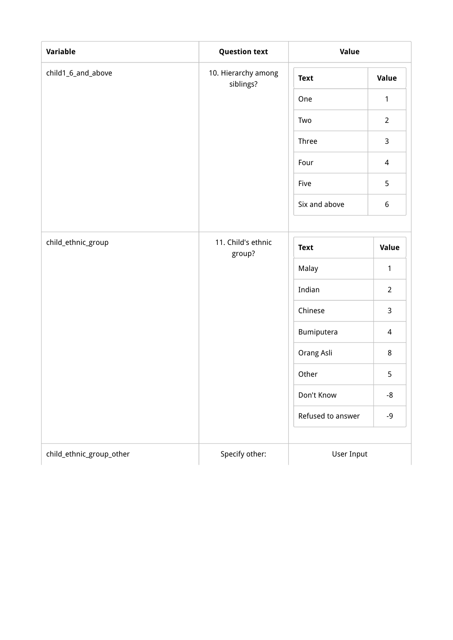| Variable                 | <b>Question text</b>             | Value             |                |
|--------------------------|----------------------------------|-------------------|----------------|
| child1_6_and_above       | 10. Hierarchy among<br>siblings? | <b>Text</b>       | Value          |
|                          |                                  | One               | $\mathbf{1}$   |
|                          |                                  | Two               | $\overline{2}$ |
|                          |                                  | Three             | 3              |
|                          |                                  | Four              | 4              |
|                          |                                  | Five              | 5              |
|                          |                                  | Six and above     | 6              |
| child_ethnic_group       | 11. Child's ethnic               | <b>Text</b>       | Value          |
|                          | group?                           | Malay             | $\mathbf{1}$   |
|                          |                                  | Indian            | $\overline{2}$ |
|                          |                                  | Chinese           | 3              |
|                          |                                  | Bumiputera        | 4              |
|                          |                                  | Orang Asli        | 8              |
|                          |                                  | Other             | 5              |
|                          |                                  | Don't Know        | $-8$           |
|                          |                                  | Refused to answer | $-9$           |
| child_ethnic_group_other | Specify other:                   | User Input        |                |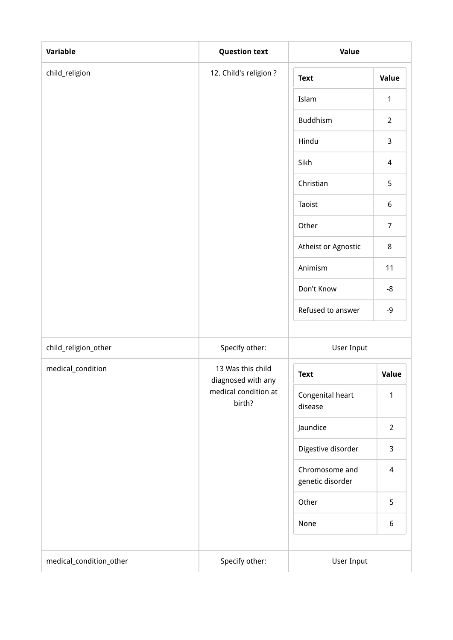| Variable             | <b>Question text</b>                    | Value                       |                  |
|----------------------|-----------------------------------------|-----------------------------|------------------|
| child_religion       | 12. Child's religion?                   | <b>Text</b>                 | <b>Value</b>     |
|                      |                                         | Islam                       | $\mathbf{1}$     |
|                      |                                         | Buddhism                    | $\overline{2}$   |
|                      |                                         | Hindu                       | $\mathsf{3}$     |
|                      |                                         | Sikh                        | $\overline{4}$   |
|                      |                                         | Christian                   | 5                |
|                      |                                         | Taoist                      | $\boldsymbol{6}$ |
|                      |                                         | Other                       | $\overline{7}$   |
|                      |                                         | Atheist or Agnostic         | 8                |
|                      |                                         | Animism                     | 11               |
|                      |                                         | Don't Know                  | $-8$             |
|                      |                                         | Refused to answer           | $-9$             |
| child_religion_other | Specify other:                          | User Input                  |                  |
| medical_condition    | 13 Was this child<br>diagnosed with any | <b>Text</b>                 | Value            |
|                      | medical condition at<br>birth?          | Congenital heart<br>disease | 1                |
|                      |                                         | Jaundice                    | $\overline{2}$   |
|                      |                                         | Digestive disorder          | $\mathsf{3}$     |
|                      | Chromosome and<br>genetic disorder      | $\overline{4}$              |                  |
|                      |                                         | Other                       | 5                |
|                      |                                         | None                        | $6\,$            |
|                      |                                         |                             |                  |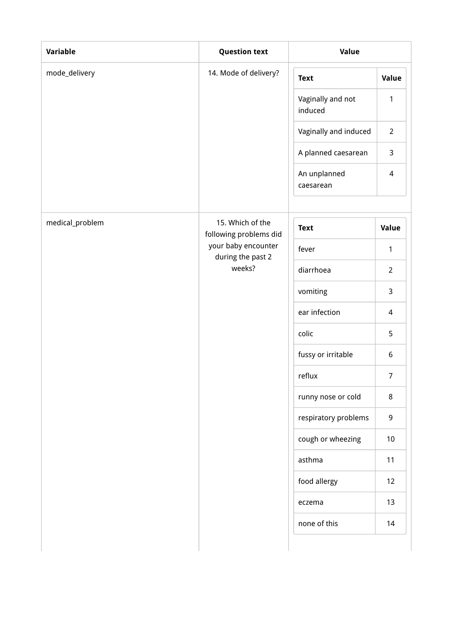| <b>Variable</b> | <b>Question text</b>                               | Value                        |                |
|-----------------|----------------------------------------------------|------------------------------|----------------|
| mode_delivery   | 14. Mode of delivery?                              | <b>Text</b>                  | Value          |
|                 |                                                    | Vaginally and not<br>induced | 1              |
|                 |                                                    | Vaginally and induced        | $\overline{2}$ |
|                 |                                                    | A planned caesarean          | 3              |
|                 |                                                    | An unplanned<br>caesarean    | $\overline{4}$ |
|                 |                                                    |                              |                |
| medical_problem | 15. Which of the<br>following problems did         | <b>Text</b>                  | Value          |
|                 | your baby encounter<br>during the past 2<br>weeks? | fever                        | $\mathbf{1}$   |
|                 |                                                    | diarrhoea                    | $\overline{2}$ |
|                 |                                                    | vomiting                     | 3              |
|                 |                                                    | ear infection                | $\overline{4}$ |
|                 |                                                    | colic                        | 5              |
|                 |                                                    | fussy or irritable           | 6              |
|                 |                                                    | reflux                       | $\overline{7}$ |
|                 |                                                    | runny nose or cold           | $\bf 8$        |
|                 |                                                    | respiratory problems         | 9              |
|                 |                                                    | cough or wheezing            | $10\,$         |
|                 |                                                    | asthma                       | 11             |
|                 |                                                    | food allergy                 | 12             |
|                 |                                                    | eczema                       | 13             |
|                 |                                                    | none of this                 | 14             |
|                 |                                                    |                              |                |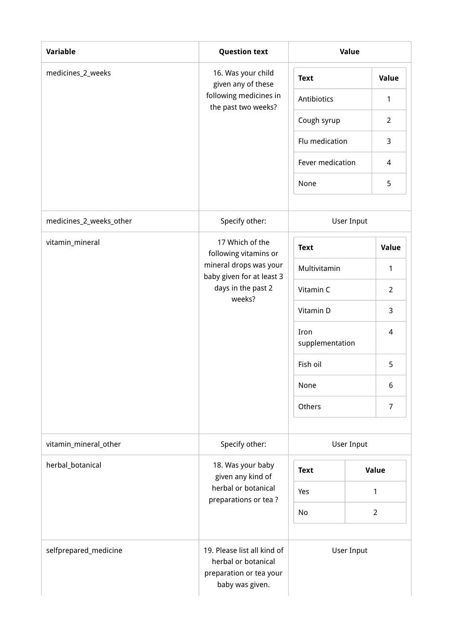| Variable                | <b>Question text</b>                                                                             |                         | Value      |                |
|-------------------------|--------------------------------------------------------------------------------------------------|-------------------------|------------|----------------|
| medicines_2_weeks       | 16. Was your child<br>given any of these                                                         | <b>Text</b>             |            | Value          |
|                         | following medicines in<br>the past two weeks?                                                    | Antibiotics             |            | 1              |
|                         |                                                                                                  | Cough syrup             |            | $\overline{2}$ |
|                         |                                                                                                  | Flu medication          |            | 3              |
|                         |                                                                                                  | Fever medication        |            | $\overline{4}$ |
|                         |                                                                                                  | None                    |            | 5              |
| medicines_2_weeks_other | Specify other:                                                                                   |                         | User Input |                |
| vitamin_mineral         | 17 Which of the<br>following vitamins or                                                         | <b>Text</b>             |            | Value          |
|                         | mineral drops was your<br>baby given for at least 3<br>days in the past 2<br>weeks?              | Multivitamin            |            | 1              |
|                         |                                                                                                  | Vitamin C               |            | $\overline{2}$ |
|                         |                                                                                                  | Vitamin D               |            | 3              |
|                         |                                                                                                  | Iron<br>supplementation |            | 4              |
|                         |                                                                                                  | Fish oil                |            | 5              |
|                         |                                                                                                  | None                    |            | 6              |
|                         |                                                                                                  | Others                  |            | 7              |
| vitamin_mineral_other   | Specify other:                                                                                   |                         | User Input |                |
| herbal_botanical        | 18. Was your baby<br>given any kind of                                                           | <b>Text</b>             |            | Value          |
|                         | herbal or botanical<br>preparations or tea?                                                      | Yes                     |            | 1              |
|                         |                                                                                                  | No                      |            | $\overline{2}$ |
| selfprepared_medicine   | 19. Please list all kind of<br>herbal or botanical<br>preparation or tea your<br>baby was given. |                         | User Input |                |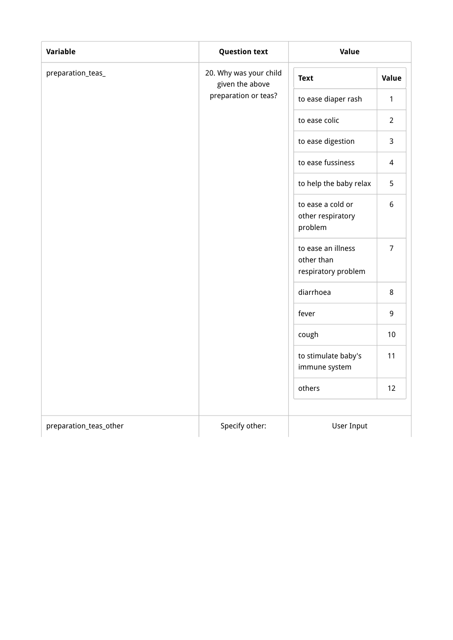| Variable               | <b>Question text</b>                      | Value                                                   |                |
|------------------------|-------------------------------------------|---------------------------------------------------------|----------------|
| preparation_teas_      | 20. Why was your child<br>given the above | <b>Text</b>                                             | Value          |
|                        | preparation or teas?                      | to ease diaper rash                                     | $\mathbf{1}$   |
|                        |                                           | to ease colic                                           | $\overline{2}$ |
|                        |                                           | to ease digestion                                       | 3              |
|                        |                                           | to ease fussiness                                       | $\overline{4}$ |
|                        |                                           | to help the baby relax                                  | 5              |
|                        |                                           | to ease a cold or<br>other respiratory<br>problem       | 6              |
|                        |                                           | to ease an illness<br>other than<br>respiratory problem | $\overline{7}$ |
|                        |                                           | diarrhoea                                               | 8              |
|                        |                                           | fever                                                   | 9              |
|                        |                                           | cough                                                   | 10             |
|                        |                                           | to stimulate baby's<br>immune system                    | 11             |
|                        |                                           | others                                                  | 12             |
|                        |                                           |                                                         |                |
| preparation_teas_other | Specify other:                            | <b>User Input</b>                                       |                |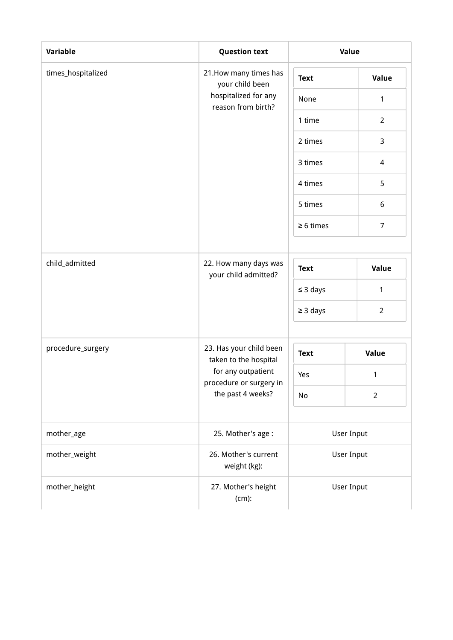| Variable           | <b>Question text</b>                             |                | Value          |
|--------------------|--------------------------------------------------|----------------|----------------|
| times_hospitalized | 21. How many times has<br>your child been        | <b>Text</b>    | Value          |
|                    | hospitalized for any<br>reason from birth?       | None           | 1              |
|                    |                                                  | 1 time         | $\overline{2}$ |
|                    |                                                  | 2 times        | 3              |
|                    |                                                  | 3 times        | $\overline{4}$ |
|                    |                                                  | 4 times        | 5              |
|                    |                                                  | 5 times        | $6\,$          |
|                    |                                                  | $\geq 6$ times | $\overline{7}$ |
| child_admitted     | 22. How many days was<br>your child admitted?    | <b>Text</b>    | Value          |
|                    |                                                  | $\leq$ 3 days  | $\mathbf{1}$   |
|                    |                                                  | $\geq$ 3 days  | $\overline{2}$ |
| procedure_surgery  | 23. Has your child been<br>taken to the hospital | <b>Text</b>    | Value          |
|                    | for any outpatient                               | Yes            | 1              |
|                    | procedure or surgery in<br>the past 4 weeks?     | No             | $\overline{2}$ |
| mother_age         | 25. Mother's age:                                |                | User Input     |
| mother_weight      | 26. Mother's current<br>weight (kg):             |                | User Input     |
| mother_height      | 27. Mother's height<br>$(cm)$ :                  |                | User Input     |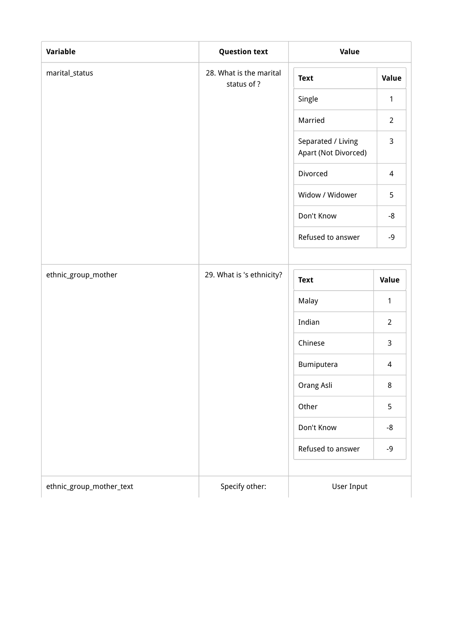| Variable            | <b>Question text</b>                  | Value                                      |                |
|---------------------|---------------------------------------|--------------------------------------------|----------------|
| marital_status      | 28. What is the marital<br>status of? | <b>Text</b>                                | Value          |
|                     |                                       | Single                                     | $\mathbf{1}$   |
|                     |                                       | Married                                    | $\overline{2}$ |
|                     |                                       | Separated / Living<br>Apart (Not Divorced) | 3              |
|                     |                                       | Divorced                                   | $\overline{4}$ |
|                     |                                       | Widow / Widower                            | 5              |
|                     |                                       | Don't Know                                 | -8             |
|                     |                                       | Refused to answer                          | $-9$           |
|                     |                                       |                                            |                |
| ethnic_group_mother | 29. What is 's ethnicity?             | <b>Text</b>                                | Value          |
|                     |                                       | Malay                                      | 1              |
|                     |                                       | Indian                                     | $\overline{2}$ |
|                     |                                       | Chinese                                    | 3              |
|                     |                                       | Bumiputera                                 | 4              |
|                     |                                       | Orang Asli                                 | 8              |
|                     |                                       | Other                                      | 5              |
|                     |                                       | Don't Know                                 | -8             |
|                     |                                       | Refused to answer                          | $-9$           |
|                     |                                       |                                            |                |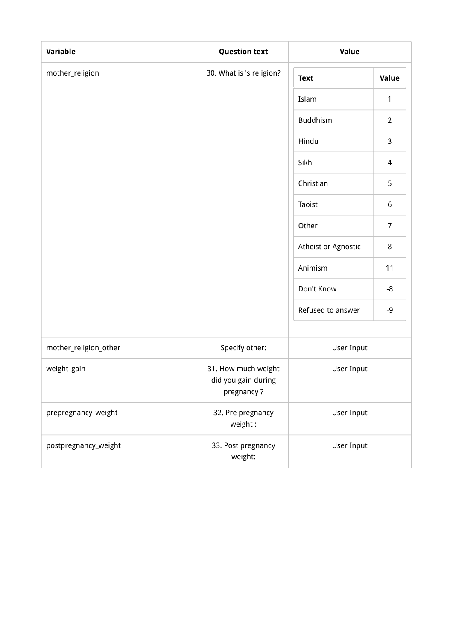| Variable              | <b>Question text</b>                                     | Value               |                |
|-----------------------|----------------------------------------------------------|---------------------|----------------|
| mother_religion       | 30. What is 's religion?                                 | <b>Text</b>         | Value          |
|                       |                                                          | Islam               | 1              |
|                       |                                                          | Buddhism            | $\overline{2}$ |
|                       |                                                          | Hindu               | $\mathsf{3}$   |
|                       |                                                          | Sikh                | $\overline{4}$ |
|                       |                                                          | Christian           | 5              |
|                       |                                                          | Taoist              | $6\,$          |
|                       |                                                          | Other               | $\overline{7}$ |
|                       |                                                          | Atheist or Agnostic | 8              |
|                       |                                                          | Animism             | 11             |
|                       |                                                          | Don't Know          | -8             |
|                       |                                                          | Refused to answer   | $-9$           |
| mother_religion_other | Specify other:                                           | User Input          |                |
| weight_gain           | 31. How much weight<br>did you gain during<br>pregnancy? | User Input          |                |
| prepregnancy_weight   | 32. Pre pregnancy<br>weight:                             | User Input          |                |
| postpregnancy_weight  | 33. Post pregnancy<br>weight:                            | User Input          |                |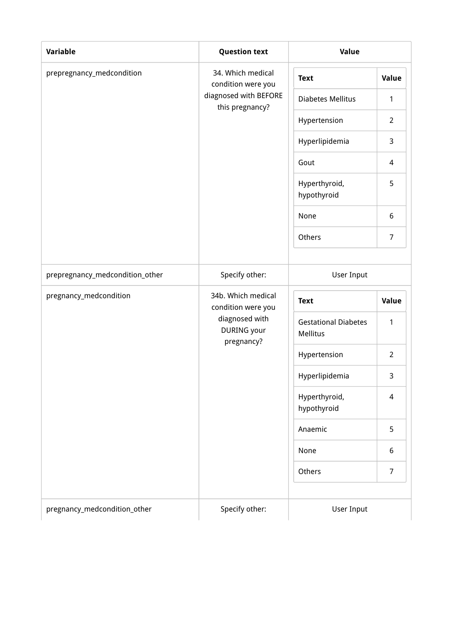| Variable                        | <b>Question text</b>                                              | Value                                          |                |  |
|---------------------------------|-------------------------------------------------------------------|------------------------------------------------|----------------|--|
| prepregnancy_medcondition       | 34. Which medical<br>condition were you                           | <b>Text</b>                                    | Value          |  |
|                                 | diagnosed with BEFORE                                             | <b>Diabetes Mellitus</b>                       | 1              |  |
|                                 | this pregnancy?                                                   | Hypertension                                   | $\overline{2}$ |  |
|                                 |                                                                   | Hyperlipidemia                                 | 3              |  |
|                                 |                                                                   | Gout                                           | $\overline{4}$ |  |
|                                 | Hyperthyroid,<br>hypothyroid                                      | 5                                              |                |  |
|                                 |                                                                   | None                                           | 6              |  |
|                                 |                                                                   | Others                                         | $\overline{7}$ |  |
| prepregnancy_medcondition_other | Specify other:                                                    | <b>User Input</b>                              |                |  |
| pregnancy_medcondition          | 34b. Which medical                                                |                                                |                |  |
|                                 | condition were you<br>diagnosed with<br>DURING your<br>pregnancy? | <b>Text</b>                                    | Value          |  |
|                                 |                                                                   | <b>Gestational Diabetes</b><br><b>Mellitus</b> | 1              |  |
|                                 |                                                                   | Hypertension                                   | $\overline{2}$ |  |
|                                 |                                                                   | Hyperlipidemia                                 | 3              |  |
|                                 |                                                                   | Hyperthyroid,<br>hypothyroid                   | $\overline{4}$ |  |
|                                 |                                                                   | Anaemic                                        | 5              |  |
|                                 |                                                                   | None                                           | 6              |  |
|                                 |                                                                   | Others                                         | 7              |  |
| pregnancy_medcondition_other    | Specify other:                                                    | User Input                                     |                |  |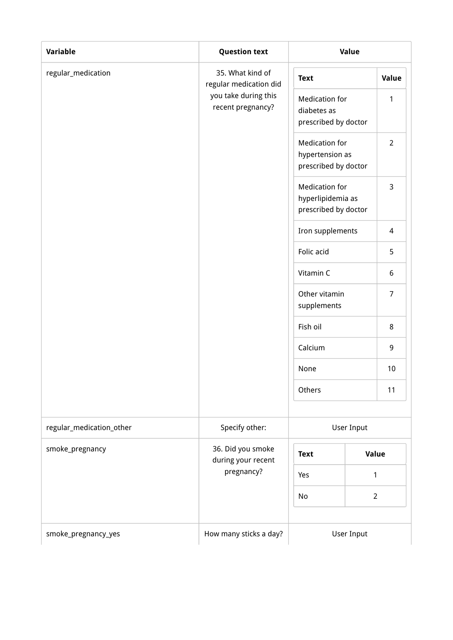| Variable                 | <b>Question text</b>                       | Value                                                              |                |
|--------------------------|--------------------------------------------|--------------------------------------------------------------------|----------------|
| regular_medication       | 35. What kind of<br>regular medication did |                                                                    | Value          |
|                          | you take during this<br>recent pregnancy?  | <b>Medication for</b><br>diabetes as<br>prescribed by doctor       | 1              |
|                          |                                            | <b>Medication for</b><br>hypertension as<br>prescribed by doctor   | $\overline{2}$ |
|                          |                                            | <b>Medication for</b><br>hyperlipidemia as<br>prescribed by doctor | 3              |
|                          |                                            | Iron supplements                                                   | $\overline{4}$ |
|                          |                                            | Folic acid                                                         | 5              |
|                          |                                            | Vitamin C                                                          | 6              |
|                          |                                            | Other vitamin<br>supplements                                       | $\overline{7}$ |
|                          |                                            | Fish oil                                                           | 8              |
|                          |                                            | Calcium                                                            | 9              |
|                          |                                            | None                                                               | 10             |
|                          |                                            | Others                                                             | 11             |
| regular_medication_other | Specify other:                             | User Input                                                         |                |
| smoke_pregnancy          | 36. Did you smoke<br>during your recent    | <b>Text</b>                                                        | Value          |
|                          | pregnancy?                                 | Yes                                                                | 1              |
|                          |                                            | No                                                                 | $\overline{2}$ |
| smoke_pregnancy_yes      | How many sticks a day?                     |                                                                    | User Input     |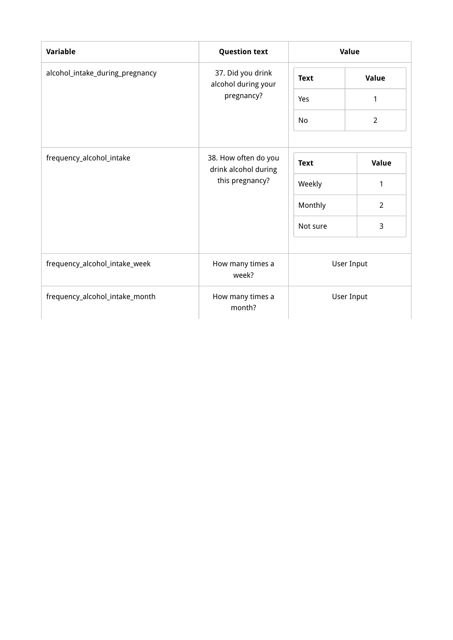| <b>Variable</b>                 | <b>Question text</b>                         | Value                    |                |
|---------------------------------|----------------------------------------------|--------------------------|----------------|
| alcohol_intake_during_pregnancy | 37. Did you drink<br>alcohol during your     | <b>Text</b>              | Value          |
|                                 | pregnancy?                                   | Yes                      |                |
|                                 |                                              | No                       | $\overline{2}$ |
| frequency_alcohol_intake        | 38. How often do you<br>drink alcohol during | <b>Text</b>              | Value          |
|                                 | this pregnancy?                              | Weekly                   | 1              |
|                                 |                                              | Monthly                  | $\overline{2}$ |
|                                 |                                              | Not sure                 | 3              |
| frequency_alcohol_intake_week   | How many times a<br>week?                    | User Input<br>User Input |                |
| frequency_alcohol_intake_month  | How many times a<br>month?                   |                          |                |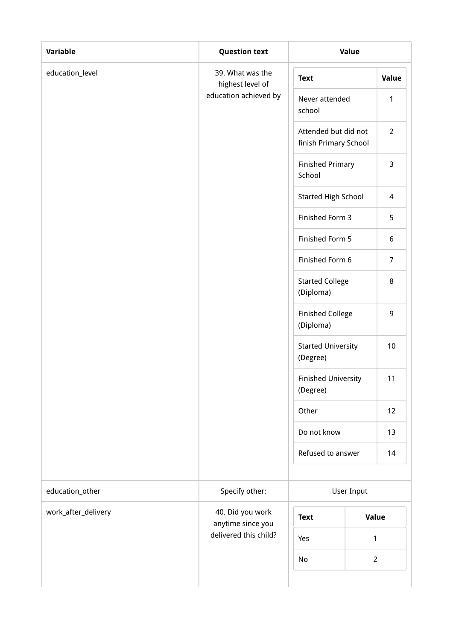| Variable            | <b>Question text</b>                  | Value                                         |                  |
|---------------------|---------------------------------------|-----------------------------------------------|------------------|
| education_level     | 39. What was the<br>highest level of  | <b>Text</b>                                   | Value            |
|                     | education achieved by                 | Never attended<br>school                      | 1                |
|                     |                                       | Attended but did not<br>finish Primary School | $\overline{2}$   |
|                     |                                       | <b>Finished Primary</b><br>School             | $\mathsf{3}$     |
|                     |                                       | <b>Started High School</b>                    | 4                |
|                     |                                       | Finished Form 3                               | 5                |
|                     |                                       | Finished Form 5                               | $\boldsymbol{6}$ |
|                     |                                       | Finished Form 6                               | $\overline{7}$   |
|                     |                                       | <b>Started College</b><br>(Diploma)           | $\,8\,$          |
|                     |                                       | <b>Finished College</b><br>(Diploma)          | $\boldsymbol{9}$ |
|                     |                                       | <b>Started University</b><br>(Degree)         | 10               |
|                     |                                       | <b>Finished University</b><br>(Degree)        | 11               |
|                     |                                       | Other                                         | 12               |
|                     |                                       | Do not know                                   | 13               |
|                     |                                       | Refused to answer                             | 14               |
| education_other     | Specify other:                        | User Input                                    |                  |
| work_after_delivery | 40. Did you work<br>anytime since you | <b>Text</b>                                   | <b>Value</b>     |
|                     | delivered this child?                 | Yes                                           | $\mathbf{1}$     |
|                     |                                       | No                                            | $\overline{2}$   |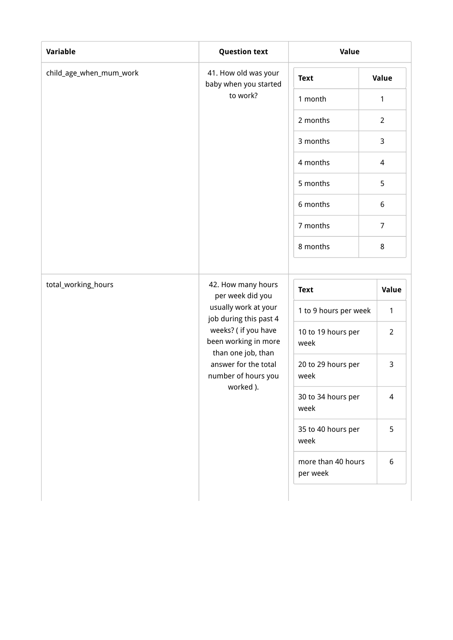| Variable                | <b>Question text</b>                                                                                                                                                                                                      | Value                      |                |  |
|-------------------------|---------------------------------------------------------------------------------------------------------------------------------------------------------------------------------------------------------------------------|----------------------------|----------------|--|
| child_age_when_mum_work | 41. How old was your<br>baby when you started                                                                                                                                                                             | <b>Text</b>                | Value          |  |
|                         | to work?                                                                                                                                                                                                                  | 1 month                    | 1              |  |
|                         |                                                                                                                                                                                                                           | 2 months                   | $\overline{2}$ |  |
|                         |                                                                                                                                                                                                                           | 3 months                   | 3              |  |
|                         |                                                                                                                                                                                                                           | 4 months                   | $\overline{4}$ |  |
|                         |                                                                                                                                                                                                                           | 5 months                   | 5              |  |
|                         |                                                                                                                                                                                                                           | 6 months                   | 6              |  |
|                         |                                                                                                                                                                                                                           | 7 months                   | $\overline{7}$ |  |
|                         |                                                                                                                                                                                                                           | 8 months                   | 8              |  |
|                         |                                                                                                                                                                                                                           |                            |                |  |
| total_working_hours     | 42. How many hours<br>per week did you<br>usually work at your<br>job during this past 4<br>weeks? ( if you have<br>been working in more<br>than one job, than<br>answer for the total<br>number of hours you<br>worked). | <b>Text</b>                | Value          |  |
|                         |                                                                                                                                                                                                                           | 1 to 9 hours per week      | 1              |  |
|                         |                                                                                                                                                                                                                           | 10 to 19 hours per<br>week | $\overline{2}$ |  |
|                         |                                                                                                                                                                                                                           | 20 to 29 hours per<br>week | 3              |  |
|                         |                                                                                                                                                                                                                           | 30 to 34 hours per<br>week | 4              |  |
|                         |                                                                                                                                                                                                                           | 35 to 40 hours per<br>week | 5              |  |
|                         |                                                                                                                                                                                                                           | more than 40 hours         | 6              |  |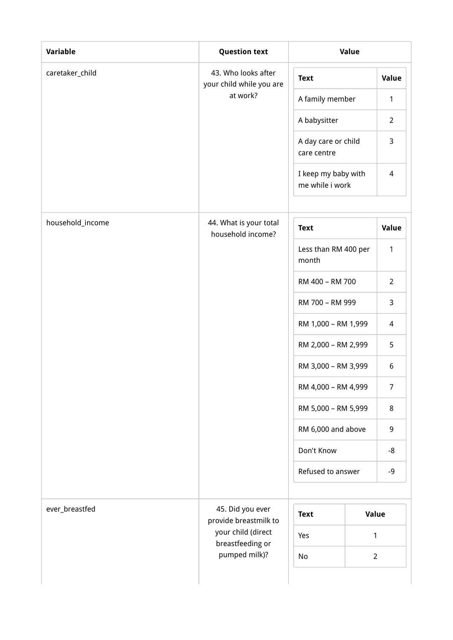| Variable         | <b>Question text</b>                            | Value                                  |                |
|------------------|-------------------------------------------------|----------------------------------------|----------------|
| caretaker_child  | 43. Who looks after<br>your child while you are | <b>Text</b>                            | Value          |
|                  | at work?                                        | A family member                        | $\mathbf{1}$   |
|                  |                                                 | A babysitter                           | $\overline{2}$ |
|                  |                                                 | A day care or child<br>care centre     | 3              |
|                  |                                                 | I keep my baby with<br>me while i work | $\overline{4}$ |
| household_income | 44. What is your total<br>household income?     | <b>Text</b>                            | Value          |
|                  |                                                 | Less than RM 400 per<br>month          | 1              |
|                  |                                                 | RM 400 - RM 700                        | $\overline{2}$ |
|                  |                                                 | RM 700 - RM 999                        | 3              |
|                  |                                                 | RM 1,000 - RM 1,999                    | 4              |
|                  |                                                 | RM 2,000 - RM 2,999                    | 5              |
|                  |                                                 | RM 3,000 - RM 3,999                    | 6              |
|                  |                                                 | RM 4,000 - RM 4,999                    | $\overline{7}$ |
|                  |                                                 | RM 5,000 - RM 5,999                    | 8              |
|                  |                                                 | RM 6,000 and above                     | 9              |
|                  |                                                 | Don't Know                             | -8             |
|                  |                                                 | Refused to answer                      | -9             |
| ever_breastfed   | 45. Did you ever<br>provide breastmilk to       | <b>Text</b>                            | Value          |
|                  | your child (direct<br>breastfeeding or          | Yes                                    | 1              |
|                  | pumped milk)?                                   | No                                     | $\overline{2}$ |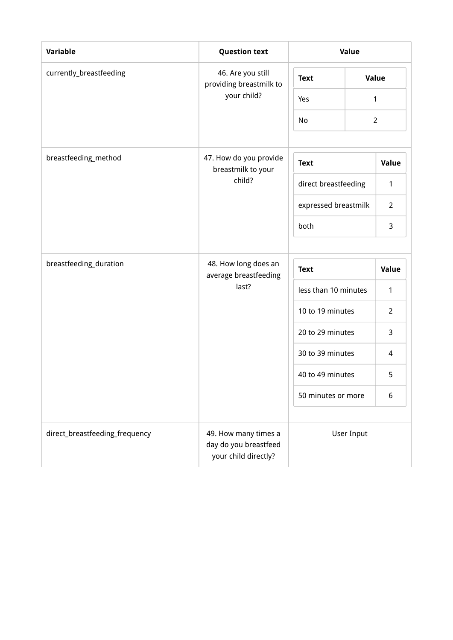| <b>Variable</b>                | <b>Question text</b>                                                  | Value                |  |                |  |
|--------------------------------|-----------------------------------------------------------------------|----------------------|--|----------------|--|
| currently_breastfeeding        | 46. Are you still<br>providing breastmilk to                          | <b>Text</b>          |  | <b>Value</b>   |  |
|                                | your child?                                                           | Yes                  |  | 1              |  |
|                                |                                                                       | No                   |  | $\overline{2}$ |  |
|                                |                                                                       |                      |  |                |  |
| breastfeeding_method           | 47. How do you provide<br>breastmilk to your                          | <b>Text</b>          |  | Value          |  |
|                                | child?                                                                | direct breastfeeding |  | 1              |  |
|                                |                                                                       | expressed breastmilk |  | $\overline{2}$ |  |
|                                |                                                                       | both                 |  | 3              |  |
|                                |                                                                       |                      |  |                |  |
| breastfeeding_duration         | 48. How long does an<br>average breastfeeding<br>last?                | <b>Text</b>          |  | Value          |  |
|                                |                                                                       | less than 10 minutes |  | $\mathbf{1}$   |  |
|                                |                                                                       | 10 to 19 minutes     |  | $\overline{2}$ |  |
|                                |                                                                       | 20 to 29 minutes     |  | 3              |  |
|                                |                                                                       | 30 to 39 minutes     |  | 4              |  |
|                                |                                                                       | 40 to 49 minutes     |  | 5              |  |
|                                |                                                                       | 50 minutes or more   |  | 6              |  |
|                                |                                                                       |                      |  |                |  |
| direct_breastfeeding_frequency | 49. How many times a<br>day do you breastfeed<br>your child directly? | User Input           |  |                |  |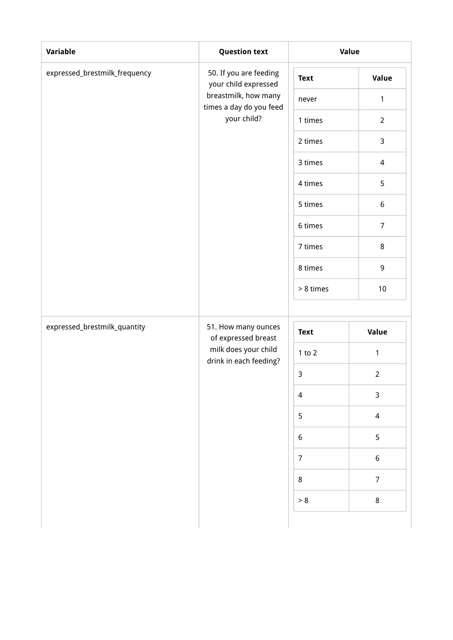| Variable                      | <b>Question text</b>                            |                | Value            |
|-------------------------------|-------------------------------------------------|----------------|------------------|
| expressed_brestmilk_frequency | 50. If you are feeding<br>your child expressed  | <b>Text</b>    | Value            |
|                               | breastmilk, how many<br>times a day do you feed | never          | $\mathbf{1}$     |
|                               | your child?                                     | 1 times        | $\overline{2}$   |
|                               |                                                 | 2 times        | 3                |
|                               |                                                 | 3 times        | $\overline{4}$   |
|                               |                                                 | 4 times        | 5                |
|                               |                                                 | 5 times        | $6\,$            |
|                               |                                                 | 6 times        | $\overline{7}$   |
|                               |                                                 | 7 times        | 8                |
|                               |                                                 | 8 times        | 9                |
|                               |                                                 | > 8 times      | $10\,$           |
|                               |                                                 |                |                  |
| expressed_brestmilk_quantity  | 51. How many ounces<br>of expressed breast      | <b>Text</b>    | Value            |
|                               | milk does your child<br>drink in each feeding?  | $1$ to $2$     | $\mathbf{1}$     |
|                               |                                                 | $\mathsf{3}$   | $\overline{2}$   |
|                               |                                                 | 4              | $\mathsf{3}$     |
|                               |                                                 | 5              | $\overline{4}$   |
|                               |                                                 | $6\,$          | 5                |
|                               |                                                 | $\overline{7}$ | $\boldsymbol{6}$ |
|                               |                                                 | $\bf 8$        | $\boldsymbol{7}$ |
|                               |                                                 | $> 8$          | $\bf 8$          |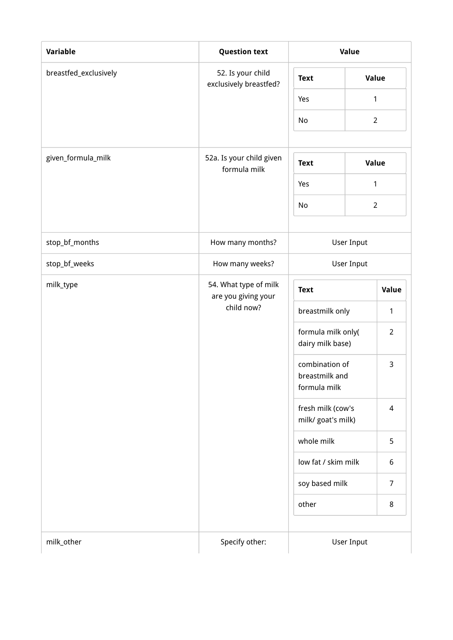| Variable              | <b>Question text</b>                                       | Value                                            |                |  |
|-----------------------|------------------------------------------------------------|--------------------------------------------------|----------------|--|
| breastfed_exclusively | 52. Is your child<br>exclusively breastfed?                | <b>Text</b>                                      | Value          |  |
|                       |                                                            | Yes                                              | 1              |  |
|                       |                                                            | No                                               | $\overline{2}$ |  |
|                       |                                                            |                                                  |                |  |
| given_formula_milk    | 52a. Is your child given<br><b>Text</b><br>formula milk    |                                                  | Value          |  |
|                       |                                                            | Yes                                              | 1              |  |
|                       |                                                            | No                                               | $\overline{2}$ |  |
| stop_bf_months        | How many months?                                           | <b>User Input</b>                                |                |  |
| stop_bf_weeks         | How many weeks?                                            | User Input                                       |                |  |
| milk_type             | 54. What type of milk<br>are you giving your<br>child now? | <b>Text</b>                                      | Value          |  |
|                       |                                                            | breastmilk only                                  | 1              |  |
|                       |                                                            | formula milk only(<br>dairy milk base)           | $\overline{2}$ |  |
|                       |                                                            | combination of<br>breastmilk and<br>formula milk | 3              |  |
|                       |                                                            | fresh milk (cow's<br>milk/ goat's milk)          | $\overline{4}$ |  |
|                       |                                                            | whole milk                                       | 5              |  |
|                       |                                                            | low fat / skim milk                              | 6              |  |
|                       |                                                            | soy based milk                                   | $\overline{7}$ |  |
|                       |                                                            | other                                            | 8              |  |
| milk_other            | Specify other:                                             | User Input                                       |                |  |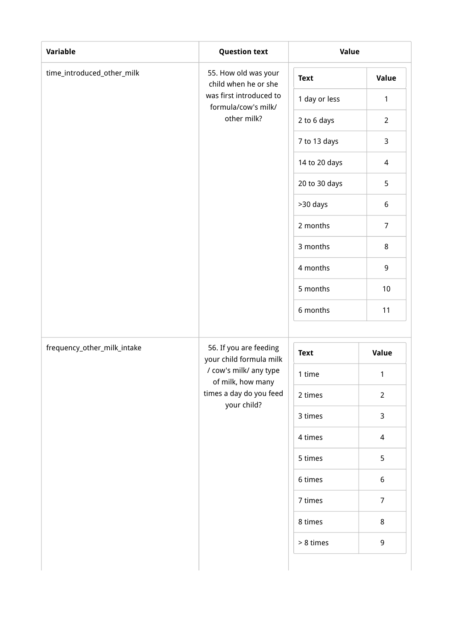| time_introduced_other_milk  | 55. How old was your<br>child when he or she      | <b>Text</b>   | <b>Value</b>   |
|-----------------------------|---------------------------------------------------|---------------|----------------|
|                             | was first introduced to<br>formula/cow's milk/    | 1 day or less | $\mathbf{1}$   |
|                             | other milk?                                       | 2 to 6 days   | $\overline{2}$ |
|                             |                                                   | 7 to 13 days  | 3              |
|                             |                                                   | 14 to 20 days | 4              |
|                             |                                                   | 20 to 30 days | 5              |
|                             |                                                   | >30 days      | 6              |
|                             |                                                   | 2 months      | $\overline{7}$ |
|                             |                                                   | 3 months      | $\,8\,$        |
|                             |                                                   | 4 months      | 9              |
|                             |                                                   | 5 months      | 10             |
|                             |                                                   | 6 months      | 11             |
|                             |                                                   |               |                |
| frequency_other_milk_intake | 56. If you are feeding<br>your child formula milk | <b>Text</b>   | Value          |
|                             | / cow's milk/ any type<br>of milk, how many       | 1 time        | $\mathbf{1}$   |
|                             | times a day do you feed<br>your child?            | 2 times       | $\overline{2}$ |
|                             |                                                   | 3 times       | 3              |
|                             |                                                   | 4 times       | 4              |
|                             |                                                   | 5 times       | 5              |
|                             |                                                   | 6 times       | 6              |
|                             |                                                   | 7 times       | $\overline{7}$ |
|                             |                                                   | 8 times       | 8              |
|                             |                                                   | > 8 times     | 9              |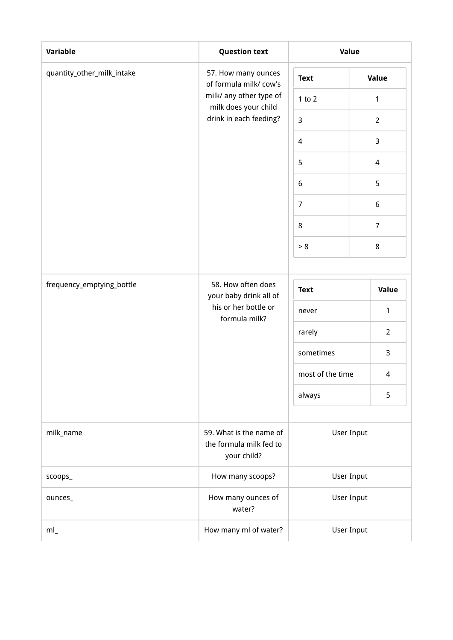| Variable                   | <b>Question text</b>                                                      | Value             |                   |  |
|----------------------------|---------------------------------------------------------------------------|-------------------|-------------------|--|
| quantity_other_milk_intake | 57. How many ounces<br>of formula milk/cow's                              | <b>Text</b>       | Value             |  |
|                            | milk/ any other type of<br>milk does your child<br>drink in each feeding? | $1$ to $2$        | $\mathbf{1}$      |  |
|                            |                                                                           | 3                 | $\overline{2}$    |  |
|                            |                                                                           | $\overline{4}$    | 3                 |  |
|                            |                                                                           | 5                 | 4                 |  |
|                            | 6                                                                         | 5                 |                   |  |
|                            |                                                                           | $\overline{7}$    | $\boldsymbol{6}$  |  |
|                            |                                                                           | $\,8\,$           | $\overline{7}$    |  |
|                            |                                                                           | > 8               | 8                 |  |
|                            |                                                                           |                   |                   |  |
| frequency_emptying_bottle  | 58. How often does<br>your baby drink all of                              | <b>Text</b>       | Value             |  |
|                            | his or her bottle or<br>formula milk?                                     | never             | 1                 |  |
|                            |                                                                           | rarely            | $\overline{2}$    |  |
|                            |                                                                           | sometimes         | 3                 |  |
|                            |                                                                           | most of the time  | 4                 |  |
|                            |                                                                           | always            | 5                 |  |
|                            |                                                                           |                   |                   |  |
| milk_name                  | 59. What is the name of<br>the formula milk fed to<br>your child?         | User Input        |                   |  |
| scoops_                    | How many scoops?                                                          | <b>User Input</b> |                   |  |
| ounces_                    | How many ounces of<br>water?                                              |                   | <b>User Input</b> |  |
| ml                         | How many ml of water?                                                     | <b>User Input</b> |                   |  |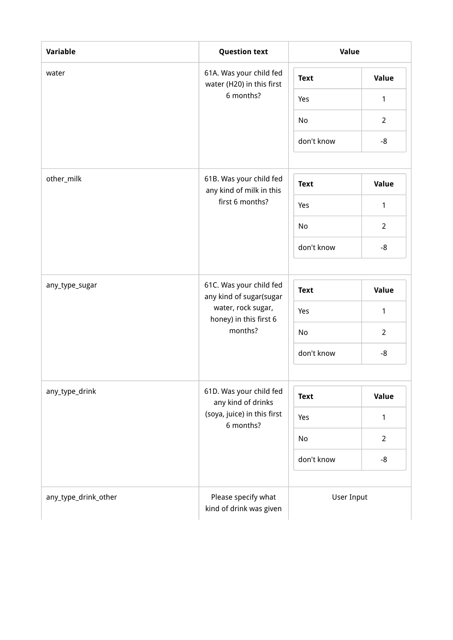| Variable             | <b>Question text</b>                                 | Value       |                |
|----------------------|------------------------------------------------------|-------------|----------------|
| water                | 61A. Was your child fed<br>water (H20) in this first | <b>Text</b> | <b>Value</b>   |
|                      | 6 months?                                            | Yes         | 1              |
|                      |                                                      | No          | $\overline{2}$ |
|                      |                                                      | don't know  | $-8$           |
| other_milk           | 61B. Was your child fed<br>any kind of milk in this  | <b>Text</b> | Value          |
|                      | first 6 months?                                      | Yes         | 1              |
|                      |                                                      | No          | $2^{\circ}$    |
|                      |                                                      | don't know  | $-8$           |
|                      |                                                      |             |                |
| any_type_sugar       | 61C. Was your child fed<br>any kind of sugar(sugar   | <b>Text</b> | Value          |
|                      | water, rock sugar,<br>honey) in this first 6         | Yes         | $\mathbf{1}$   |
|                      | months?                                              | No          | $\overline{2}$ |
|                      |                                                      | don't know  | $-8$           |
| any_type_drink       | 61D. Was your child fed<br>any kind of drinks        | <b>Text</b> | <b>Value</b>   |
|                      | (soya, juice) in this first                          | Yes         | 1              |
|                      | 6 months?                                            | No          | $\overline{2}$ |
|                      |                                                      | don't know  | $-8$           |
| any_type_drink_other | Please specify what<br>kind of drink was given       | User Input  |                |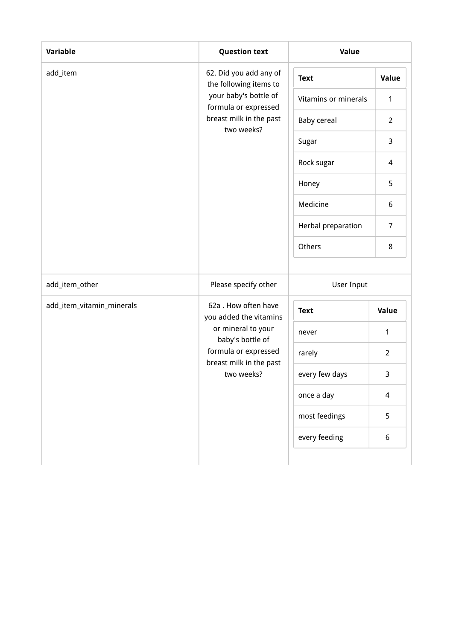| Variable                  | <b>Question text</b>                             | Value                |                |
|---------------------------|--------------------------------------------------|----------------------|----------------|
| add_item                  | 62. Did you add any of<br>the following items to | <b>Text</b>          | Value          |
|                           | your baby's bottle of<br>formula or expressed    | Vitamins or minerals | $\mathbf{1}$   |
|                           | breast milk in the past<br>two weeks?            | <b>Baby cereal</b>   | $\overline{2}$ |
|                           |                                                  | Sugar                | 3              |
|                           |                                                  | Rock sugar           | 4              |
|                           |                                                  | Honey                | 5              |
|                           |                                                  | Medicine             | 6              |
|                           |                                                  | Herbal preparation   | $\overline{7}$ |
|                           |                                                  | Others               | 8              |
| add_item_other            | Please specify other                             | <b>User Input</b>    |                |
| add_item_vitamin_minerals | 62a . How often have<br>you added the vitamins   | <b>Text</b>          | Value          |
|                           | or mineral to your<br>baby's bottle of           | never                | $\mathbf{1}$   |
|                           | formula or expressed<br>breast milk in the past  | rarely               | $\overline{2}$ |
|                           | two weeks?                                       | every few days       | $\mathbf{3}$   |
|                           |                                                  | once a day           | $\overline{4}$ |
|                           |                                                  | most feedings        | 5              |
|                           |                                                  | every feeding        | 6              |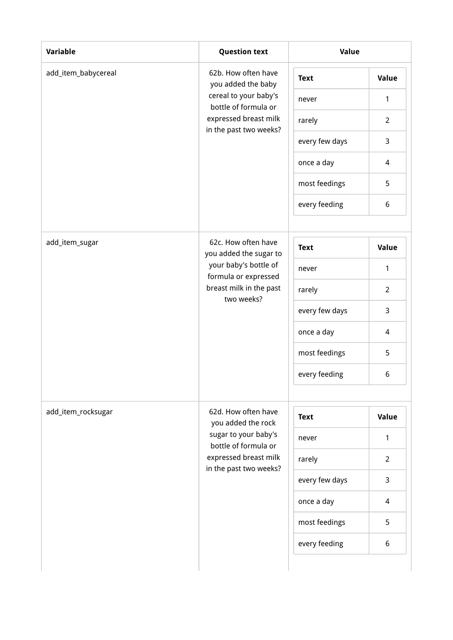| Variable            | <b>Question text</b>                                                                   | Value          |                |
|---------------------|----------------------------------------------------------------------------------------|----------------|----------------|
| add_item_babycereal | 62b. How often have<br>you added the baby                                              | <b>Text</b>    | Value          |
|                     | cereal to your baby's<br>bottle of formula or                                          | never          | 1              |
|                     | expressed breast milk                                                                  | rarely         | $\overline{2}$ |
|                     | in the past two weeks?                                                                 | every few days | 3              |
|                     |                                                                                        | once a day     | 4              |
|                     |                                                                                        | most feedings  | 5              |
|                     |                                                                                        | every feeding  | 6              |
|                     |                                                                                        |                |                |
| add_item_sugar      | 62c. How often have<br>you added the sugar to                                          | <b>Text</b>    | <b>Value</b>   |
|                     | your baby's bottle of<br>formula or expressed<br>breast milk in the past<br>two weeks? | never          | $\mathbf{1}$   |
|                     |                                                                                        | rarely         | $\overline{2}$ |
|                     |                                                                                        | every few days | 3              |
|                     |                                                                                        | once a day     | 4              |
|                     |                                                                                        | most feedings  | 5              |
|                     |                                                                                        | every feeding  | 6              |
|                     |                                                                                        |                |                |
| add_item_rocksugar  | 62d. How often have<br>you added the rock                                              | <b>Text</b>    | Value          |
|                     | sugar to your baby's<br>bottle of formula or                                           | never          | $\mathbf{1}$   |
|                     | expressed breast milk<br>in the past two weeks?                                        | rarely         | $\overline{2}$ |
|                     |                                                                                        | every few days | 3              |
|                     |                                                                                        | once a day     | 4              |
|                     |                                                                                        | most feedings  | 5              |
|                     |                                                                                        | every feeding  | 6              |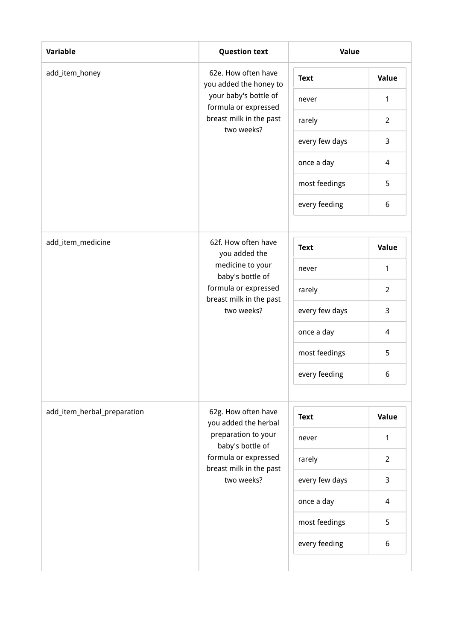| <b>Variable</b>             | <b>Question text</b>                            | Value          |                |  |
|-----------------------------|-------------------------------------------------|----------------|----------------|--|
| add_item_honey              | 62e. How often have<br>you added the honey to   | <b>Text</b>    | Value          |  |
|                             | your baby's bottle of<br>formula or expressed   | never          | 1              |  |
|                             | breast milk in the past<br>two weeks?           | rarely         | $\overline{2}$ |  |
|                             |                                                 | every few days | 3              |  |
|                             |                                                 | once a day     | 4              |  |
|                             |                                                 | most feedings  | 5              |  |
|                             |                                                 | every feeding  | 6              |  |
|                             |                                                 |                |                |  |
| add_item_medicine           | 62f. How often have<br>you added the            | <b>Text</b>    | <b>Value</b>   |  |
|                             | medicine to your<br>baby's bottle of            | never          | $\mathbf{1}$   |  |
|                             | formula or expressed<br>breast milk in the past | rarely         | $\overline{2}$ |  |
|                             | two weeks?                                      | every few days | 3              |  |
|                             |                                                 | once a day     | 4              |  |
|                             |                                                 | most feedings  | 5              |  |
|                             |                                                 | every feeding  | 6              |  |
|                             |                                                 |                |                |  |
| add_item_herbal_preparation | 62g. How often have<br>you added the herbal     | <b>Text</b>    | Value          |  |
|                             | preparation to your<br>baby's bottle of         | never          | $\mathbf{1}$   |  |
|                             | formula or expressed<br>breast milk in the past | rarely         | $\overline{2}$ |  |
|                             | two weeks?                                      | every few days | 3              |  |
|                             |                                                 | once a day     | 4              |  |
|                             |                                                 | most feedings  | 5              |  |
|                             |                                                 | every feeding  | 6              |  |
|                             |                                                 |                |                |  |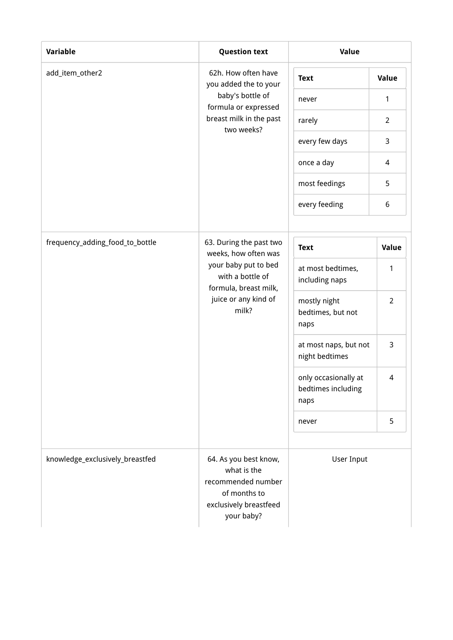| Variable                        | <b>Question text</b>                                                                                               | Value                                              |                |
|---------------------------------|--------------------------------------------------------------------------------------------------------------------|----------------------------------------------------|----------------|
| add_item_other2                 | 62h. How often have<br>you added the to your                                                                       | <b>Text</b>                                        | Value          |
|                                 | baby's bottle of                                                                                                   | never                                              | 1              |
|                                 | formula or expressed<br>breast milk in the past                                                                    | rarely                                             | $\overline{2}$ |
|                                 | two weeks?                                                                                                         | every few days                                     | 3              |
|                                 |                                                                                                                    | once a day                                         | 4              |
|                                 |                                                                                                                    | most feedings                                      | 5              |
|                                 |                                                                                                                    | every feeding                                      | 6              |
|                                 |                                                                                                                    |                                                    |                |
| frequency_adding_food_to_bottle | 63. During the past two<br>weeks, how often was                                                                    | <b>Text</b>                                        | Value          |
|                                 | your baby put to bed<br>with a bottle of<br>formula, breast milk,<br>juice or any kind of<br>milk?                 | at most bedtimes,<br>including naps                | 1              |
|                                 |                                                                                                                    | mostly night<br>bedtimes, but not<br>naps          | $\overline{2}$ |
|                                 |                                                                                                                    | at most naps, but not<br>night bedtimes            | 3              |
|                                 |                                                                                                                    | only occasionally at<br>bedtimes including<br>naps | 4              |
|                                 |                                                                                                                    | never                                              | 5              |
| knowledge_exclusively_breastfed | 64. As you best know,<br>what is the<br>recommended number<br>of months to<br>exclusively breastfeed<br>your baby? | User Input                                         |                |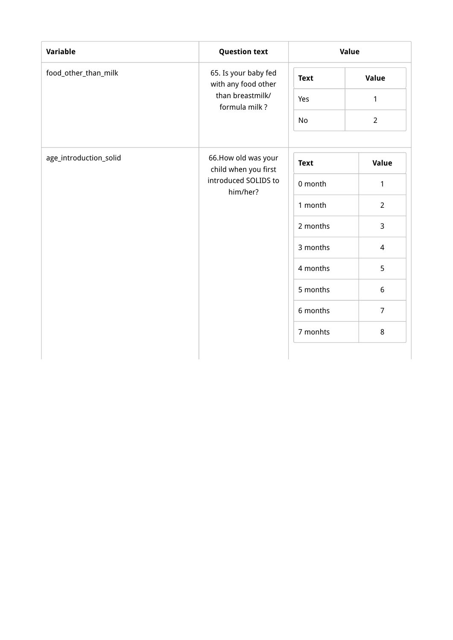| Variable               | <b>Question text</b>                        | Value       |                |
|------------------------|---------------------------------------------|-------------|----------------|
| food_other_than_milk   | 65. Is your baby fed<br>with any food other | <b>Text</b> | Value          |
|                        | than breastmilk/<br>formula milk?           | Yes         | $\mathbf{1}$   |
|                        |                                             | No          | $\overline{2}$ |
| age_introduction_solid | 66.How old was your<br>child when you first | <b>Text</b> | Value          |
|                        | introduced SOLIDS to<br>him/her?            | 0 month     | $\mathbf{1}$   |
|                        |                                             | 1 month     | $\overline{2}$ |
|                        |                                             | 2 months    | 3              |
|                        |                                             | 3 months    | $\overline{4}$ |
|                        |                                             | 4 months    | 5              |
|                        |                                             | 5 months    | 6              |
|                        |                                             | 6 months    | $\overline{7}$ |
|                        |                                             | 7 monhts    | 8              |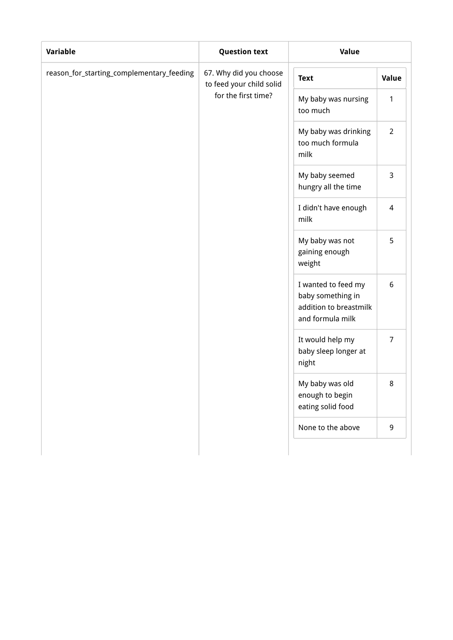| <b>Variable</b>                           | <b>Question text</b>                                              | Value                                                                                  |                |
|-------------------------------------------|-------------------------------------------------------------------|----------------------------------------------------------------------------------------|----------------|
| reason_for_starting_complementary_feeding | 67. Why did you choose<br><b>Text</b><br>to feed your child solid |                                                                                        | Value          |
|                                           | for the first time?                                               | My baby was nursing<br>too much                                                        | 1              |
|                                           |                                                                   | My baby was drinking<br>too much formula<br>milk                                       | $\overline{2}$ |
|                                           |                                                                   | My baby seemed<br>hungry all the time                                                  | 3              |
|                                           |                                                                   | I didn't have enough<br>milk                                                           | $\overline{4}$ |
|                                           |                                                                   | My baby was not<br>gaining enough<br>weight                                            | 5              |
|                                           |                                                                   | I wanted to feed my<br>baby something in<br>addition to breastmilk<br>and formula milk | 6              |
|                                           |                                                                   | It would help my<br>baby sleep longer at<br>night                                      | $\overline{7}$ |
|                                           |                                                                   | My baby was old<br>enough to begin<br>eating solid food                                | 8              |
|                                           |                                                                   | None to the above                                                                      | 9              |
|                                           |                                                                   |                                                                                        |                |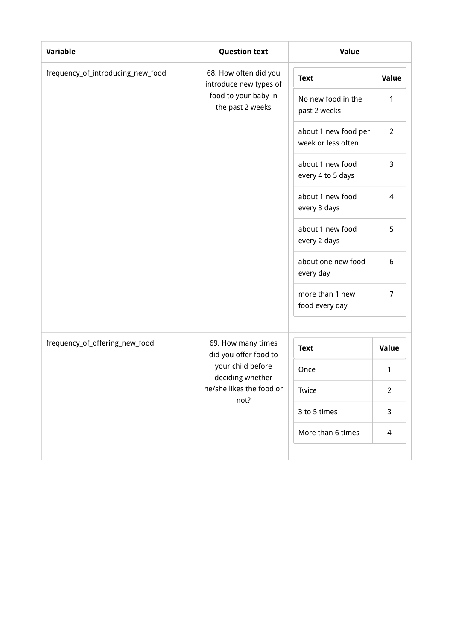| <b>Variable</b>                   | <b>Question text</b>                            | Value                                      |                |  |
|-----------------------------------|-------------------------------------------------|--------------------------------------------|----------------|--|
| frequency_of_introducing_new_food | 68. How often did you<br>introduce new types of | <b>Text</b>                                | Value          |  |
|                                   | food to your baby in<br>the past 2 weeks        | No new food in the<br>past 2 weeks         | $\mathbf{1}$   |  |
|                                   |                                                 | about 1 new food per<br>week or less often | $\overline{2}$ |  |
|                                   |                                                 | about 1 new food<br>every 4 to 5 days      | 3              |  |
|                                   |                                                 | about 1 new food<br>every 3 days           | $\overline{4}$ |  |
|                                   |                                                 | about 1 new food<br>every 2 days           | 5              |  |
|                                   |                                                 | about one new food<br>every day            | 6              |  |
|                                   |                                                 | more than 1 new<br>food every day          | $\overline{7}$ |  |
|                                   |                                                 |                                            |                |  |
| frequency_of_offering_new_food    | 69. How many times<br>did you offer food to     | <b>Text</b>                                | Value          |  |
|                                   | your child before<br>deciding whether           | Once                                       | 1              |  |
|                                   | he/she likes the food or                        | Twice                                      | $\overline{2}$ |  |
|                                   | not?                                            | 3 to 5 times                               | 3              |  |
|                                   |                                                 | More than 6 times                          | 4              |  |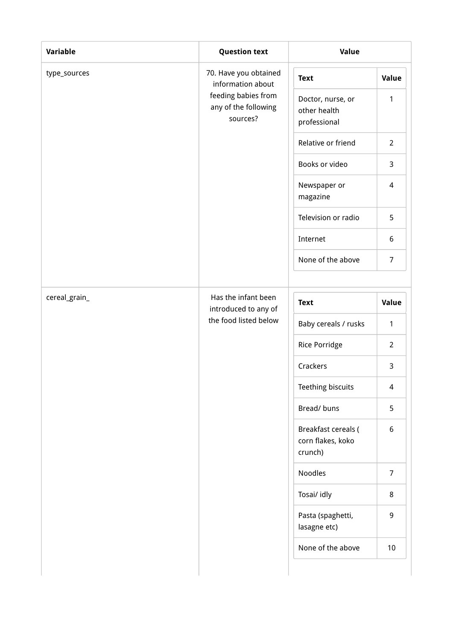| Variable      | <b>Question text</b>                                    | Value                                               |                 |
|---------------|---------------------------------------------------------|-----------------------------------------------------|-----------------|
| type_sources  | 70. Have you obtained<br>information about              | <b>Text</b>                                         | Value           |
|               | feeding babies from<br>any of the following<br>sources? | Doctor, nurse, or<br>other health<br>professional   | $\mathbf{1}$    |
|               |                                                         | Relative or friend                                  | $\overline{2}$  |
|               |                                                         | Books or video                                      | $\overline{3}$  |
|               |                                                         | Newspaper or<br>magazine                            | $\overline{4}$  |
|               |                                                         | Television or radio                                 | 5               |
|               |                                                         | Internet                                            | 6               |
|               |                                                         | None of the above                                   | $\overline{7}$  |
| cereal_grain_ | Has the infant been                                     | <b>Text</b>                                         | Value           |
|               | introduced to any of<br>the food listed below           | Baby cereals / rusks                                | $\mathbf{1}$    |
|               |                                                         | Rice Porridge                                       | $\overline{2}$  |
|               |                                                         | Crackers                                            | $\mathbf{3}$    |
|               |                                                         | Teething biscuits                                   | $\overline{4}$  |
|               |                                                         | Bread/buns                                          | 5               |
|               |                                                         | Breakfast cereals (<br>corn flakes, koko<br>crunch) | 6               |
|               |                                                         | Noodles                                             | $\overline{7}$  |
|               |                                                         | Tosai/ idly                                         | 8               |
|               |                                                         | Pasta (spaghetti,<br>lasagne etc)                   | 9               |
|               |                                                         | None of the above                                   | 10 <sup>°</sup> |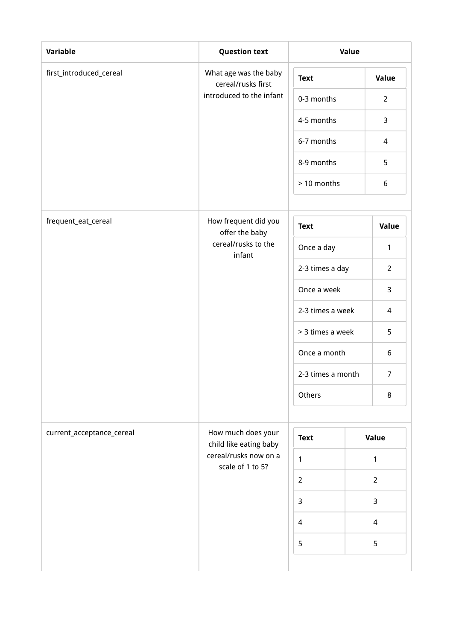| Variable                  | <b>Question text</b>                            | Value             |  |                |
|---------------------------|-------------------------------------------------|-------------------|--|----------------|
| first_introduced_cereal   | What age was the baby<br>cereal/rusks first     | <b>Text</b>       |  | Value          |
|                           | introduced to the infant                        | 0-3 months        |  | $\overline{2}$ |
|                           |                                                 | 4-5 months        |  | 3              |
|                           |                                                 | 6-7 months        |  | $\overline{4}$ |
|                           |                                                 | 8-9 months        |  | 5              |
|                           |                                                 | > 10 months       |  | 6              |
| frequent_eat_cereal       | How frequent did you<br>offer the baby          | <b>Text</b>       |  | Value          |
|                           | cereal/rusks to the<br>infant                   | Once a day        |  | $\mathbf{1}$   |
|                           |                                                 | 2-3 times a day   |  | $\overline{2}$ |
|                           |                                                 | Once a week       |  | 3              |
|                           |                                                 | 2-3 times a week  |  | 4              |
|                           |                                                 | > 3 times a week  |  | 5              |
|                           |                                                 | Once a month      |  | 6              |
|                           |                                                 | 2-3 times a month |  | $\overline{7}$ |
|                           |                                                 | Others            |  | 8              |
| current_acceptance_cereal | How much does your                              | <b>Text</b>       |  | Value          |
|                           | child like eating baby<br>cereal/rusks now on a | $\mathbf{1}$      |  | 1              |
|                           | scale of 1 to 5?                                | $\overline{2}$    |  | $\overline{2}$ |
|                           |                                                 | $\overline{3}$    |  | 3              |
|                           |                                                 | $\overline{4}$    |  | $\overline{4}$ |
|                           |                                                 | 5                 |  | 5              |
|                           |                                                 |                   |  |                |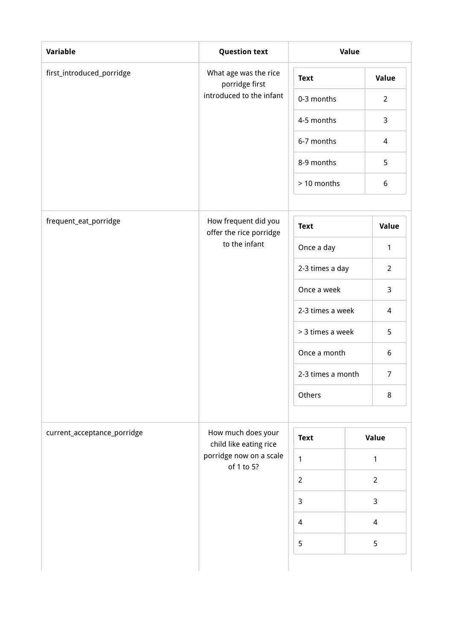| Variable                    | <b>Question text</b>                            | Value             |  |                |
|-----------------------------|-------------------------------------------------|-------------------|--|----------------|
| first_introduced_porridge   | What age was the rice<br>porridge first         | <b>Text</b>       |  | Value          |
|                             | introduced to the infant                        | 0-3 months        |  | $\overline{2}$ |
|                             |                                                 | 4-5 months        |  | 3              |
|                             |                                                 | 6-7 months        |  | $\overline{4}$ |
|                             |                                                 | 8-9 months        |  | 5              |
|                             |                                                 | > 10 months       |  | 6              |
| frequent_eat_porridge       | How frequent did you<br>offer the rice porridge | <b>Text</b>       |  | Value          |
|                             | to the infant                                   | Once a day        |  | 1              |
|                             |                                                 | 2-3 times a day   |  | $\overline{2}$ |
|                             |                                                 | Once a week       |  | 3              |
|                             |                                                 | 2-3 times a week  |  | 4              |
|                             |                                                 | > 3 times a week  |  | 5              |
|                             |                                                 | Once a month      |  | 6              |
|                             |                                                 | 2-3 times a month |  | $\overline{7}$ |
|                             |                                                 | Others            |  | $\,8\,$        |
| current_acceptance_porridge | How much does your<br>child like eating rice    | <b>Text</b>       |  | Value          |
|                             | porridge now on a scale<br>of 1 to 5?           | $\mathbf{1}$      |  | 1              |
|                             |                                                 | $\overline{2}$    |  | $\overline{2}$ |
|                             |                                                 | $\mathbf{3}$      |  | $\mathbf{3}$   |
|                             |                                                 | 4                 |  | $\overline{4}$ |
|                             |                                                 | 5                 |  | 5              |
|                             |                                                 |                   |  |                |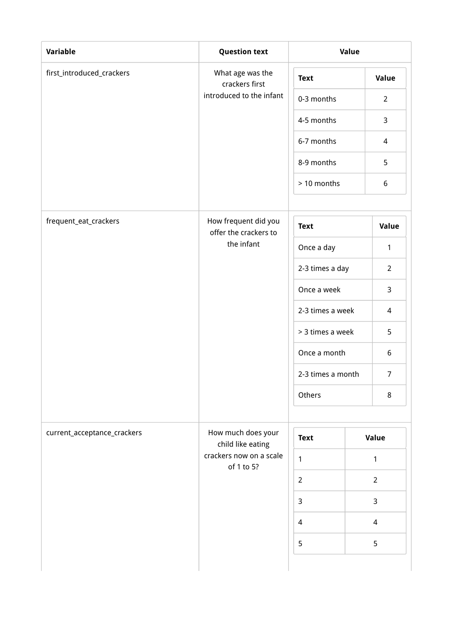| <b>Variable</b>             | <b>Question text</b>                          | Value             |  |                |
|-----------------------------|-----------------------------------------------|-------------------|--|----------------|
| first_introduced_crackers   | What age was the<br>crackers first            | <b>Text</b>       |  | Value          |
|                             | introduced to the infant                      | 0-3 months        |  | $\overline{2}$ |
|                             |                                               | 4-5 months        |  | 3              |
|                             |                                               | 6-7 months        |  | 4              |
|                             |                                               | 8-9 months        |  | 5              |
|                             |                                               | > 10 months       |  | 6              |
| frequent_eat_crackers       | How frequent did you<br>offer the crackers to | <b>Text</b>       |  | Value          |
|                             | the infant                                    | Once a day        |  | $\mathbf{1}$   |
|                             |                                               | 2-3 times a day   |  | $\overline{2}$ |
|                             |                                               | Once a week       |  | 3              |
|                             |                                               | 2-3 times a week  |  | 4              |
|                             |                                               | > 3 times a week  |  | 5              |
|                             |                                               | Once a month      |  | 6              |
|                             |                                               | 2-3 times a month |  | $\overline{7}$ |
|                             |                                               | Others            |  | 8              |
| current_acceptance_crackers | How much does your<br>child like eating       | <b>Text</b>       |  | Value          |
|                             | crackers now on a scale<br>of 1 to 5?         | $\mathbf{1}$      |  | $\mathbf{1}$   |
|                             |                                               | $\overline{2}$    |  | $\overline{2}$ |
|                             |                                               | $\mathbf{3}$      |  | $\mathbf{3}$   |
|                             |                                               | $\overline{4}$    |  | $\overline{4}$ |
|                             |                                               | 5                 |  | 5              |
|                             |                                               |                   |  |                |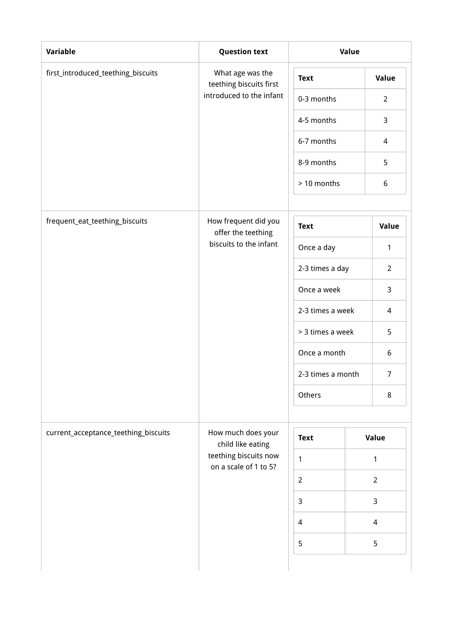| Variable                             | <b>Question text</b>                           | Value             |  |                |
|--------------------------------------|------------------------------------------------|-------------------|--|----------------|
| first_introduced_teething_biscuits   | What age was the<br>teething biscuits first    | <b>Text</b>       |  | Value          |
|                                      | introduced to the infant                       | 0-3 months        |  | $\overline{2}$ |
|                                      |                                                | 4-5 months        |  | 3              |
|                                      |                                                | 6-7 months        |  | 4              |
|                                      |                                                | 8-9 months        |  | 5              |
|                                      |                                                | > 10 months       |  | 6              |
| frequent_eat_teething_biscuits       | How frequent did you<br>offer the teething     | <b>Text</b>       |  | Value          |
|                                      | biscuits to the infant                         | Once a day        |  | 1              |
|                                      |                                                | 2-3 times a day   |  | $\overline{2}$ |
|                                      |                                                | Once a week       |  | 3              |
|                                      |                                                | 2-3 times a week  |  | 4              |
|                                      |                                                | > 3 times a week  |  | 5              |
|                                      |                                                | Once a month      |  | 6              |
|                                      |                                                | 2-3 times a month |  | $\overline{7}$ |
|                                      |                                                | Others            |  | 8              |
| current_acceptance_teething_biscuits | How much does your<br>child like eating        | <b>Text</b>       |  | Value          |
|                                      | teething biscuits now<br>on a scale of 1 to 5? | $\mathbf{1}$      |  | 1              |
|                                      |                                                | $\overline{2}$    |  | $\overline{2}$ |
|                                      |                                                | $\overline{3}$    |  | 3              |
|                                      |                                                | $\overline{4}$    |  | 4              |
|                                      |                                                | 5                 |  | 5              |
|                                      |                                                |                   |  |                |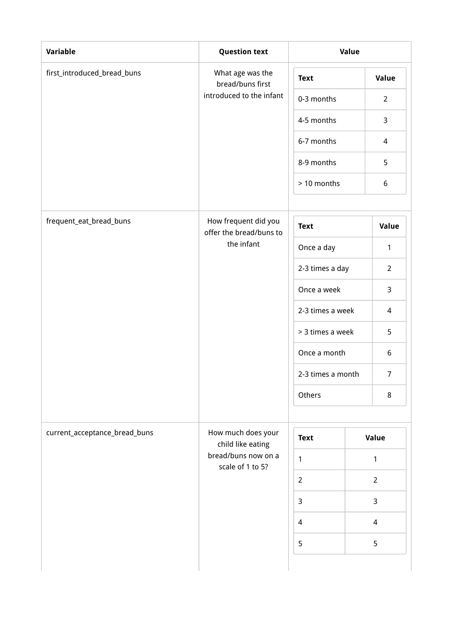| <b>Variable</b>               | <b>Question text</b>                            | Value             |  |                |
|-------------------------------|-------------------------------------------------|-------------------|--|----------------|
| first_introduced_bread_buns   | What age was the<br>bread/buns first            | <b>Text</b>       |  | <b>Value</b>   |
|                               | introduced to the infant                        | 0-3 months        |  | $\overline{2}$ |
|                               |                                                 | 4-5 months        |  | 3              |
|                               |                                                 | 6-7 months        |  | $\overline{4}$ |
|                               |                                                 | 8-9 months        |  | 5              |
|                               |                                                 | > 10 months       |  | 6              |
| frequent_eat_bread_buns       | How frequent did you<br>offer the bread/buns to | <b>Text</b>       |  | Value          |
|                               | the infant                                      | Once a day        |  | $\mathbf{1}$   |
|                               |                                                 | 2-3 times a day   |  | $\overline{2}$ |
|                               |                                                 | Once a week       |  | 3              |
|                               |                                                 | 2-3 times a week  |  | 4              |
|                               |                                                 | > 3 times a week  |  | 5              |
|                               |                                                 | Once a month      |  | 6              |
|                               |                                                 | 2-3 times a month |  | $\overline{7}$ |
|                               |                                                 | Others            |  | 8              |
| current_acceptance_bread_buns | How much does your<br>child like eating         | <b>Text</b>       |  | Value          |
|                               | bread/buns now on a<br>scale of 1 to 5?         | $\mathbf{1}$      |  | $\mathbf{1}$   |
|                               |                                                 | $\overline{2}$    |  | $\overline{2}$ |
|                               |                                                 | $\mathbf{3}$      |  | 3              |
|                               |                                                 | $\overline{4}$    |  | $\overline{4}$ |
|                               |                                                 |                   |  | 5              |
|                               |                                                 |                   |  |                |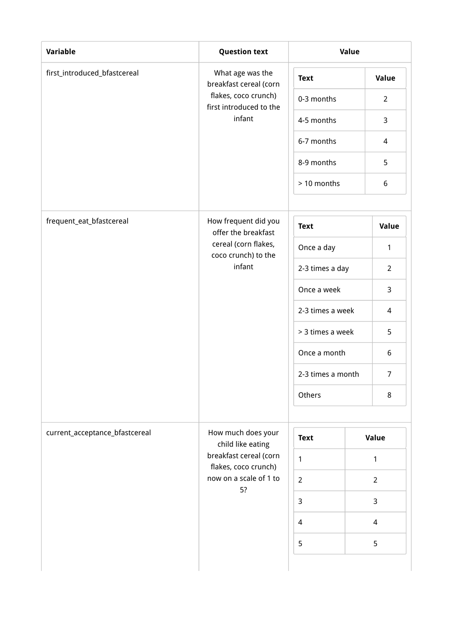| Variable                       | <b>Question text</b>                                  | Value             |                |  |
|--------------------------------|-------------------------------------------------------|-------------------|----------------|--|
| first_introduced_bfastcereal   | What age was the<br>breakfast cereal (corn            | <b>Text</b>       | Value          |  |
|                                | flakes, coco crunch)<br>first introduced to the       | 0-3 months        | $\overline{2}$ |  |
|                                | infant                                                | 4-5 months        | 3              |  |
|                                |                                                       | 6-7 months        | 4              |  |
|                                | 8-9 months<br>> 10 months                             |                   | 5              |  |
|                                |                                                       |                   | 6              |  |
| frequent_eat_bfastcereal       | How frequent did you<br>offer the breakfast           | <b>Text</b>       | Value          |  |
|                                | cereal (corn flakes,<br>coco crunch) to the<br>infant | Once a day        | $\mathbf{1}$   |  |
|                                |                                                       | 2-3 times a day   | $\overline{2}$ |  |
|                                |                                                       | Once a week       | 3              |  |
|                                |                                                       | 2-3 times a week  | $\overline{4}$ |  |
|                                |                                                       | > 3 times a week  | 5              |  |
|                                |                                                       | Once a month      | 6              |  |
|                                |                                                       | 2-3 times a month | $\overline{7}$ |  |
|                                |                                                       | Others            | 8              |  |
| current_acceptance_bfastcereal | How much does your                                    |                   |                |  |
|                                | child like eating                                     | <b>Text</b>       | Value          |  |
|                                | breakfast cereal (corn<br>flakes, coco crunch)        | $\mathbf{1}$      | 1              |  |
|                                | now on a scale of 1 to<br>5?                          | $\overline{2}$    | $\overline{2}$ |  |
|                                |                                                       | $\mathbf{3}$      | 3              |  |
|                                |                                                       | $\overline{4}$    | 4              |  |
|                                |                                                       | 5                 | 5              |  |
|                                |                                                       |                   |                |  |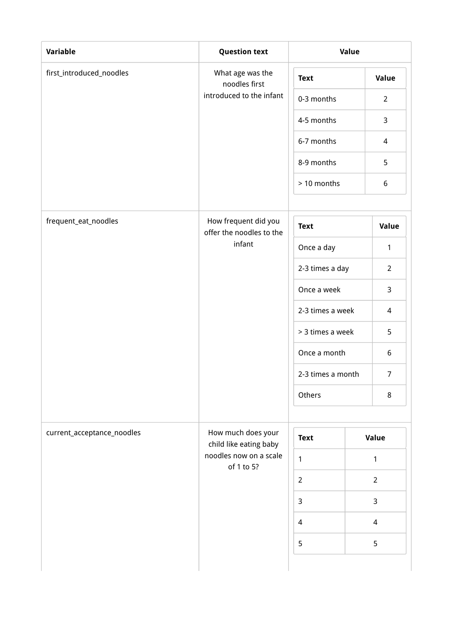| Variable                   | <b>Question text</b>                             | Value             |                |                |
|----------------------------|--------------------------------------------------|-------------------|----------------|----------------|
| first_introduced_noodles   | What age was the<br>noodles first                | <b>Text</b>       |                | <b>Value</b>   |
|                            | introduced to the infant                         | 0-3 months        |                | $\overline{2}$ |
|                            |                                                  | 4-5 months        |                | 3              |
|                            |                                                  | 6-7 months        |                | $\overline{4}$ |
|                            | 8-9 months                                       |                   |                | 5              |
|                            |                                                  | > 10 months       |                | 6              |
| frequent_eat_noodles       | How frequent did you<br>offer the noodles to the | <b>Text</b>       |                | Value          |
|                            | infant                                           | Once a day        |                | $\mathbf{1}$   |
|                            |                                                  | 2-3 times a day   |                | $\overline{2}$ |
|                            |                                                  | Once a week       |                | 3              |
|                            |                                                  | 2-3 times a week  |                | 4              |
|                            |                                                  | > 3 times a week  |                | 5              |
|                            |                                                  | Once a month      |                | 6              |
|                            |                                                  | 2-3 times a month |                | $\overline{7}$ |
|                            |                                                  | Others            |                | $\,8\,$        |
| current_acceptance_noodles | How much does your<br>child like eating baby     | <b>Text</b>       |                | Value          |
|                            | noodles now on a scale<br>of 1 to 5?             | $\mathbf{1}$      |                | $\mathbf{1}$   |
|                            | $\overline{2}$                                   |                   | $\overline{2}$ |                |
|                            | $\overline{3}$                                   |                   | $\mathsf{3}$   |                |
|                            |                                                  | $\overline{4}$    |                | $\overline{4}$ |
|                            |                                                  | 5                 |                | 5              |
|                            |                                                  |                   |                |                |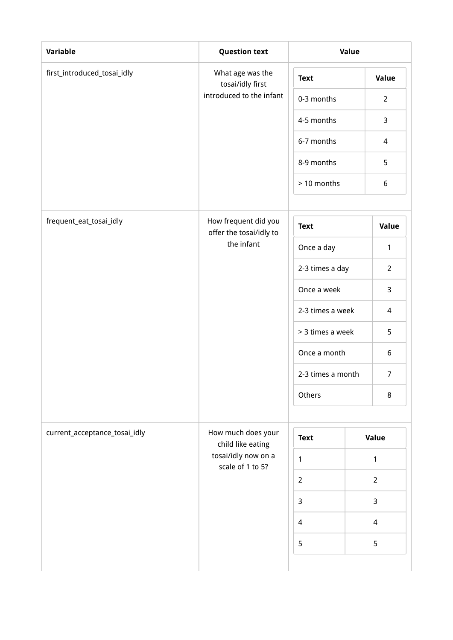| <b>Variable</b>               | <b>Question text</b>                            | Value             |  |                |
|-------------------------------|-------------------------------------------------|-------------------|--|----------------|
| first_introduced_tosai_idly   | What age was the<br>tosai/idly first            | <b>Text</b>       |  | <b>Value</b>   |
|                               | introduced to the infant                        | 0-3 months        |  | $\overline{2}$ |
|                               |                                                 | 4-5 months        |  | 3              |
|                               |                                                 | 6-7 months        |  | $\overline{4}$ |
|                               |                                                 | 8-9 months        |  | 5              |
|                               |                                                 | > 10 months       |  | 6              |
| frequent_eat_tosai_idly       | How frequent did you<br>offer the tosai/idly to | <b>Text</b>       |  | Value          |
|                               | the infant                                      | Once a day        |  | $\mathbf{1}$   |
|                               |                                                 | 2-3 times a day   |  | $\overline{2}$ |
|                               |                                                 | Once a week       |  | 3              |
|                               |                                                 | 2-3 times a week  |  | 4              |
|                               |                                                 | > 3 times a week  |  | 5              |
|                               |                                                 | Once a month      |  | 6              |
|                               |                                                 | 2-3 times a month |  | $\overline{7}$ |
|                               |                                                 | Others            |  | 8              |
| current_acceptance_tosai_idly | How much does your<br>child like eating         | <b>Text</b>       |  | Value          |
|                               | tosai/idly now on a<br>scale of 1 to 5?         | $\mathbf{1}$      |  | $\mathbf{1}$   |
|                               |                                                 | $\overline{2}$    |  | $\overline{2}$ |
|                               |                                                 | $\mathbf{3}$      |  | $\mathsf{3}$   |
|                               |                                                 | $\overline{4}$    |  | $\overline{4}$ |
|                               |                                                 | 5                 |  | 5              |
|                               |                                                 |                   |  |                |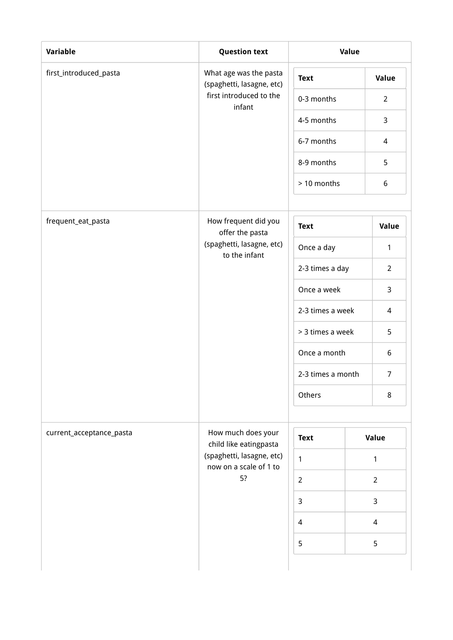| Variable                 | <b>Question text</b>                                |                                      | Value |                  |
|--------------------------|-----------------------------------------------------|--------------------------------------|-------|------------------|
| first_introduced_pasta   | What age was the pasta<br>(spaghetti, lasagne, etc) | <b>Text</b>                          |       | Value            |
|                          | first introduced to the<br>infant                   | 0-3 months                           |       | $\overline{2}$   |
|                          |                                                     | 4-5 months                           |       | 3                |
|                          |                                                     | 6-7 months                           |       | $\overline{4}$   |
|                          |                                                     | 8-9 months                           |       | 5                |
|                          |                                                     | > 10 months                          |       | $\boldsymbol{6}$ |
| frequent_eat_pasta       | How frequent did you<br>offer the pasta             | <b>Text</b>                          |       | Value            |
|                          | (spaghetti, lasagne, etc)<br>to the infant          | Once a day                           |       | $\mathbf{1}$     |
|                          |                                                     | 2-3 times a day                      |       | $\overline{2}$   |
|                          |                                                     | Once a week                          |       | 3                |
|                          |                                                     | 2-3 times a week<br>> 3 times a week |       | 4                |
|                          |                                                     |                                      |       | 5                |
|                          |                                                     | Once a month                         |       | 6                |
|                          |                                                     | 2-3 times a month                    |       | $\overline{7}$   |
|                          |                                                     | Others                               |       | 8                |
| current_acceptance_pasta | How much does your<br>child like eatingpasta        | <b>Text</b>                          |       | Value            |
|                          | (spaghetti, lasagne, etc)<br>now on a scale of 1 to | $\mathbf{1}$                         |       | $\mathbf{1}$     |
|                          | 5?                                                  | $\overline{2}$                       |       | $\overline{2}$   |
|                          |                                                     | $\mathbf{3}$                         |       | 3                |
|                          |                                                     | $\overline{4}$                       |       | 4                |
|                          |                                                     | 5                                    |       | 5                |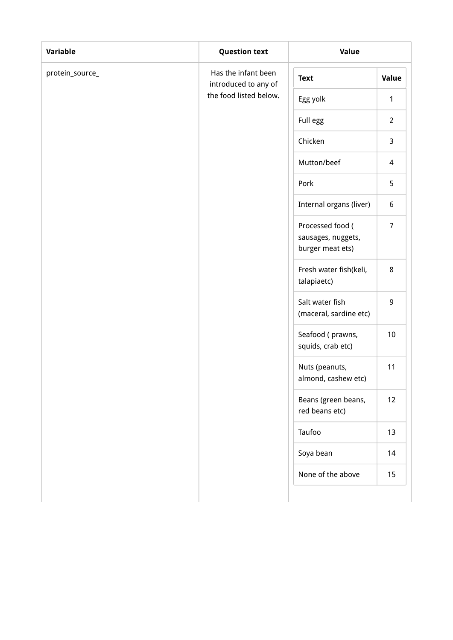| <b>Variable</b> | <b>Question text</b>                        | Value                                                      |                |  |
|-----------------|---------------------------------------------|------------------------------------------------------------|----------------|--|
| protein_source_ | Has the infant been<br>introduced to any of | <b>Text</b>                                                | Value          |  |
|                 | the food listed below.                      | Egg yolk                                                   | 1              |  |
|                 |                                             | Full egg                                                   | $\overline{2}$ |  |
|                 |                                             | Chicken                                                    | 3              |  |
|                 |                                             | Mutton/beef                                                | 4              |  |
|                 |                                             | Pork                                                       | 5              |  |
|                 |                                             | Internal organs (liver)                                    | 6              |  |
|                 |                                             | Processed food (<br>sausages, nuggets,<br>burger meat ets) | $\overline{7}$ |  |
|                 |                                             | Fresh water fish(keli,<br>talapiaetc)                      | 8              |  |
|                 |                                             | Salt water fish<br>(maceral, sardine etc)                  | 9              |  |
|                 |                                             | Seafood (prawns,<br>squids, crab etc)                      | $10$           |  |
|                 |                                             | Nuts (peanuts,<br>almond, cashew etc)                      | 11             |  |
|                 |                                             | Beans (green beans,<br>red beans etc)                      | 12             |  |
|                 |                                             | Taufoo                                                     | 13             |  |
|                 |                                             | Soya bean                                                  | 14             |  |
|                 |                                             | None of the above                                          | 15             |  |
|                 |                                             |                                                            |                |  |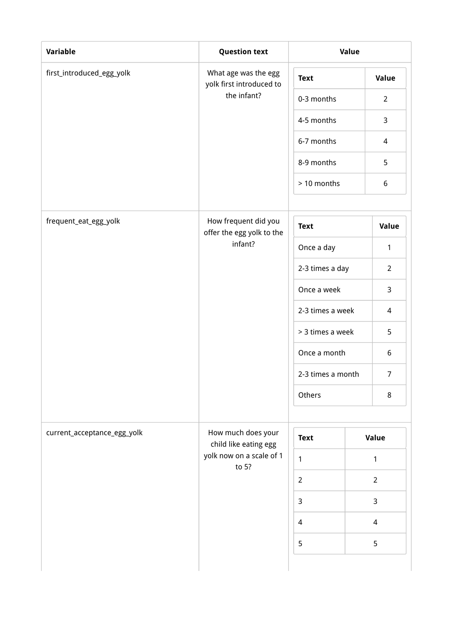| <b>Variable</b>             | <b>Question text</b>                              | Value             |              |                |
|-----------------------------|---------------------------------------------------|-------------------|--------------|----------------|
| first_introduced_egg_yolk   | What age was the egg<br>yolk first introduced to  | <b>Text</b>       |              | Value          |
|                             | the infant?                                       | 0-3 months        |              | $\overline{2}$ |
|                             |                                                   | 4-5 months        |              | 3              |
|                             |                                                   | 6-7 months        |              | $\overline{4}$ |
|                             |                                                   | 8-9 months        |              | 5              |
|                             |                                                   |                   |              | 6              |
| frequent_eat_egg_yolk       | How frequent did you<br>offer the egg yolk to the | <b>Text</b>       |              | Value          |
|                             | infant?                                           | Once a day        |              | 1              |
|                             |                                                   | 2-3 times a day   |              | $\overline{2}$ |
|                             | Once a week                                       |                   | 3            |                |
|                             |                                                   | 2-3 times a week  |              | $\overline{4}$ |
|                             |                                                   | > 3 times a week  |              | 5              |
|                             |                                                   | Once a month      |              | 6              |
|                             |                                                   | 2-3 times a month |              | $\overline{7}$ |
|                             |                                                   | Others            |              | $\,8\,$        |
| current_acceptance_egg_yolk | How much does your<br>child like eating egg       | <b>Text</b>       |              | Value          |
|                             | yolk now on a scale of 1<br>to 5?                 | $\mathbf{1}$      |              | 1              |
|                             |                                                   | $\overline{2}$    |              | $\overline{2}$ |
|                             | $\mathbf{3}$                                      |                   | $\mathbf{3}$ |                |
|                             |                                                   | 4                 |              | $\overline{4}$ |
|                             |                                                   |                   |              | 5              |
|                             |                                                   |                   |              |                |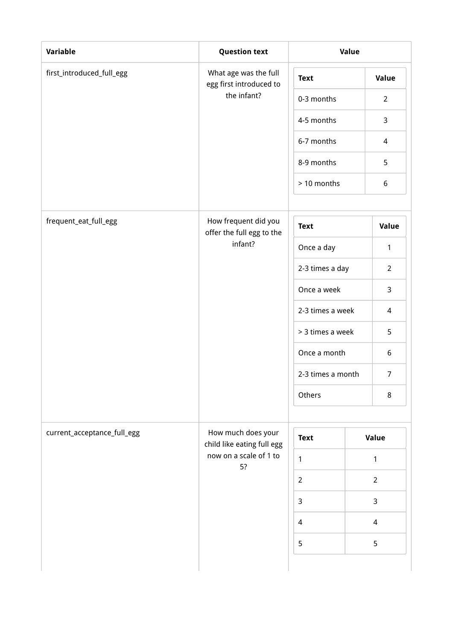| Variable                    | <b>Question text</b>                             |                   | Value          |
|-----------------------------|--------------------------------------------------|-------------------|----------------|
| first_introduced_full_egg   | What age was the full<br>egg first introduced to | <b>Text</b>       | <b>Value</b>   |
|                             | the infant?                                      | 0-3 months        | $2^{\circ}$    |
|                             |                                                  | 4-5 months        | $\mathsf{3}$   |
|                             |                                                  | 6-7 months        | $\overline{4}$ |
|                             |                                                  | 8-9 months        | 5              |
|                             |                                                  | > 10 months       | $6\,$          |
| frequent_eat_full_egg       | How frequent did you                             | <b>Text</b>       | Value          |
|                             | offer the full egg to the<br>infant?             | Once a day        | $\mathbf{1}$   |
|                             |                                                  | 2-3 times a day   | $\overline{2}$ |
|                             |                                                  | Once a week       | 3              |
|                             |                                                  | 2-3 times a week  | $\overline{a}$ |
|                             |                                                  | > 3 times a week  | 5              |
|                             |                                                  | Once a month      | 6              |
|                             |                                                  | 2-3 times a month | $\overline{7}$ |
|                             |                                                  | Others            | $\,8\,$        |
| current_acceptance_full_egg | How much does your<br>child like eating full egg | <b>Text</b>       | Value          |
|                             | now on a scale of 1 to<br>5?                     | $\mathbf{1}$      | $\mathbf{1}$   |
|                             |                                                  | $\overline{2}$    | $\overline{2}$ |
|                             |                                                  | $\overline{3}$    | $\mathsf{3}$   |
|                             |                                                  | $\overline{a}$    | $\overline{4}$ |
|                             |                                                  | 5                 | 5              |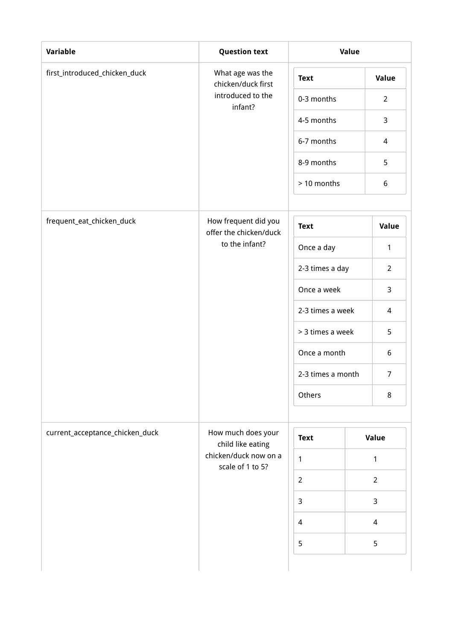| Variable                        | <b>Question text</b>                           | Value             |                          |  |
|---------------------------------|------------------------------------------------|-------------------|--------------------------|--|
| first_introduced_chicken_duck   | What age was the<br>chicken/duck first         | <b>Text</b>       | Value                    |  |
|                                 | introduced to the<br>infant?                   | 0-3 months        | $\overline{2}$           |  |
|                                 |                                                | 4-5 months        | 3                        |  |
|                                 |                                                | 6-7 months        | $\overline{4}$           |  |
|                                 |                                                | 8-9 months        | 5                        |  |
|                                 |                                                | > 10 months       | 6                        |  |
| frequent_eat_chicken_duck       | How frequent did you<br>offer the chicken/duck | <b>Text</b>       | Value                    |  |
|                                 | to the infant?                                 | Once a day        | 1                        |  |
|                                 |                                                | 2-3 times a day   | $\overline{2}$           |  |
|                                 |                                                | Once a week       | 3                        |  |
|                                 |                                                | 2-3 times a week  | 4                        |  |
|                                 |                                                | > 3 times a week  | 5                        |  |
|                                 |                                                | Once a month      | 6                        |  |
|                                 |                                                | 2-3 times a month | $\overline{7}$           |  |
|                                 |                                                | Others            | 8                        |  |
| current_acceptance_chicken_duck | How much does your<br>child like eating        | <b>Text</b>       | Value                    |  |
|                                 | chicken/duck now on a<br>scale of 1 to 5?      | $\mathbf{1}$      | 1                        |  |
|                                 |                                                | $\overline{2}$    | $\overline{2}$           |  |
|                                 |                                                | $\mathbf{3}$      | 3                        |  |
|                                 |                                                | $\overline{4}$    | $\overline{\mathcal{A}}$ |  |
|                                 |                                                | 5                 | 5                        |  |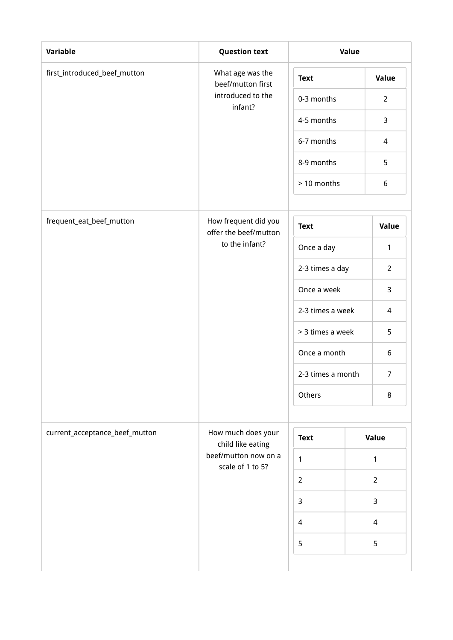| <b>Variable</b>                | <b>Question text</b>                          | Value             |                          |  |
|--------------------------------|-----------------------------------------------|-------------------|--------------------------|--|
| first_introduced_beef_mutton   | What age was the<br>beef/mutton first         | <b>Text</b>       | Value                    |  |
|                                | introduced to the<br>infant?                  | 0-3 months        | $\overline{2}$           |  |
|                                |                                               | 4-5 months        | 3                        |  |
|                                |                                               | 6-7 months        | $\overline{4}$           |  |
|                                |                                               | 8-9 months        | 5                        |  |
|                                |                                               | > 10 months       | $\boldsymbol{6}$         |  |
| frequent_eat_beef_mutton       | How frequent did you<br>offer the beef/mutton | <b>Text</b>       | Value                    |  |
|                                | to the infant?                                | Once a day        | $\mathbf{1}$             |  |
|                                |                                               | 2-3 times a day   | $\overline{2}$           |  |
|                                |                                               | Once a week       | 3                        |  |
|                                |                                               | 2-3 times a week  | 4                        |  |
|                                |                                               | > 3 times a week  | 5                        |  |
|                                |                                               | Once a month      | 6                        |  |
|                                |                                               | 2-3 times a month | $\overline{7}$           |  |
|                                |                                               | Others            | 8                        |  |
| current_acceptance_beef_mutton | How much does your<br>child like eating       | <b>Text</b>       | Value                    |  |
|                                | beef/mutton now on a<br>scale of 1 to 5?      | $\mathbf{1}$      | 1                        |  |
|                                |                                               | $\overline{2}$    | $\overline{2}$           |  |
|                                |                                               | $\mathsf{3}$      | 3                        |  |
|                                |                                               | $\overline{4}$    | $\overline{\mathcal{A}}$ |  |
|                                |                                               | 5                 | 5                        |  |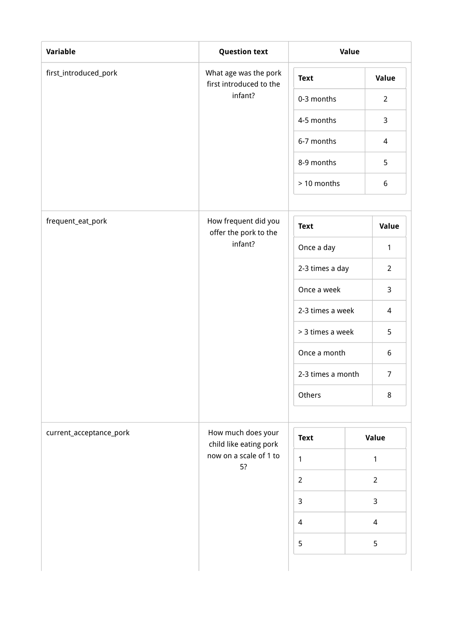| <b>Variable</b>         | <b>Question text</b>                             | Value             |                |  |
|-------------------------|--------------------------------------------------|-------------------|----------------|--|
| first_introduced_pork   | What age was the pork<br>first introduced to the | <b>Text</b>       | <b>Value</b>   |  |
|                         | infant?                                          | 0-3 months        | $\overline{2}$ |  |
|                         |                                                  | 4-5 months        | 3              |  |
|                         |                                                  | 6-7 months        | $\overline{4}$ |  |
|                         |                                                  | 8-9 months        | 5              |  |
|                         |                                                  |                   | 6              |  |
| frequent_eat_pork       | How frequent did you<br>offer the pork to the    | <b>Text</b>       | Value          |  |
|                         | infant?                                          | Once a day        | $\mathbf{1}$   |  |
|                         |                                                  | 2-3 times a day   | $\overline{2}$ |  |
|                         |                                                  | Once a week       | 3              |  |
|                         |                                                  | 2-3 times a week  | $\overline{4}$ |  |
|                         |                                                  | > 3 times a week  | 5              |  |
|                         |                                                  | Once a month      | 6              |  |
|                         |                                                  | 2-3 times a month | $\overline{7}$ |  |
|                         |                                                  | Others            | 8              |  |
| current_acceptance_pork | How much does your<br>child like eating pork     | <b>Text</b>       | Value          |  |
|                         | now on a scale of 1 to<br>5?                     | $\mathbf{1}$      | 1              |  |
|                         |                                                  | $\overline{2}$    | $\overline{2}$ |  |
|                         |                                                  | $\overline{3}$    | $\mathsf{3}$   |  |
|                         |                                                  | $\overline{4}$    | $\overline{a}$ |  |
|                         |                                                  | 5                 | 5              |  |
|                         |                                                  |                   |                |  |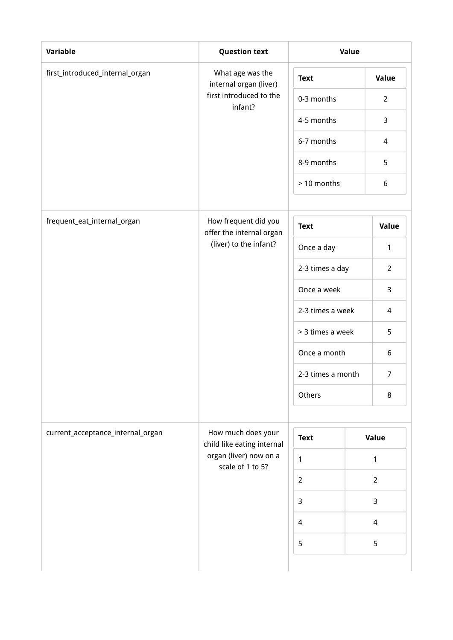| <b>Variable</b>                   | <b>Question text</b>                             | Value             |                          |  |
|-----------------------------------|--------------------------------------------------|-------------------|--------------------------|--|
| first_introduced_internal_organ   | What age was the<br>internal organ (liver)       | <b>Text</b>       | Value                    |  |
|                                   | first introduced to the<br>infant?               | 0-3 months        | $\overline{2}$           |  |
|                                   |                                                  | 4-5 months        | 3                        |  |
|                                   |                                                  | 6-7 months        | $\overline{4}$           |  |
|                                   | 8-9 months                                       |                   | 5                        |  |
|                                   |                                                  | > 10 months       | $\boldsymbol{6}$         |  |
| frequent_eat_internal_organ       | How frequent did you<br>offer the internal organ | <b>Text</b>       | Value                    |  |
|                                   | (liver) to the infant?                           | Once a day        | 1                        |  |
|                                   |                                                  | 2-3 times a day   | $\overline{2}$           |  |
|                                   |                                                  | Once a week       | 3                        |  |
|                                   |                                                  | 2-3 times a week  | 4                        |  |
|                                   |                                                  | > 3 times a week  | 5                        |  |
|                                   |                                                  | Once a month      | 6                        |  |
|                                   |                                                  | 2-3 times a month | $\overline{7}$           |  |
|                                   |                                                  | Others            | 8                        |  |
| current_acceptance_internal_organ | How much does your<br>child like eating internal | <b>Text</b>       | Value                    |  |
|                                   | organ (liver) now on a<br>scale of 1 to 5?       | $\mathbf{1}$      | 1                        |  |
|                                   |                                                  | $\overline{2}$    |                          |  |
|                                   |                                                  | $\overline{3}$    | 3                        |  |
|                                   |                                                  | $\overline{4}$    | $\overline{\mathcal{A}}$ |  |
|                                   |                                                  | 5                 | 5                        |  |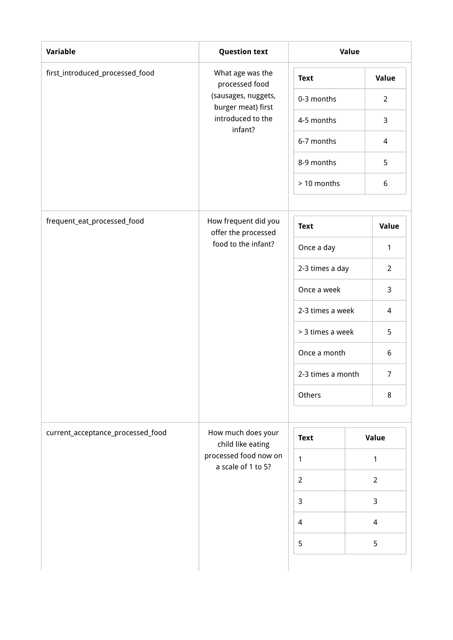| Variable                          | <b>Question text</b>                        | Value             |                |  |
|-----------------------------------|---------------------------------------------|-------------------|----------------|--|
| first_introduced_processed_food   | What age was the<br>processed food          | <b>Text</b>       | Value          |  |
|                                   | (sausages, nuggets,<br>burger meat) first   | 0-3 months        | $\overline{2}$ |  |
|                                   | introduced to the<br>infant?                | 4-5 months        | 3              |  |
|                                   |                                             | 6-7 months        | $\overline{4}$ |  |
|                                   |                                             | 8-9 months        | 5              |  |
|                                   |                                             | > 10 months       | 6              |  |
| frequent_eat_processed_food       | How frequent did you<br>offer the processed | <b>Text</b>       | Value          |  |
|                                   | food to the infant?                         | Once a day        | $\mathbf{1}$   |  |
|                                   | 2-3 times a day                             |                   | $\overline{2}$ |  |
|                                   | Once a week                                 | 3                 |                |  |
|                                   |                                             | 2-3 times a week  | 4              |  |
|                                   |                                             | > 3 times a week  | 5              |  |
|                                   |                                             | Once a month      | 6              |  |
|                                   |                                             | 2-3 times a month | $\overline{7}$ |  |
|                                   |                                             | Others            | 8              |  |
| current_acceptance_processed_food | How much does your<br>child like eating     | <b>Text</b>       | Value          |  |
|                                   | processed food now on<br>a scale of 1 to 5? | $\mathbf{1}$      | $\mathbf{1}$   |  |
|                                   |                                             | $\overline{2}$    | $\overline{2}$ |  |
|                                   |                                             | $\overline{3}$    | 3              |  |
|                                   |                                             | $\overline{4}$    | $\overline{4}$ |  |
|                                   |                                             | 5                 | 5              |  |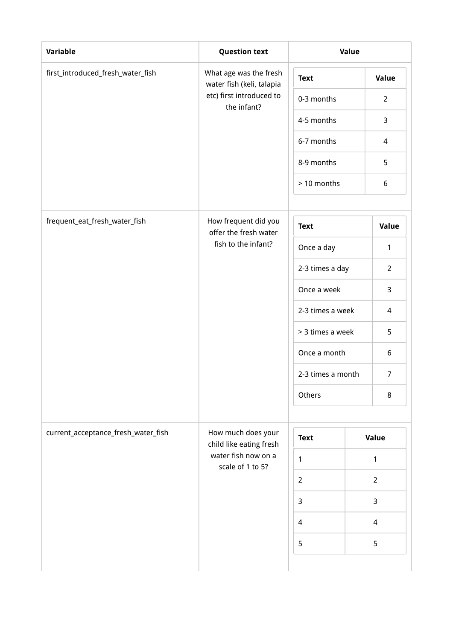| <b>Variable</b>                     | <b>Question text</b>                                | Value             |                          |  |
|-------------------------------------|-----------------------------------------------------|-------------------|--------------------------|--|
| first_introduced_fresh_water_fish   | What age was the fresh<br>water fish (keli, talapia | <b>Text</b>       | Value                    |  |
|                                     | etc) first introduced to<br>the infant?             | 0-3 months        | $\overline{2}$           |  |
|                                     |                                                     | 4-5 months        | 3                        |  |
|                                     |                                                     | 6-7 months        | $\overline{4}$           |  |
|                                     |                                                     | 8-9 months        | 5                        |  |
|                                     |                                                     | > 10 months       | $\boldsymbol{6}$         |  |
| frequent_eat_fresh_water_fish       | How frequent did you<br>offer the fresh water       | <b>Text</b>       | Value                    |  |
|                                     | fish to the infant?                                 | Once a day        | 1                        |  |
|                                     | 2-3 times a day                                     |                   | $\overline{2}$           |  |
|                                     |                                                     | Once a week       | 3                        |  |
|                                     |                                                     | 2-3 times a week  |                          |  |
|                                     |                                                     | > 3 times a week  | 5                        |  |
|                                     |                                                     | Once a month      | 6                        |  |
|                                     |                                                     | 2-3 times a month | $\overline{7}$           |  |
|                                     |                                                     | Others            | 8                        |  |
| current_acceptance_fresh_water_fish | How much does your<br>child like eating fresh       | <b>Text</b>       | Value                    |  |
|                                     | water fish now on a<br>scale of 1 to 5?             | $\mathbf{1}$      | 1                        |  |
|                                     |                                                     | $\overline{2}$    | $\overline{2}$           |  |
|                                     |                                                     | 3                 | 3                        |  |
|                                     |                                                     | $\overline{4}$    | $\overline{\mathcal{A}}$ |  |
|                                     |                                                     | 5                 | 5                        |  |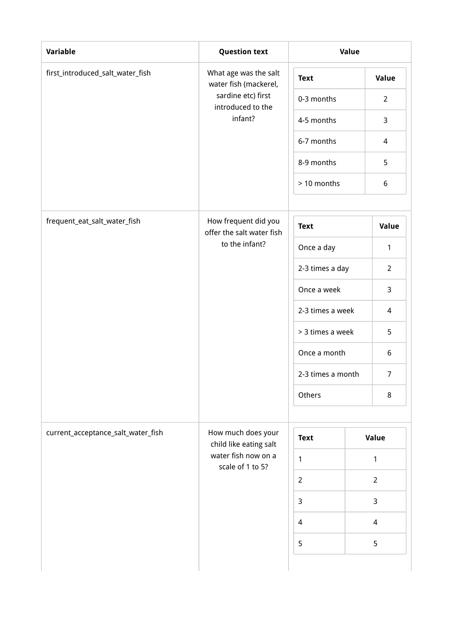| <b>Variable</b>                    | <b>Question text</b>                                                                                        | Value          |                          |  |
|------------------------------------|-------------------------------------------------------------------------------------------------------------|----------------|--------------------------|--|
| first_introduced_salt_water_fish   | What age was the salt<br>water fish (mackerel,                                                              | <b>Text</b>    | Value                    |  |
|                                    | sardine etc) first<br>introduced to the                                                                     | 0-3 months     | $\overline{2}$           |  |
|                                    | infant?                                                                                                     | 4-5 months     | 3                        |  |
|                                    |                                                                                                             | 6-7 months     | $\overline{4}$           |  |
|                                    |                                                                                                             | 8-9 months     | 5                        |  |
|                                    |                                                                                                             | > 10 months    | $\boldsymbol{6}$         |  |
| frequent_eat_salt_water_fish       | How frequent did you<br>offer the salt water fish                                                           | <b>Text</b>    | Value                    |  |
|                                    | to the infant?<br>Once a day                                                                                |                | 1                        |  |
|                                    | 2-3 times a day<br>Once a week<br>2-3 times a week<br>> 3 times a week<br>Once a month<br>2-3 times a month | $\overline{2}$ |                          |  |
|                                    |                                                                                                             | 3              |                          |  |
|                                    |                                                                                                             | 4              |                          |  |
|                                    |                                                                                                             |                | 5                        |  |
|                                    |                                                                                                             |                | 6                        |  |
|                                    |                                                                                                             |                | $\overline{7}$           |  |
|                                    |                                                                                                             | Others         | 8                        |  |
| current_acceptance_salt_water_fish | How much does your<br>child like eating salt                                                                | <b>Text</b>    | Value                    |  |
|                                    | water fish now on a<br>scale of 1 to 5?                                                                     | $\mathbf{1}$   | 1                        |  |
|                                    |                                                                                                             | $\overline{2}$ | $\overline{2}$           |  |
|                                    |                                                                                                             | 3              | 3                        |  |
|                                    |                                                                                                             | $\overline{4}$ | $\overline{\mathcal{A}}$ |  |
|                                    |                                                                                                             | 5              | 5                        |  |
|                                    |                                                                                                             |                |                          |  |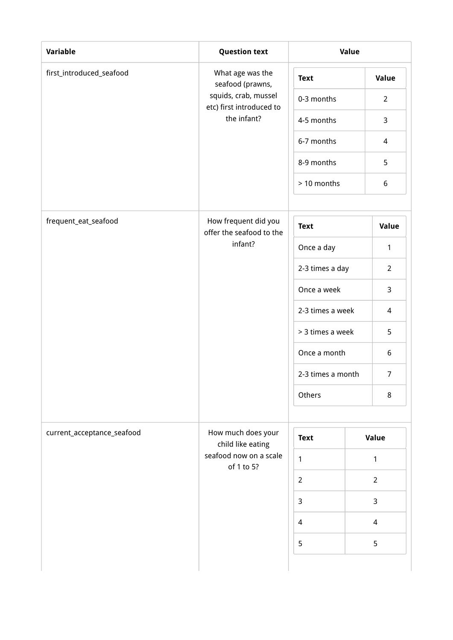| <b>Variable</b>            | <b>Question text</b>                             | Value             |                          |  |
|----------------------------|--------------------------------------------------|-------------------|--------------------------|--|
| first_introduced_seafood   | What age was the<br>seafood (prawns,             | <b>Text</b>       | Value                    |  |
|                            | squids, crab, mussel<br>etc) first introduced to | 0-3 months        | $\overline{2}$           |  |
|                            | the infant?                                      | 4-5 months        | 3                        |  |
|                            |                                                  | 6-7 months        | $\overline{4}$           |  |
|                            |                                                  | 8-9 months        | 5                        |  |
|                            |                                                  | > 10 months       | $\boldsymbol{6}$         |  |
| frequent_eat_seafood       | How frequent did you<br>offer the seafood to the | <b>Text</b>       | Value                    |  |
|                            | infant?<br>Once a day                            |                   | $\mathbf{1}$             |  |
|                            | Once a week                                      | 2-3 times a day   | $\overline{2}$           |  |
|                            |                                                  | 3                 |                          |  |
|                            |                                                  | 2-3 times a week  | 4                        |  |
|                            |                                                  | > 3 times a week  | 5                        |  |
|                            |                                                  | Once a month      | 6                        |  |
|                            |                                                  | 2-3 times a month | $\overline{7}$           |  |
|                            |                                                  | Others            | 8                        |  |
| current_acceptance_seafood | How much does your<br>child like eating          | <b>Text</b>       | Value                    |  |
|                            | seafood now on a scale<br>of 1 to 5?             | $\mathbf{1}$      | 1                        |  |
|                            |                                                  | $\overline{2}$    | $\overline{2}$           |  |
|                            |                                                  | 3                 | 3                        |  |
|                            |                                                  | $\overline{4}$    | $\overline{\mathcal{A}}$ |  |
|                            |                                                  | 5                 | 5                        |  |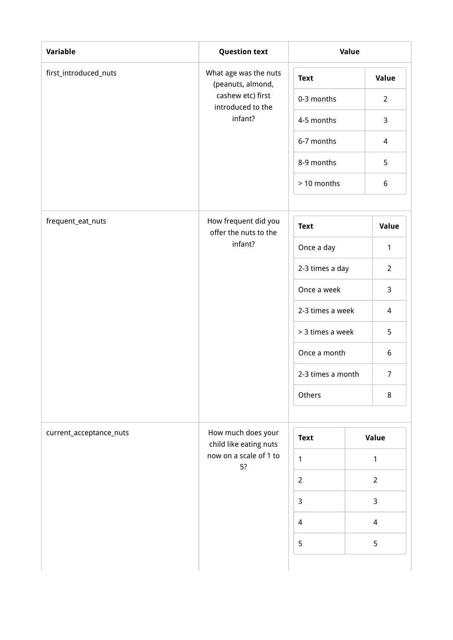| Variable                | <b>Question text</b>                          | Value             |                |  |
|-------------------------|-----------------------------------------------|-------------------|----------------|--|
| first_introduced_nuts   | What age was the nuts<br>(peanuts, almond,    | <b>Text</b>       | Value          |  |
|                         | cashew etc) first<br>introduced to the        | 0-3 months        | $\overline{2}$ |  |
|                         | infant?                                       | 4-5 months        | 3              |  |
|                         |                                               | 6-7 months        | $\overline{4}$ |  |
|                         |                                               | 8-9 months        | 5              |  |
|                         |                                               | > 10 months       | 6              |  |
| frequent_eat_nuts       | How frequent did you<br>offer the nuts to the | <b>Text</b>       | Value          |  |
|                         | infant?                                       | Once a day        | $\mathbf{1}$   |  |
|                         |                                               | 2-3 times a day   | $\overline{2}$ |  |
|                         |                                               | Once a week       | 3              |  |
|                         | 2-3 times a week                              |                   | 4              |  |
|                         |                                               | > 3 times a week  | 5              |  |
|                         |                                               | Once a month      | 6              |  |
|                         |                                               | 2-3 times a month | $\overline{7}$ |  |
|                         |                                               | Others            | $\,8\,$        |  |
| current_acceptance_nuts | How much does your<br>child like eating nuts  | <b>Text</b>       | Value          |  |
|                         | now on a scale of 1 to<br>5?                  | $\mathbf{1}$      |                |  |
|                         |                                               | $\overline{2}$    | $\overline{2}$ |  |
|                         |                                               | $\mathbf{3}$      | 3              |  |
|                         |                                               | 4                 | $\overline{4}$ |  |
|                         |                                               | 5                 | 5              |  |
|                         |                                               |                   |                |  |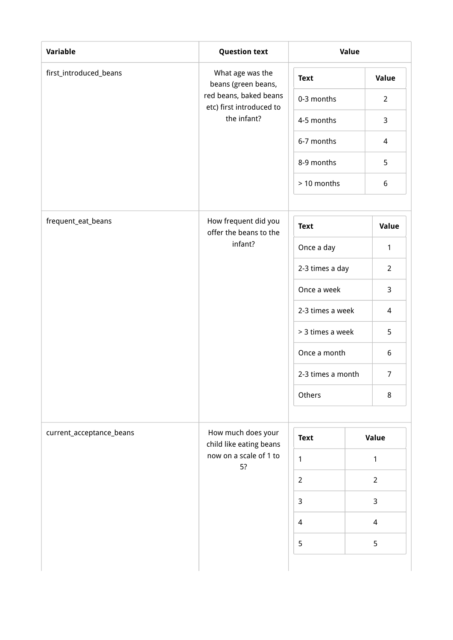| Variable                 | <b>Question text</b>                               | Value             |                |                |
|--------------------------|----------------------------------------------------|-------------------|----------------|----------------|
| first_introduced_beans   | What age was the<br>beans (green beans,            | <b>Text</b>       |                | Value          |
|                          | red beans, baked beans<br>etc) first introduced to | 0-3 months        |                | $\overline{2}$ |
|                          | the infant?                                        | 4-5 months        |                | 3              |
|                          |                                                    | 6-7 months        |                | $\overline{4}$ |
|                          |                                                    | 8-9 months        |                | 5              |
|                          |                                                    | > 10 months       |                | 6              |
| frequent_eat_beans       | How frequent did you<br>offer the beans to the     | <b>Text</b>       |                | Value          |
|                          | infant?                                            | Once a day        |                | 1              |
|                          | 2-3 times a day<br>Once a week<br>2-3 times a week |                   |                | $\overline{2}$ |
|                          |                                                    |                   |                | 3              |
|                          |                                                    |                   |                | 4              |
|                          |                                                    | > 3 times a week  |                | 5              |
|                          |                                                    | Once a month      |                | 6              |
|                          |                                                    | 2-3 times a month |                | $\overline{7}$ |
|                          |                                                    | Others            |                | 8              |
| current_acceptance_beans | How much does your<br>child like eating beans      | <b>Text</b>       | Value          |                |
|                          | now on a scale of 1 to                             | $\mathbf{1}$      | 1              |                |
|                          | 5?                                                 | $\overline{2}$    |                |                |
|                          |                                                    | $\mathbf{3}$      | 3              |                |
|                          |                                                    | $\overline{4}$    | $\overline{4}$ |                |
|                          |                                                    | 5                 | 5              |                |
|                          |                                                    |                   |                |                |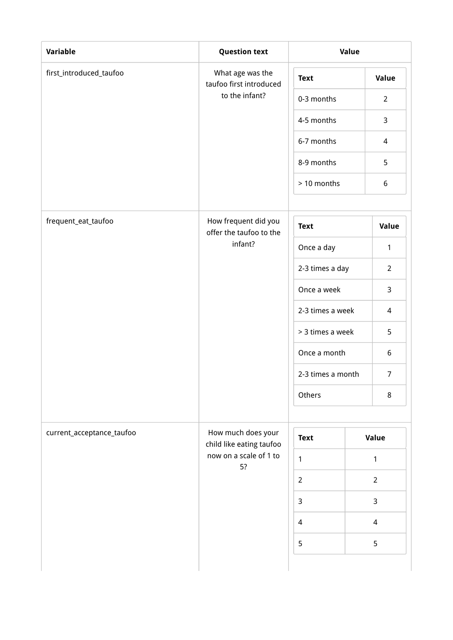| Variable                  | <b>Question text</b>                            |                   | Value           |  |  |  |
|---------------------------|-------------------------------------------------|-------------------|-----------------|--|--|--|
| first_introduced_taufoo   | What age was the<br>taufoo first introduced     | <b>Text</b>       | Value           |  |  |  |
|                           | to the infant?                                  | 0-3 months        | $\overline{2}$  |  |  |  |
|                           |                                                 | 4-5 months        | $\mathbf{3}$    |  |  |  |
|                           |                                                 | 6-7 months        | $\overline{4}$  |  |  |  |
|                           |                                                 | 8-9 months        | 5               |  |  |  |
|                           |                                                 | > 10 months       | $6\phantom{.}6$ |  |  |  |
| frequent_eat_taufoo       | How frequent did you<br>offer the taufoo to the | <b>Text</b>       | Value           |  |  |  |
|                           | infant?                                         | Once a day        | $\mathbf{1}$    |  |  |  |
|                           |                                                 | 2-3 times a day   | $\overline{2}$  |  |  |  |
|                           |                                                 | Once a week       | 3               |  |  |  |
|                           |                                                 | 2-3 times a week  | $\overline{4}$  |  |  |  |
|                           |                                                 | > 3 times a week  | 5               |  |  |  |
|                           |                                                 | Once a month      | $6\,$           |  |  |  |
|                           |                                                 | 2-3 times a month | $\overline{7}$  |  |  |  |
|                           |                                                 | Others            | $\bf 8$         |  |  |  |
| current_acceptance_taufoo | How much does your<br>child like eating taufoo  | <b>Text</b>       | Value           |  |  |  |
|                           | now on a scale of 1 to<br>5?                    | $\mathbf{1}$      | $\mathbf{1}$    |  |  |  |
|                           |                                                 | $\overline{2}$    | $\overline{2}$  |  |  |  |
|                           |                                                 | $\mathsf{3}$      | 3               |  |  |  |
|                           |                                                 | $\overline{a}$    | $\overline{4}$  |  |  |  |
|                           |                                                 | $\mathsf S$       | 5               |  |  |  |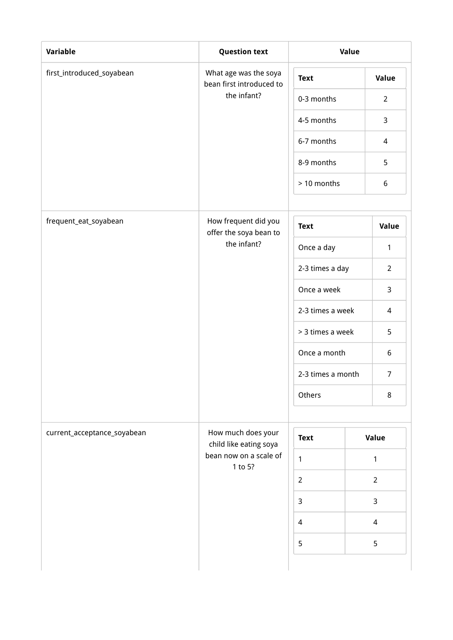| Variable                    | <b>Question text</b>                                             | Value             |       |                |
|-----------------------------|------------------------------------------------------------------|-------------------|-------|----------------|
| first_introduced_soyabean   | What age was the soya<br>bean first introduced to                | <b>Text</b>       |       | <b>Value</b>   |
|                             | the infant?                                                      | 0-3 months        |       | $\overline{2}$ |
|                             |                                                                  | 4-5 months        |       | 3              |
|                             |                                                                  | 6-7 months        |       | $\overline{4}$ |
|                             |                                                                  | 8-9 months        |       | 5              |
|                             |                                                                  | > 10 months       |       | 6              |
| frequent_eat_soyabean       | How frequent did you<br>offer the soya bean to                   | <b>Text</b>       | Value |                |
|                             | the infant?                                                      | Once a day        |       | $\mathbf{1}$   |
|                             | 2-3 times a day<br>Once a week<br>2-3 times a week               |                   |       | $\overline{2}$ |
|                             |                                                                  |                   |       | $\mathbf{3}$   |
|                             |                                                                  |                   |       | 4              |
|                             |                                                                  | > 3 times a week  |       | 5              |
|                             |                                                                  | Once a month      |       | 6              |
|                             |                                                                  | 2-3 times a month |       | $\overline{7}$ |
|                             |                                                                  | Others            |       | 8              |
| current_acceptance_soyabean | How much does your                                               | <b>Text</b>       |       | Value          |
|                             | child like eating soya<br>bean now on a scale of<br>$\mathbf{1}$ |                   |       | 1              |
|                             | 1 to 5?                                                          | $\overline{2}$    |       | $\overline{2}$ |
|                             |                                                                  | $\overline{3}$    |       | $\mathsf{3}$   |
|                             |                                                                  | $\overline{4}$    |       | $\overline{4}$ |
|                             |                                                                  | 5                 |       | 5              |
|                             |                                                                  |                   |       |                |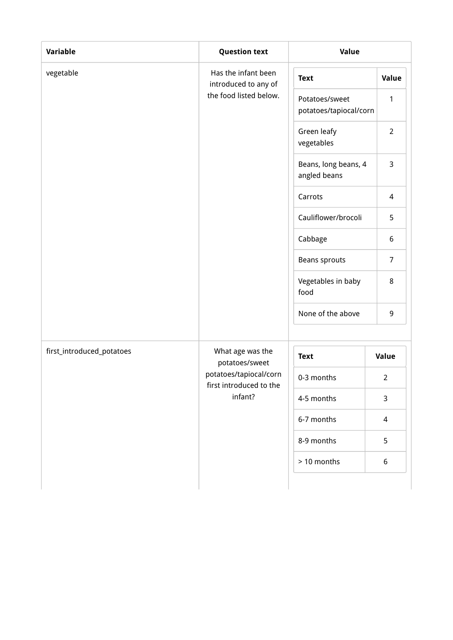| Variable                  | <b>Question text</b>                              | Value                                    |                          |  |
|---------------------------|---------------------------------------------------|------------------------------------------|--------------------------|--|
| vegetable                 | Has the infant been<br>introduced to any of       | <b>Text</b>                              | Value                    |  |
|                           | the food listed below.                            | Potatoes/sweet<br>potatoes/tapiocal/corn | 1                        |  |
|                           |                                                   | Green leafy<br>vegetables                | $\overline{2}$           |  |
|                           |                                                   | Beans, long beans, 4<br>angled beans     | 3                        |  |
|                           |                                                   | Carrots                                  | $\overline{4}$           |  |
|                           |                                                   | Cauliflower/brocoli                      | 5                        |  |
|                           |                                                   | Cabbage                                  | 6                        |  |
|                           |                                                   | Beans sprouts                            | $\overline{7}$           |  |
|                           |                                                   | Vegetables in baby<br>food               | 8                        |  |
|                           |                                                   | None of the above                        | 9                        |  |
|                           |                                                   |                                          |                          |  |
| first_introduced_potatoes | What age was the<br>potatoes/sweet                | <b>Text</b>                              | Value                    |  |
|                           | potatoes/tapiocal/corn<br>first introduced to the | 0-3 months                               | $\overline{2}$           |  |
|                           | infant?                                           | 4-5 months                               | 3                        |  |
|                           |                                                   | 6-7 months                               | $\overline{\mathcal{L}}$ |  |
|                           |                                                   | 8-9 months                               | 5                        |  |
|                           |                                                   | > 10 months                              | 6                        |  |
|                           |                                                   |                                          |                          |  |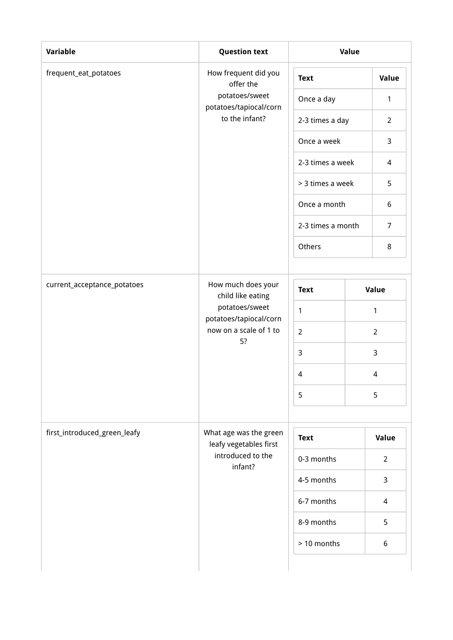| Variable                     | <b>Question text</b>                             | Value             |                 |                |  |
|------------------------------|--------------------------------------------------|-------------------|-----------------|----------------|--|
| frequent_eat_potatoes        | How frequent did you<br>offer the                | <b>Text</b>       |                 | Value          |  |
|                              | potatoes/sweet<br>potatoes/tapiocal/corn         | Once a day        |                 | 1              |  |
|                              | to the infant?                                   |                   | 2-3 times a day |                |  |
|                              |                                                  | Once a week       |                 | $\mathbf{3}$   |  |
|                              |                                                  | 2-3 times a week  |                 | 4              |  |
|                              |                                                  | > 3 times a week  |                 | 5              |  |
|                              |                                                  | Once a month      |                 | 6              |  |
|                              |                                                  | 2-3 times a month |                 | $\overline{7}$ |  |
|                              |                                                  | Others            |                 | 8              |  |
|                              |                                                  |                   |                 |                |  |
| current_acceptance_potatoes  | How much does your<br>child like eating          | <b>Text</b>       |                 | Value          |  |
|                              | potatoes/sweet<br>potatoes/tapiocal/corn         | 1                 |                 | 1              |  |
|                              | now on a scale of 1 to<br>5?                     | $\overline{2}$    |                 | $\overline{2}$ |  |
|                              |                                                  | $\mathsf{3}$      |                 | 3              |  |
|                              |                                                  | $\overline{4}$    |                 | 4              |  |
|                              |                                                  | 5                 |                 | 5              |  |
|                              |                                                  |                   |                 |                |  |
| first_introduced_green_leafy | What age was the green<br>leafy vegetables first | <b>Text</b>       |                 | <b>Value</b>   |  |
|                              | introduced to the<br>infant?                     | 0-3 months        |                 | $\overline{2}$ |  |
|                              |                                                  | 4-5 months        |                 | 3              |  |
|                              |                                                  | 6-7 months        |                 | $\overline{4}$ |  |
|                              |                                                  | 8-9 months        |                 | 5              |  |
|                              |                                                  | > 10 months       |                 | 6              |  |
|                              |                                                  |                   |                 |                |  |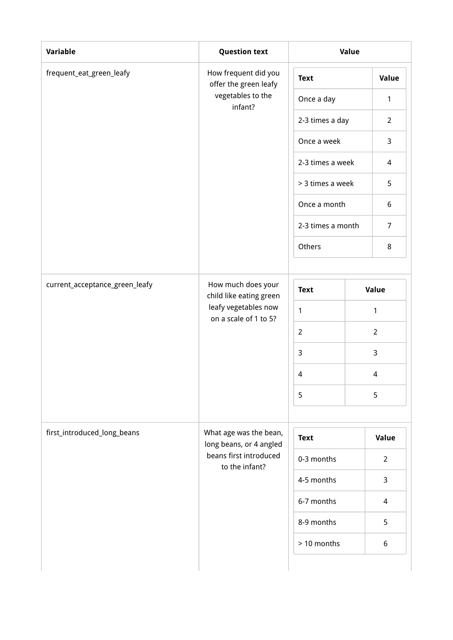| Variable                       | <b>Question text</b>                              | Value             |   |                  |  |
|--------------------------------|---------------------------------------------------|-------------------|---|------------------|--|
| frequent_eat_green_leafy       | How frequent did you<br>offer the green leafy     | <b>Text</b>       |   | Value            |  |
|                                | vegetables to the<br>infant?                      | Once a day        |   | 1                |  |
|                                |                                                   | 2-3 times a day   |   | $\overline{2}$   |  |
|                                |                                                   | Once a week       |   | $\mathbf{3}$     |  |
|                                |                                                   | 2-3 times a week  |   | 4                |  |
|                                |                                                   | > 3 times a week  |   | 5                |  |
|                                |                                                   | Once a month      |   | $\boldsymbol{6}$ |  |
|                                |                                                   | 2-3 times a month |   | $\overline{7}$   |  |
|                                |                                                   | Others            |   | 8                |  |
|                                |                                                   |                   |   |                  |  |
| current_acceptance_green_leafy | How much does your<br>child like eating green     | <b>Text</b>       |   | Value            |  |
|                                | leafy vegetables now<br>on a scale of 1 to 5?     | 1                 |   | 1                |  |
|                                |                                                   | $\overline{2}$    |   | $\overline{2}$   |  |
|                                |                                                   | $\mathsf{3}$      |   | 3                |  |
|                                | $\overline{4}$<br>5                               |                   |   | 4                |  |
|                                |                                                   |                   | 5 |                  |  |
|                                |                                                   |                   |   |                  |  |
| first_introduced_long_beans    | What age was the bean,<br>long beans, or 4 angled | <b>Text</b>       |   | <b>Value</b>     |  |
|                                | beans first introduced<br>to the infant?          | 0-3 months        |   | $\overline{2}$   |  |
|                                |                                                   | 4-5 months        |   | 3                |  |
|                                |                                                   | 6-7 months        |   | $\overline{4}$   |  |
|                                |                                                   | 8-9 months        |   | 5                |  |
|                                |                                                   | > 10 months       |   | 6                |  |
|                                |                                                   |                   |   |                  |  |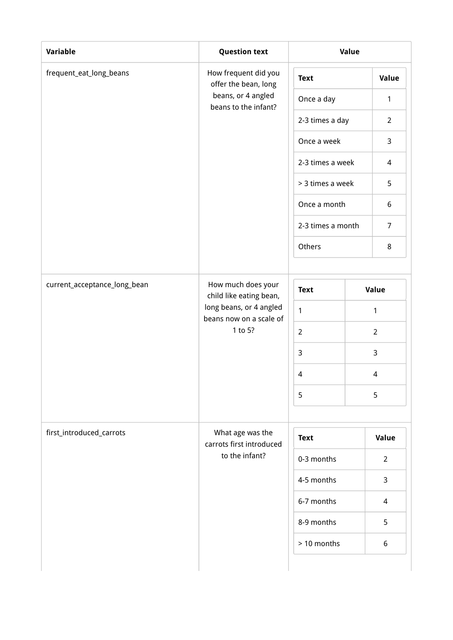| frequent_eat_long_beans      | How frequent did you<br>offer the bean, long<br>beans, or 4 angled<br>beans to the infant? | <b>Text</b><br>Once a day<br>2-3 times a day |  | Value<br>1       |
|------------------------------|--------------------------------------------------------------------------------------------|----------------------------------------------|--|------------------|
|                              |                                                                                            |                                              |  |                  |
|                              |                                                                                            |                                              |  |                  |
|                              |                                                                                            |                                              |  | $\overline{2}$   |
|                              |                                                                                            | Once a week                                  |  | 3                |
|                              |                                                                                            | 2-3 times a week                             |  | 4                |
|                              |                                                                                            | > 3 times a week                             |  | 5                |
|                              |                                                                                            | Once a month                                 |  | $\boldsymbol{6}$ |
|                              |                                                                                            | 2-3 times a month<br>Others                  |  | $\overline{7}$   |
|                              |                                                                                            |                                              |  | 8                |
|                              |                                                                                            |                                              |  |                  |
| current_acceptance_long_bean | How much does your<br>child like eating bean,                                              | <b>Text</b>                                  |  | Value            |
|                              | long beans, or 4 angled<br>beans now on a scale of<br>1 to 5?                              | $\mathbf{1}$                                 |  | 1                |
|                              |                                                                                            | $\overline{2}$                               |  | $\overline{2}$   |
|                              |                                                                                            | $\mathsf{3}$                                 |  | 3                |
|                              |                                                                                            | $\overline{4}$                               |  | 4                |
|                              |                                                                                            | 5                                            |  | 5                |
|                              |                                                                                            |                                              |  |                  |
| first_introduced_carrots     | What age was the<br>carrots first introduced                                               | <b>Text</b>                                  |  | Value            |
|                              | to the infant?                                                                             | 0-3 months                                   |  | $\overline{2}$   |
|                              |                                                                                            | 4-5 months                                   |  | 3                |
|                              |                                                                                            | 6-7 months                                   |  | $\overline{4}$   |
|                              |                                                                                            | 8-9 months                                   |  | 5                |
|                              |                                                                                            | > 10 months                                  |  | 6                |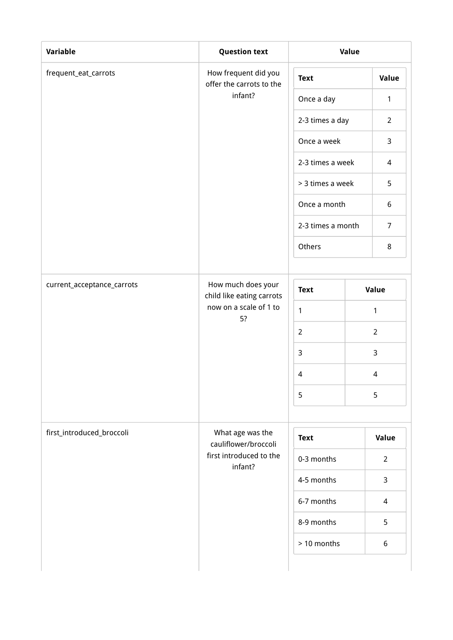| Variable                   | <b>Question text</b>                             | Value            |                |                          |  |
|----------------------------|--------------------------------------------------|------------------|----------------|--------------------------|--|
| frequent_eat_carrots       | How frequent did you<br>offer the carrots to the | <b>Text</b>      |                | Value                    |  |
|                            | infant?                                          | Once a day       |                | $\mathbf{1}$             |  |
|                            |                                                  | 2-3 times a day  |                | $\overline{2}$           |  |
|                            |                                                  | Once a week      |                | $\mathsf{3}$             |  |
|                            |                                                  | 2-3 times a week |                | 4                        |  |
|                            |                                                  | > 3 times a week |                | 5                        |  |
|                            | Once a month<br>2-3 times a month                |                  |                | $\boldsymbol{6}$         |  |
|                            |                                                  |                  | $\overline{7}$ |                          |  |
|                            |                                                  | Others           |                | 8                        |  |
|                            |                                                  |                  |                |                          |  |
| current_acceptance_carrots | How much does your<br>child like eating carrots  | <b>Text</b>      |                | Value                    |  |
|                            | now on a scale of 1 to<br>5?                     | 1                |                | $\mathbf{1}$             |  |
|                            |                                                  | $\overline{2}$   |                | $\overline{2}$           |  |
|                            |                                                  | 3                |                | 3                        |  |
|                            |                                                  | $\overline{4}$   |                | 4                        |  |
|                            |                                                  | 5                |                | 5                        |  |
|                            |                                                  |                  |                |                          |  |
| first_introduced_broccoli  | What age was the<br>cauliflower/broccoli         | <b>Text</b>      |                | Value                    |  |
|                            | first introduced to the<br>infant?               | 0-3 months       |                | $\overline{2}$           |  |
|                            |                                                  | 4-5 months       |                | 3                        |  |
|                            |                                                  | 6-7 months       |                | $\overline{\mathcal{L}}$ |  |
|                            |                                                  | 8-9 months       |                | 5                        |  |
|                            |                                                  | > 10 months      |                | 6                        |  |
|                            |                                                  |                  |                |                          |  |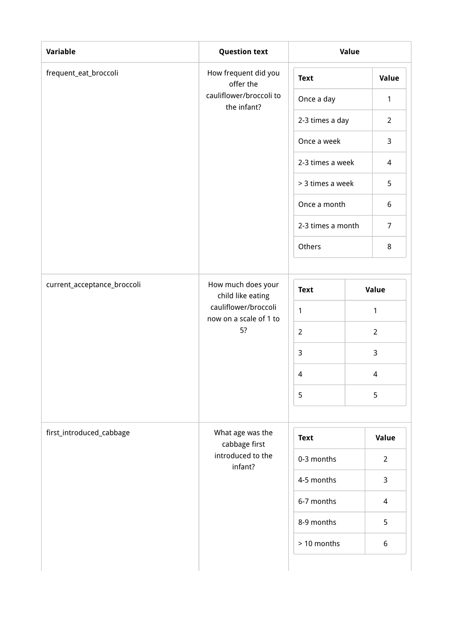| Variable                    | <b>Question text</b>                                 | Value             |  |                          |  |
|-----------------------------|------------------------------------------------------|-------------------|--|--------------------------|--|
| frequent_eat_broccoli       | How frequent did you<br>offer the                    | <b>Text</b>       |  | Value                    |  |
|                             | cauliflower/broccoli to<br>the infant?               | Once a day        |  | $\mathbf{1}$             |  |
|                             |                                                      | 2-3 times a day   |  | $\overline{2}$           |  |
|                             |                                                      | Once a week       |  | 3                        |  |
|                             |                                                      | 2-3 times a week  |  | 4                        |  |
|                             |                                                      | > 3 times a week  |  | 5                        |  |
|                             | Once a month                                         |                   |  | $\boldsymbol{6}$         |  |
|                             |                                                      | 2-3 times a month |  | $\overline{7}$           |  |
|                             |                                                      | Others            |  | 8                        |  |
|                             |                                                      |                   |  |                          |  |
| current_acceptance_broccoli | How much does your<br>child like eating              | <b>Text</b>       |  | Value                    |  |
|                             | cauliflower/broccoli<br>now on a scale of 1 to<br>5? | $\mathbf{1}$      |  | 1                        |  |
|                             |                                                      | $\overline{2}$    |  | $\overline{2}$           |  |
|                             |                                                      | $\mathsf{3}$      |  | 3                        |  |
|                             |                                                      | $\overline{4}$    |  | 4                        |  |
|                             |                                                      | 5                 |  | 5                        |  |
|                             |                                                      |                   |  |                          |  |
| first_introduced_cabbage    | What age was the<br>cabbage first                    | <b>Text</b>       |  | Value                    |  |
|                             | introduced to the<br>infant?                         | 0-3 months        |  | $\overline{2}$           |  |
|                             |                                                      | 4-5 months        |  | 3                        |  |
|                             |                                                      | 6-7 months        |  | $\overline{\mathcal{L}}$ |  |
|                             |                                                      | 8-9 months        |  | 5                        |  |
|                             |                                                      | > 10 months       |  | 6                        |  |
|                             |                                                      |                   |  |                          |  |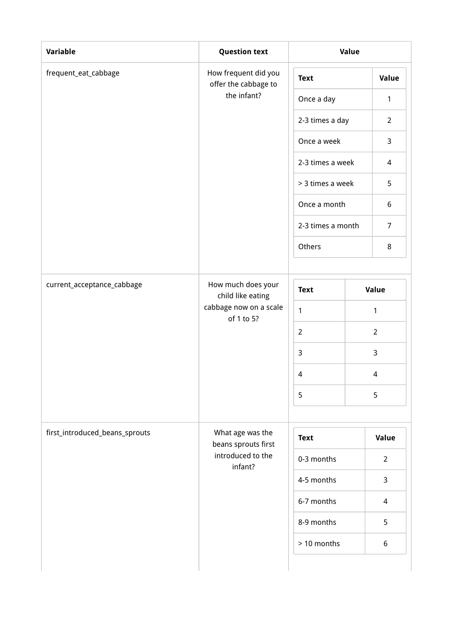| Variable                       | <b>Question text</b>                         | <b>Value</b>                                          |  |                  |  |
|--------------------------------|----------------------------------------------|-------------------------------------------------------|--|------------------|--|
| frequent_eat_cabbage           | How frequent did you<br>offer the cabbage to | <b>Text</b>                                           |  | Value            |  |
|                                | the infant?                                  | Once a day                                            |  | $\mathbf{1}$     |  |
|                                |                                              | 2-3 times a day                                       |  | $\overline{2}$   |  |
|                                |                                              | Once a week                                           |  | 3                |  |
|                                |                                              | 2-3 times a week                                      |  | 4                |  |
|                                |                                              | > 3 times a week<br>Once a month<br>2-3 times a month |  | 5                |  |
|                                |                                              |                                                       |  | $\boldsymbol{6}$ |  |
|                                |                                              |                                                       |  | $\overline{7}$   |  |
|                                |                                              | Others                                                |  | 8                |  |
|                                |                                              |                                                       |  |                  |  |
| current_acceptance_cabbage     | How much does your<br>child like eating      | <b>Text</b>                                           |  | Value            |  |
|                                | cabbage now on a scale<br>of 1 to 5?         | $\mathbf{1}$                                          |  | 1                |  |
|                                |                                              | $\overline{2}$                                        |  | $\overline{2}$   |  |
|                                |                                              | $\mathsf{3}$                                          |  | 3                |  |
|                                |                                              | $\overline{4}$                                        |  | 4                |  |
|                                |                                              | 5                                                     |  | 5                |  |
|                                |                                              |                                                       |  |                  |  |
| first_introduced_beans_sprouts | What age was the<br>beans sprouts first      | <b>Text</b>                                           |  | Value            |  |
|                                | introduced to the<br>infant?                 | 0-3 months                                            |  | $\overline{2}$   |  |
|                                |                                              | 4-5 months                                            |  | 3                |  |
|                                |                                              | 6-7 months                                            |  | $\overline{4}$   |  |
|                                |                                              | 8-9 months                                            |  | 5                |  |
|                                |                                              | > 10 months                                           |  | 6                |  |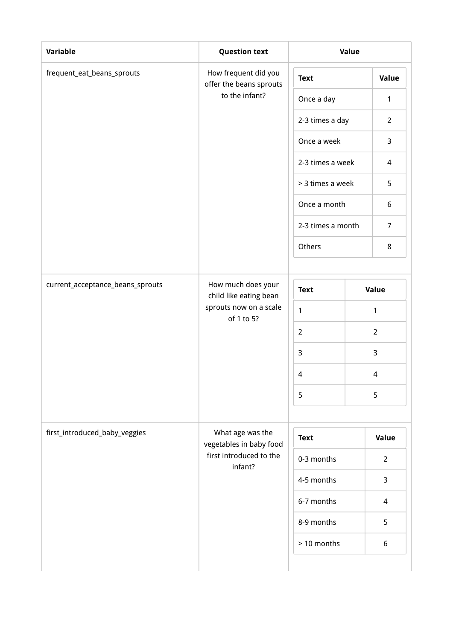| frequent_eat_beans_sprouts       | How frequent did you<br>offer the beans sprouts<br>to the infant? | <b>Text</b>       |  | Value                    |
|----------------------------------|-------------------------------------------------------------------|-------------------|--|--------------------------|
|                                  |                                                                   |                   |  |                          |
|                                  |                                                                   | Once a day        |  | 1                        |
|                                  |                                                                   | 2-3 times a day   |  | $\overline{2}$           |
|                                  |                                                                   | Once a week       |  | 3                        |
|                                  |                                                                   | 2-3 times a week  |  | 4                        |
|                                  |                                                                   | > 3 times a week  |  | 5                        |
|                                  |                                                                   | Once a month      |  | $\boldsymbol{6}$         |
|                                  |                                                                   | 2-3 times a month |  | $\overline{7}$           |
|                                  |                                                                   | Others            |  | 8                        |
|                                  |                                                                   |                   |  |                          |
| current_acceptance_beans_sprouts | How much does your<br>child like eating bean                      | <b>Text</b>       |  | Value                    |
|                                  | sprouts now on a scale<br>of 1 to 5?                              | $\mathbf{1}$      |  | 1                        |
|                                  |                                                                   | $\overline{2}$    |  | $\overline{2}$           |
|                                  |                                                                   | $\mathsf{3}$      |  | 3                        |
|                                  |                                                                   | $\overline{4}$    |  | 4                        |
|                                  |                                                                   | 5                 |  | 5                        |
|                                  |                                                                   |                   |  |                          |
| first_introduced_baby_veggies    | What age was the<br>vegetables in baby food                       | <b>Text</b>       |  | Value                    |
|                                  | first introduced to the<br>infant?                                | 0-3 months        |  | $\overline{2}$           |
|                                  |                                                                   | 4-5 months        |  | 3                        |
|                                  |                                                                   | 6-7 months        |  | $\overline{\mathcal{L}}$ |
|                                  |                                                                   | 8-9 months        |  | 5                        |
|                                  |                                                                   | > 10 months       |  | 6                        |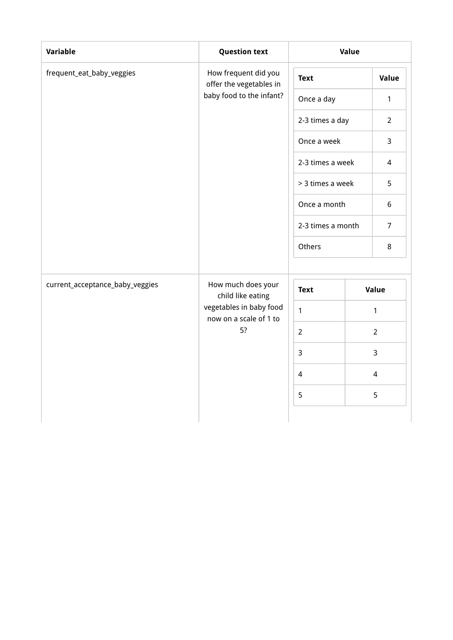| Variable                        | <b>Question text</b>                              | Value                          |              |                |
|---------------------------------|---------------------------------------------------|--------------------------------|--------------|----------------|
| frequent_eat_baby_veggies       | How frequent did you<br>offer the vegetables in   | <b>Text</b>                    |              | Value          |
|                                 | baby food to the infant?                          | Once a day                     |              | 1              |
|                                 |                                                   | 2-3 times a day<br>Once a week |              | $\overline{2}$ |
|                                 |                                                   |                                |              | 3              |
|                                 |                                                   | 2-3 times a week               |              | $\overline{4}$ |
|                                 |                                                   | > 3 times a week               |              |                |
|                                 |                                                   |                                | Once a month | 6              |
|                                 |                                                   | 2-3 times a month              |              | $\overline{7}$ |
|                                 |                                                   | Others                         |              | 8              |
| current_acceptance_baby_veggies | How much does your<br>child like eating           | <b>Text</b>                    |              | Value          |
|                                 | vegetables in baby food<br>now on a scale of 1 to | $\mathbf{1}$                   |              | $\mathbf{1}$   |
|                                 | 5?                                                | $\overline{2}$                 |              | $\overline{2}$ |
|                                 |                                                   | $\overline{3}$                 |              | 3              |
|                                 |                                                   | $\overline{4}$                 |              | $\overline{4}$ |
|                                 |                                                   | 5                              |              | 5              |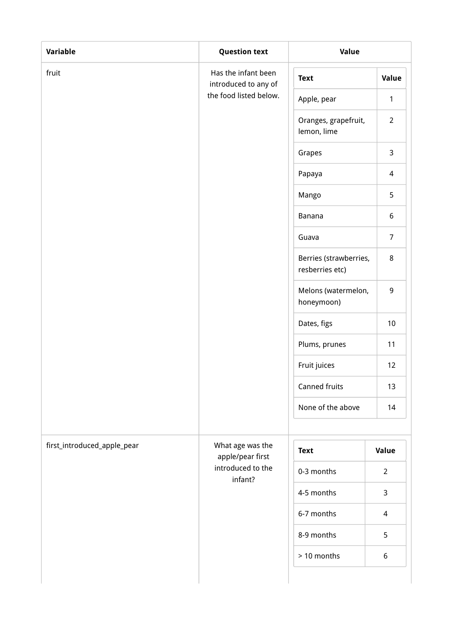| Variable                    | <b>Question text</b>                        | <b>Value</b>                              |                |  |
|-----------------------------|---------------------------------------------|-------------------------------------------|----------------|--|
| fruit                       | Has the infant been<br>introduced to any of | <b>Text</b>                               | Value          |  |
|                             | the food listed below.                      | Apple, pear                               | $\mathbf{1}$   |  |
|                             |                                             | Oranges, grapefruit,<br>lemon, lime       | $\overline{2}$ |  |
|                             |                                             | Grapes                                    | 3              |  |
|                             |                                             | Papaya                                    | 4              |  |
|                             |                                             | Mango                                     | 5              |  |
|                             |                                             | Banana                                    | 6              |  |
|                             |                                             | Guava                                     | $\overline{7}$ |  |
|                             |                                             | Berries (strawberries,<br>resberries etc) | 8              |  |
|                             |                                             | Melons (watermelon,<br>honeymoon)         | 9              |  |
|                             |                                             | Dates, figs                               | 10             |  |
|                             |                                             | Plums, prunes                             | 11             |  |
|                             |                                             | Fruit juices                              | 12             |  |
|                             |                                             | Canned fruits                             | 13             |  |
|                             |                                             | None of the above                         | 14             |  |
| first_introduced_apple_pear | What age was the                            | <b>Text</b>                               | <b>Value</b>   |  |
|                             | apple/pear first<br>introduced to the       | 0-3 months                                | $\overline{2}$ |  |
|                             | infant?                                     | 4-5 months                                | 3              |  |
|                             |                                             | 6-7 months                                | 4              |  |
|                             |                                             | 8-9 months                                | 5              |  |
|                             |                                             | > 10 months                               | 6              |  |
|                             |                                             |                                           |                |  |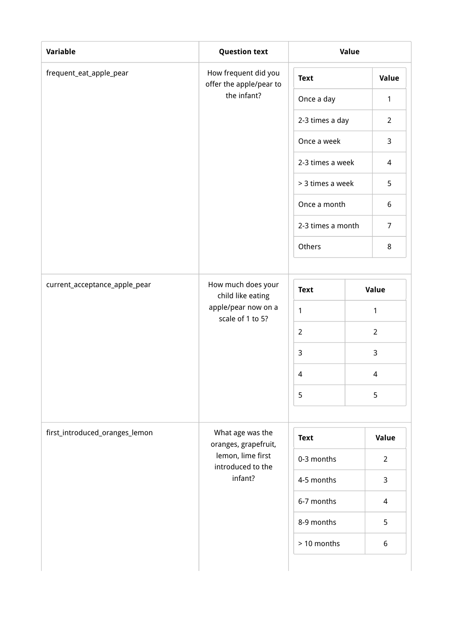| Variable                       | <b>Question text</b>                            | <b>Value</b>                     |  |                  |  |
|--------------------------------|-------------------------------------------------|----------------------------------|--|------------------|--|
| frequent_eat_apple_pear        | How frequent did you<br>offer the apple/pear to | <b>Text</b>                      |  | Value            |  |
|                                | the infant?                                     | Once a day                       |  | $\mathbf{1}$     |  |
|                                |                                                 | 2-3 times a day                  |  | $\overline{2}$   |  |
|                                |                                                 | Once a week                      |  | 3                |  |
|                                |                                                 | 2-3 times a week                 |  | 4                |  |
|                                |                                                 | > 3 times a week<br>Once a month |  | 5                |  |
|                                |                                                 |                                  |  | $\boldsymbol{6}$ |  |
|                                |                                                 | 2-3 times a month                |  | $\overline{7}$   |  |
|                                |                                                 | Others                           |  | 8                |  |
|                                |                                                 |                                  |  |                  |  |
| current_acceptance_apple_pear  | How much does your<br>child like eating         | <b>Text</b>                      |  | Value            |  |
|                                | apple/pear now on a<br>scale of 1 to 5?         | $\mathbf{1}$                     |  | 1                |  |
|                                | $\overline{2}$                                  |                                  |  | $\overline{2}$   |  |
|                                |                                                 | $\mathbf{3}$                     |  | 3                |  |
|                                |                                                 | $\sqrt{4}$                       |  | 4                |  |
|                                |                                                 | 5                                |  | 5                |  |
|                                |                                                 |                                  |  |                  |  |
| first_introduced_oranges_lemon | What age was the<br>oranges, grapefruit,        | <b>Text</b>                      |  | Value            |  |
|                                | lemon, lime first<br>introduced to the          | 0-3 months                       |  | $\overline{2}$   |  |
|                                | infant?                                         | 4-5 months                       |  |                  |  |
|                                |                                                 | 6-7 months                       |  | 4                |  |
|                                |                                                 | 8-9 months                       |  | 5                |  |
|                                |                                                 | > 10 months                      |  | 6                |  |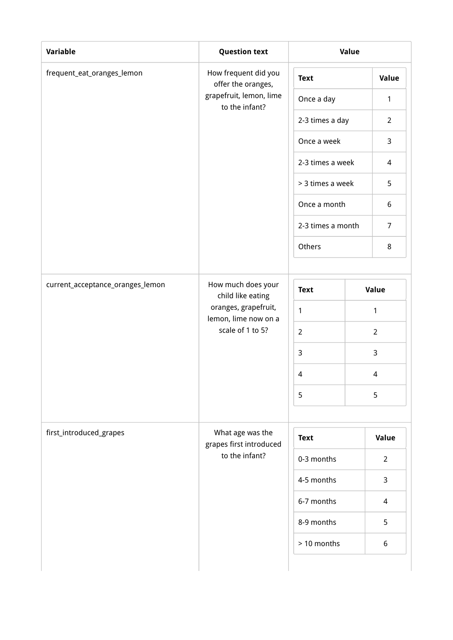| Variable                         | <b>Question text</b>                         | Value                       |   |                  |  |
|----------------------------------|----------------------------------------------|-----------------------------|---|------------------|--|
| frequent_eat_oranges_lemon       | How frequent did you<br>offer the oranges,   | <b>Text</b>                 |   | Value            |  |
|                                  | grapefruit, lemon, lime<br>to the infant?    | Once a day                  |   | 1                |  |
|                                  |                                              | 2-3 times a day             |   | $\overline{2}$   |  |
|                                  |                                              | Once a week                 |   | 3                |  |
|                                  |                                              | 2-3 times a week            |   | 4                |  |
|                                  |                                              | > 3 times a week            |   | 5                |  |
|                                  |                                              | Once a month                |   | $\boldsymbol{6}$ |  |
|                                  |                                              | 2-3 times a month<br>Others |   | $\overline{7}$   |  |
|                                  |                                              |                             |   | 8                |  |
|                                  |                                              |                             |   |                  |  |
| current_acceptance_oranges_lemon | How much does your<br>child like eating      | <b>Text</b>                 |   | Value            |  |
|                                  | oranges, grapefruit,<br>lemon, lime now on a | $\mathbf{1}$                |   | 1                |  |
|                                  | scale of 1 to 5?                             | $\overline{2}$              |   | $\overline{2}$   |  |
|                                  |                                              | $\mathsf{3}$                | 3 |                  |  |
|                                  |                                              | $\overline{4}$              |   | 4                |  |
|                                  |                                              | 5                           |   | 5                |  |
|                                  |                                              |                             |   |                  |  |
| first_introduced_grapes          | What age was the<br>grapes first introduced  | <b>Text</b>                 |   | Value            |  |
|                                  | to the infant?                               | 0-3 months                  |   | $\overline{2}$   |  |
|                                  |                                              | 4-5 months                  |   | 3                |  |
|                                  |                                              | 6-7 months                  |   | $\overline{4}$   |  |
|                                  |                                              | 8-9 months                  |   | 5                |  |
|                                  |                                              | > 10 months                 |   | 6                |  |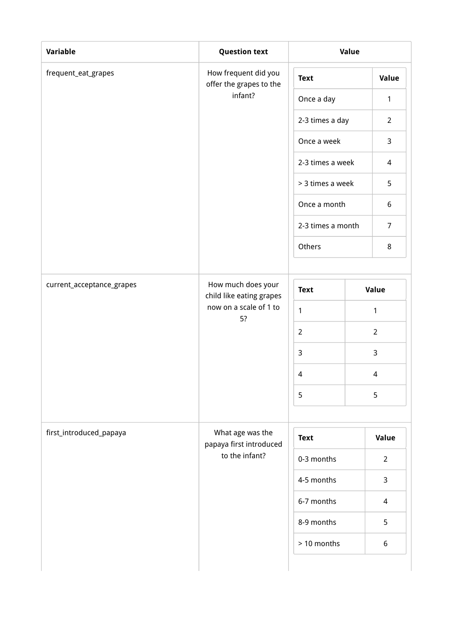| Variable                  | <b>Question text</b>                            | Value             |  |                  |  |
|---------------------------|-------------------------------------------------|-------------------|--|------------------|--|
| frequent_eat_grapes       | How frequent did you<br>offer the grapes to the | <b>Text</b>       |  | Value            |  |
|                           | infant?                                         | Once a day        |  | $\mathbf{1}$     |  |
|                           |                                                 | 2-3 times a day   |  | $\overline{2}$   |  |
|                           |                                                 | Once a week       |  | $\mathsf{3}$     |  |
|                           |                                                 | 2-3 times a week  |  | 4                |  |
|                           |                                                 | > 3 times a week  |  | 5                |  |
|                           |                                                 | Once a month      |  | $\boldsymbol{6}$ |  |
|                           |                                                 | 2-3 times a month |  | $\overline{7}$   |  |
|                           |                                                 | Others            |  | 8                |  |
|                           |                                                 |                   |  |                  |  |
| current_acceptance_grapes | How much does your<br>child like eating grapes  | <b>Text</b>       |  | Value            |  |
|                           | now on a scale of 1 to<br>5?                    | 1                 |  | $\mathbf{1}$     |  |
|                           |                                                 | $\overline{2}$    |  | $\overline{2}$   |  |
|                           |                                                 | 3                 |  | 3                |  |
|                           |                                                 | $\overline{4}$    |  | 4                |  |
|                           |                                                 | 5                 |  | 5                |  |
|                           |                                                 |                   |  |                  |  |
| first_introduced_papaya   | What age was the<br>papaya first introduced     | <b>Text</b>       |  | Value            |  |
|                           | to the infant?                                  | 0-3 months        |  | $\overline{2}$   |  |
|                           |                                                 | 4-5 months        |  | 3                |  |
|                           |                                                 | 6-7 months        |  | $\overline{4}$   |  |
|                           |                                                 | 8-9 months        |  | 5                |  |
|                           |                                                 | > 10 months       |  | 6                |  |
|                           |                                                 |                   |  |                  |  |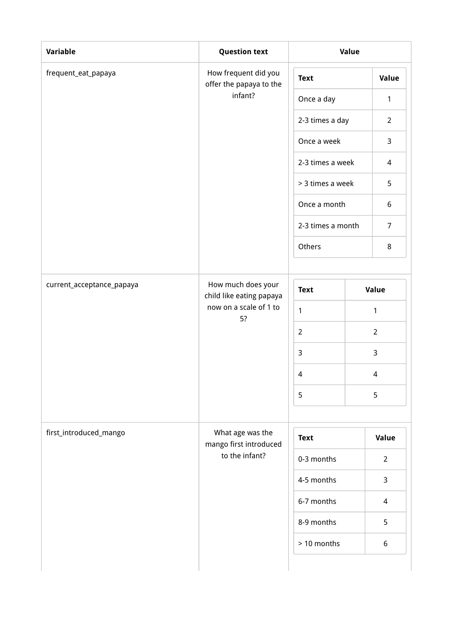| Variable                  | <b>Question text</b>                            | <b>Value</b>                |  |                          |  |
|---------------------------|-------------------------------------------------|-----------------------------|--|--------------------------|--|
| frequent_eat_papaya       | How frequent did you<br>offer the papaya to the | <b>Text</b>                 |  | Value                    |  |
|                           | infant?                                         | Once a day                  |  | $\mathbf{1}$             |  |
|                           |                                                 | 2-3 times a day             |  | $\overline{2}$           |  |
|                           |                                                 | Once a week                 |  | 3                        |  |
|                           |                                                 | 2-3 times a week            |  | 4                        |  |
|                           |                                                 | > 3 times a week            |  | 5                        |  |
|                           |                                                 | Once a month                |  | $\boldsymbol{6}$         |  |
|                           |                                                 | 2-3 times a month<br>Others |  | $\overline{7}$           |  |
|                           |                                                 |                             |  | 8                        |  |
|                           |                                                 |                             |  |                          |  |
| current_acceptance_papaya | How much does your<br>child like eating papaya  | <b>Text</b>                 |  | Value                    |  |
|                           | now on a scale of 1 to<br>5?                    | $\mathbf{1}$                |  | 1                        |  |
|                           |                                                 | $\overline{2}$              |  | $\overline{2}$           |  |
|                           |                                                 | 3                           |  | 3                        |  |
|                           |                                                 | $\sqrt{4}$                  |  | $\overline{\mathcal{A}}$ |  |
|                           |                                                 | 5                           |  | 5                        |  |
|                           |                                                 |                             |  |                          |  |
| first_introduced_mango    | What age was the<br>mango first introduced      | <b>Text</b>                 |  | Value                    |  |
|                           | to the infant?                                  | 0-3 months                  |  | $\overline{2}$           |  |
|                           |                                                 | 4-5 months                  |  | 3                        |  |
|                           |                                                 | 6-7 months                  |  | $\overline{4}$           |  |
|                           |                                                 | 8-9 months                  |  | 5                        |  |
|                           |                                                 | > 10 months                 |  | 6                        |  |
|                           |                                                 |                             |  |                          |  |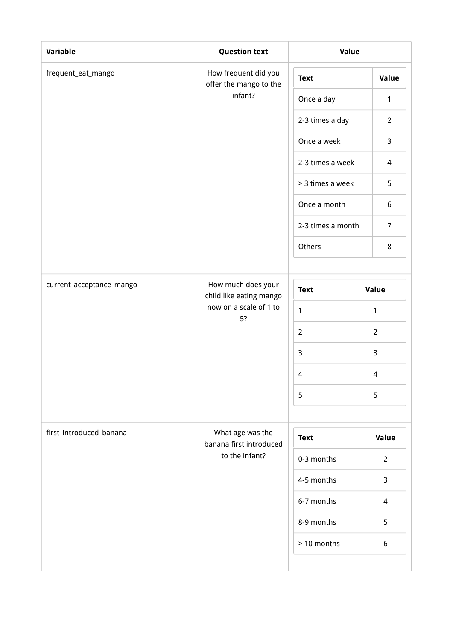| Variable                 | <b>Question text</b>                           | Value                       |  |                  |  |
|--------------------------|------------------------------------------------|-----------------------------|--|------------------|--|
| frequent_eat_mango       | How frequent did you<br>offer the mango to the | <b>Text</b>                 |  | Value            |  |
|                          | infant?                                        | Once a day                  |  | $\mathbf{1}$     |  |
|                          |                                                | 2-3 times a day             |  | $\overline{2}$   |  |
|                          |                                                | Once a week                 |  | $\mathsf{3}$     |  |
|                          |                                                | 2-3 times a week            |  | 4                |  |
|                          |                                                | > 3 times a week            |  | 5                |  |
|                          |                                                | Once a month                |  | $\boldsymbol{6}$ |  |
|                          |                                                | 2-3 times a month<br>Others |  | $\overline{7}$   |  |
|                          |                                                |                             |  | 8                |  |
|                          |                                                |                             |  |                  |  |
| current_acceptance_mango | How much does your<br>child like eating mango  | <b>Text</b>                 |  | Value            |  |
|                          | now on a scale of 1 to<br>5?                   | 1                           |  | $\mathbf{1}$     |  |
|                          |                                                | $\overline{2}$              |  | $\overline{2}$   |  |
|                          |                                                | 3                           |  | 3                |  |
|                          |                                                | $\overline{4}$              |  | 4                |  |
|                          |                                                | 5                           |  | 5                |  |
|                          |                                                |                             |  |                  |  |
| first_introduced_banana  | What age was the<br>banana first introduced    | <b>Text</b>                 |  | Value            |  |
|                          | to the infant?                                 | 0-3 months                  |  | $\overline{2}$   |  |
|                          |                                                | 4-5 months                  |  | 3                |  |
|                          |                                                | 6-7 months                  |  | $\overline{4}$   |  |
|                          |                                                | 8-9 months                  |  | 5                |  |
|                          |                                                | > 10 months                 |  | 6                |  |
|                          |                                                |                             |  |                  |  |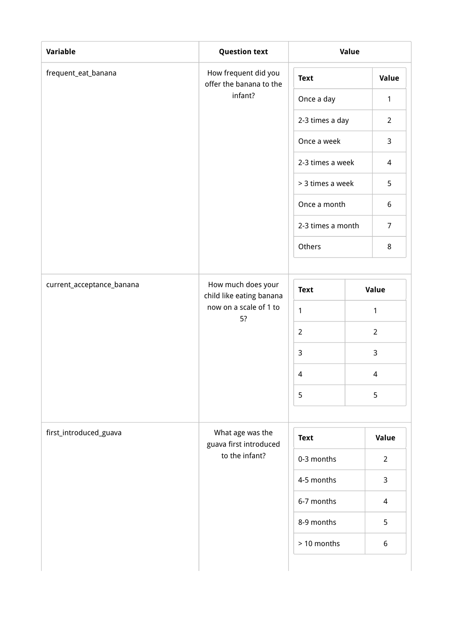| Variable                  | <b>Question text</b>                            | Value             |  |                          |  |
|---------------------------|-------------------------------------------------|-------------------|--|--------------------------|--|
| frequent_eat_banana       | How frequent did you<br>offer the banana to the | <b>Text</b>       |  | Value                    |  |
|                           | infant?                                         | Once a day        |  | $\mathbf{1}$             |  |
|                           |                                                 | 2-3 times a day   |  | $\overline{2}$           |  |
|                           |                                                 | Once a week       |  | $\mathsf{3}$             |  |
|                           |                                                 | 2-3 times a week  |  | 4                        |  |
|                           |                                                 | > 3 times a week  |  | 5                        |  |
|                           |                                                 | Once a month      |  | $\boldsymbol{6}$         |  |
|                           |                                                 | 2-3 times a month |  | $\overline{7}$           |  |
|                           |                                                 | Others            |  | 8                        |  |
|                           |                                                 |                   |  |                          |  |
| current_acceptance_banana | How much does your<br>child like eating banana  | <b>Text</b>       |  | Value                    |  |
|                           | now on a scale of 1 to<br>5?                    | 1                 |  | $\mathbf{1}$             |  |
|                           |                                                 | $\overline{2}$    |  | $\overline{2}$           |  |
|                           |                                                 | $\overline{3}$    |  | 3                        |  |
|                           |                                                 | $\overline{4}$    |  | 4                        |  |
|                           |                                                 | 5                 |  | 5                        |  |
|                           |                                                 |                   |  |                          |  |
| first_introduced_guava    | What age was the<br>guava first introduced      | <b>Text</b>       |  | Value                    |  |
|                           | to the infant?                                  | 0-3 months        |  | $\overline{2}$           |  |
|                           |                                                 | 4-5 months        |  | 3                        |  |
|                           |                                                 | 6-7 months        |  | $\overline{\mathcal{L}}$ |  |
|                           |                                                 | 8-9 months        |  | 5                        |  |
|                           |                                                 | > 10 months       |  | 6                        |  |
|                           |                                                 |                   |  |                          |  |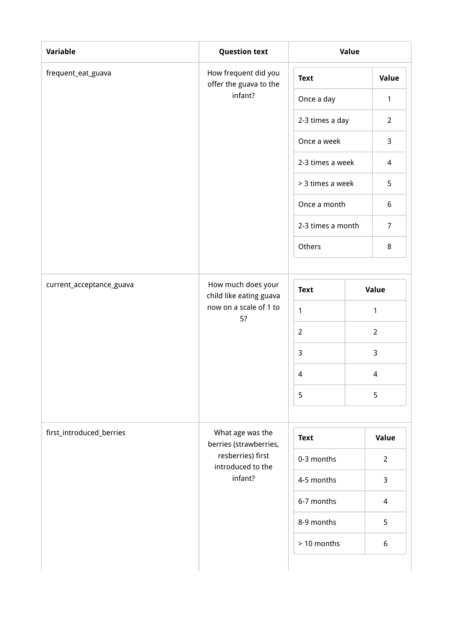| Variable                 | <b>Question text</b>                                         | Value                                       |       |                  |  |
|--------------------------|--------------------------------------------------------------|---------------------------------------------|-------|------------------|--|
| frequent_eat_guava       | How frequent did you<br>offer the guava to the               | <b>Text</b>                                 |       | Value            |  |
|                          | infant?                                                      | Once a day                                  |       | $\mathbf{1}$     |  |
|                          |                                                              | 2-3 times a day                             |       | $\overline{2}$   |  |
|                          |                                                              | Once a week                                 |       | $\mathsf{3}$     |  |
|                          |                                                              | 2-3 times a week                            |       | 4                |  |
|                          |                                                              | > 3 times a week                            |       | 5                |  |
|                          |                                                              | Once a month<br>2-3 times a month<br>Others |       | $\boldsymbol{6}$ |  |
|                          |                                                              |                                             |       | $\overline{7}$   |  |
|                          |                                                              |                                             |       | 8                |  |
|                          |                                                              |                                             |       |                  |  |
| current_acceptance_guava | How much does your<br><b>Text</b><br>child like eating guava |                                             | Value |                  |  |
|                          | now on a scale of 1 to<br>5?                                 | 1                                           |       | $\mathbf{1}$     |  |
|                          |                                                              | $\overline{2}$                              |       | $\overline{2}$   |  |
|                          |                                                              | $\overline{3}$                              |       | 3                |  |
|                          |                                                              | $\overline{4}$                              |       | 4                |  |
|                          |                                                              | 5                                           |       | 5                |  |
|                          |                                                              |                                             |       |                  |  |
| first_introduced_berries | What age was the<br>berries (strawberries,                   | <b>Text</b>                                 |       | Value            |  |
|                          | resberries) first<br>introduced to the                       | 0-3 months                                  |       | $\overline{2}$   |  |
|                          | infant?                                                      | 4-5 months                                  |       | 3                |  |
|                          |                                                              | 6-7 months                                  |       | $\overline{4}$   |  |
|                          |                                                              | 8-9 months                                  |       | 5                |  |
|                          |                                                              | > 10 months                                 |       | 6                |  |
|                          |                                                              |                                             |       |                  |  |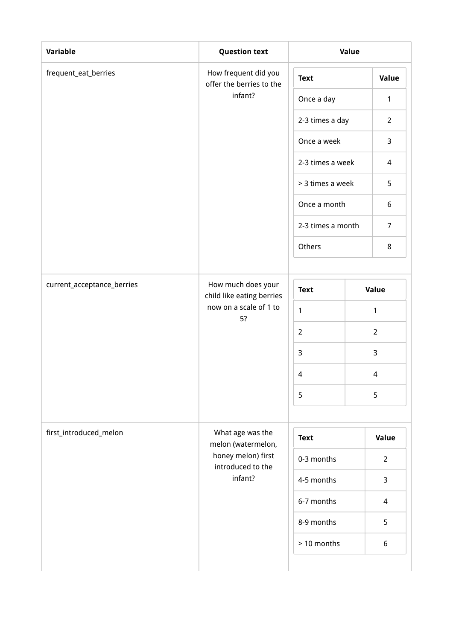| Variable                   | <b>Question text</b>                             | Value             |  |                          |  |
|----------------------------|--------------------------------------------------|-------------------|--|--------------------------|--|
| frequent_eat_berries       | How frequent did you<br>offer the berries to the | <b>Text</b>       |  | Value                    |  |
|                            | infant?                                          | Once a day        |  | $\mathbf{1}$             |  |
|                            |                                                  | 2-3 times a day   |  | $\overline{2}$           |  |
|                            |                                                  | Once a week       |  | $\mathsf{3}$             |  |
|                            |                                                  | 2-3 times a week  |  | 4                        |  |
|                            |                                                  | > 3 times a week  |  | 5                        |  |
|                            |                                                  | Once a month      |  | $\boldsymbol{6}$         |  |
|                            |                                                  | 2-3 times a month |  | $\overline{7}$           |  |
|                            |                                                  | Others            |  | 8                        |  |
|                            |                                                  |                   |  |                          |  |
| current_acceptance_berries | How much does your<br>child like eating berries  | <b>Text</b>       |  | Value                    |  |
|                            | now on a scale of 1 to<br>1<br>5?                |                   |  | $\mathbf{1}$             |  |
|                            |                                                  | $\overline{2}$    |  | $\overline{2}$           |  |
|                            |                                                  | $\overline{3}$    |  | 3                        |  |
|                            |                                                  | $\overline{4}$    |  | 4                        |  |
|                            |                                                  | 5                 |  | 5                        |  |
|                            |                                                  |                   |  |                          |  |
| first_introduced_melon     | What age was the<br>melon (watermelon,           | <b>Text</b>       |  | Value                    |  |
|                            | honey melon) first<br>introduced to the          | 0-3 months        |  | $\overline{2}$           |  |
|                            | infant?                                          | 4-5 months        |  | 3                        |  |
|                            |                                                  | 6-7 months        |  | $\overline{\mathcal{L}}$ |  |
|                            |                                                  | 8-9 months        |  | 5                        |  |
|                            |                                                  | > 10 months       |  | 6                        |  |
|                            |                                                  |                   |  |                          |  |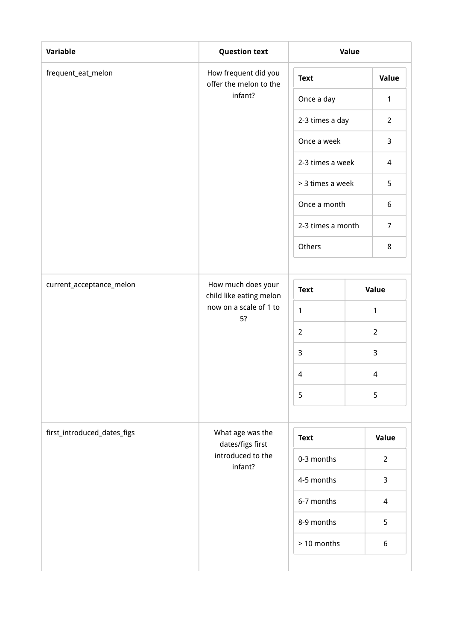| Variable                    | <b>Question text</b>                           | Value             |  |                          |  |
|-----------------------------|------------------------------------------------|-------------------|--|--------------------------|--|
| frequent_eat_melon          | How frequent did you<br>offer the melon to the | <b>Text</b>       |  | Value                    |  |
|                             | infant?                                        | Once a day        |  | $\mathbf{1}$             |  |
|                             |                                                | 2-3 times a day   |  | $\overline{2}$           |  |
|                             |                                                | Once a week       |  | $\mathsf{3}$             |  |
|                             |                                                | 2-3 times a week  |  | 4                        |  |
|                             |                                                | > 3 times a week  |  | 5                        |  |
|                             |                                                | Once a month      |  | $\boldsymbol{6}$         |  |
|                             |                                                | 2-3 times a month |  | $\overline{7}$           |  |
|                             |                                                | Others            |  | 8                        |  |
|                             |                                                |                   |  |                          |  |
| current_acceptance_melon    | How much does your<br>child like eating melon  | <b>Text</b>       |  | Value                    |  |
|                             | now on a scale of 1 to<br>5?                   | 1                 |  | $\mathbf{1}$             |  |
|                             |                                                | $\overline{2}$    |  | $\overline{2}$           |  |
|                             |                                                | $\overline{3}$    |  | 3                        |  |
|                             |                                                | $\overline{4}$    |  | 4                        |  |
|                             |                                                | 5                 |  | 5                        |  |
|                             |                                                |                   |  |                          |  |
| first_introduced_dates_figs | What age was the<br>dates/figs first           | <b>Text</b>       |  | Value                    |  |
|                             | introduced to the<br>infant?                   | 0-3 months        |  | $\overline{2}$           |  |
|                             |                                                | 4-5 months        |  | 3                        |  |
|                             |                                                | 6-7 months        |  | $\overline{\mathcal{L}}$ |  |
|                             |                                                | 8-9 months        |  | 5                        |  |
|                             |                                                | > 10 months       |  | 6                        |  |
|                             |                                                |                   |  |                          |  |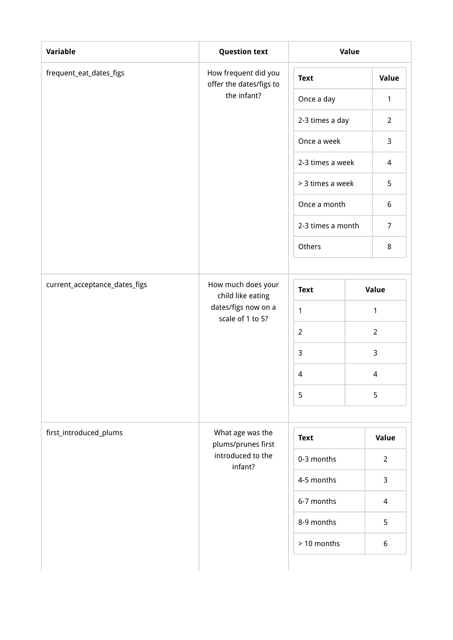| How frequent did you<br>offer the dates/figs to<br>the infant? | <b>Text</b><br>Once a day<br>2-3 times a day<br>Once a week<br>2-3 times a week<br>> 3 times a week<br>Once a month |                   | Value<br>$\mathbf{1}$<br>$\overline{2}$<br>3<br>4<br>5 |  |
|----------------------------------------------------------------|---------------------------------------------------------------------------------------------------------------------|-------------------|--------------------------------------------------------|--|
|                                                                |                                                                                                                     |                   |                                                        |  |
|                                                                |                                                                                                                     |                   |                                                        |  |
|                                                                |                                                                                                                     |                   |                                                        |  |
|                                                                |                                                                                                                     |                   |                                                        |  |
|                                                                |                                                                                                                     |                   |                                                        |  |
|                                                                |                                                                                                                     |                   |                                                        |  |
|                                                                |                                                                                                                     |                   | $\boldsymbol{6}$                                       |  |
|                                                                |                                                                                                                     | 2-3 times a month |                                                        |  |
|                                                                | Others                                                                                                              |                   | 8                                                      |  |
|                                                                |                                                                                                                     |                   |                                                        |  |
| How much does your<br>child like eating                        | <b>Text</b>                                                                                                         |                   | Value                                                  |  |
| dates/figs now on a                                            | $\mathbf{1}$                                                                                                        | 1                 |                                                        |  |
|                                                                | $\overline{2}$                                                                                                      |                   | $\overline{2}$                                         |  |
|                                                                | $\mathsf{3}$                                                                                                        |                   | 3                                                      |  |
|                                                                | $\overline{4}$                                                                                                      |                   | 4                                                      |  |
|                                                                | 5                                                                                                                   |                   | 5                                                      |  |
|                                                                |                                                                                                                     |                   |                                                        |  |
|                                                                | <b>Text</b>                                                                                                         |                   | Value                                                  |  |
|                                                                | 0-3 months                                                                                                          |                   | $\overline{2}$                                         |  |
|                                                                | 4-5 months                                                                                                          |                   | 3                                                      |  |
|                                                                | 6-7 months                                                                                                          |                   | $\overline{\mathcal{L}}$                               |  |
|                                                                | 8-9 months                                                                                                          |                   | 5                                                      |  |
|                                                                | > 10 months                                                                                                         |                   | 6                                                      |  |
|                                                                | scale of 1 to 5?<br>What age was the<br>plums/prunes first<br>introduced to the<br>infant?                          |                   |                                                        |  |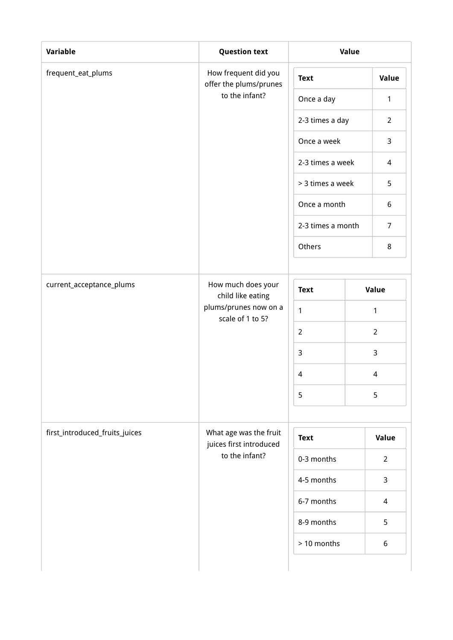| Variable                       | <b>Question text</b>                              | Value             |  |                  |  |
|--------------------------------|---------------------------------------------------|-------------------|--|------------------|--|
| frequent_eat_plums             | How frequent did you<br>offer the plums/prunes    | <b>Text</b>       |  | Value            |  |
|                                | to the infant?                                    | Once a day        |  | $\mathbf{1}$     |  |
|                                |                                                   | 2-3 times a day   |  | $\overline{2}$   |  |
|                                |                                                   | Once a week       |  | 3                |  |
|                                |                                                   | 2-3 times a week  |  | 4                |  |
|                                |                                                   | > 3 times a week  |  | 5                |  |
|                                |                                                   | Once a month      |  | $\boldsymbol{6}$ |  |
|                                |                                                   | 2-3 times a month |  | $\overline{7}$   |  |
|                                |                                                   | Others            |  | 8                |  |
|                                |                                                   |                   |  |                  |  |
| current_acceptance_plums       | How much does your<br>child like eating           | <b>Text</b>       |  | Value            |  |
|                                | plums/prunes now on a<br>scale of 1 to 5?         | 1                 |  | 1                |  |
|                                |                                                   | $\overline{2}$    |  | $\overline{2}$   |  |
|                                |                                                   | $\mathsf{3}$      |  | 3                |  |
|                                |                                                   | $\overline{4}$    |  | 4                |  |
|                                |                                                   | 5                 |  | 5                |  |
|                                |                                                   |                   |  |                  |  |
| first_introduced_fruits_juices | What age was the fruit<br>juices first introduced | <b>Text</b>       |  | Value            |  |
|                                | to the infant?                                    | 0-3 months        |  | $\overline{2}$   |  |
|                                |                                                   | 4-5 months        |  | 3                |  |
|                                |                                                   | 6-7 months        |  | $\overline{4}$   |  |
|                                |                                                   | 8-9 months        |  | 5                |  |
|                                |                                                   | > 10 months       |  | 6                |  |
|                                |                                                   |                   |  |                  |  |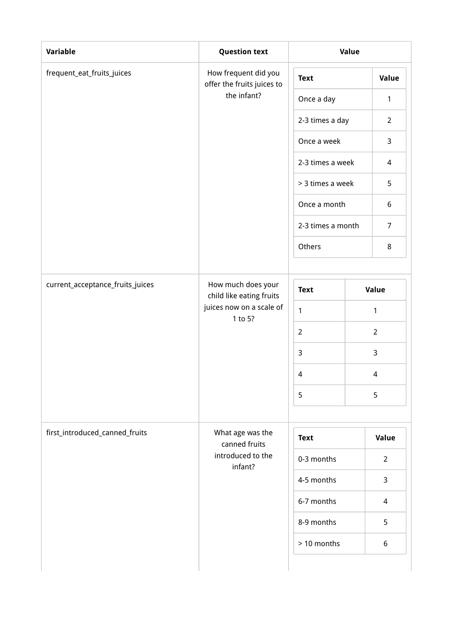| Variable                         | <b>Question text</b>                               | Value             |  |                          |  |       |  |
|----------------------------------|----------------------------------------------------|-------------------|--|--------------------------|--|-------|--|
| frequent_eat_fruits_juices       | How frequent did you<br>offer the fruits juices to | <b>Text</b>       |  | Value                    |  |       |  |
|                                  | the infant?                                        | Once a day        |  | $\mathbf{1}$             |  |       |  |
|                                  |                                                    | 2-3 times a day   |  | $\overline{2}$           |  |       |  |
|                                  |                                                    | Once a week       |  | 3                        |  |       |  |
|                                  |                                                    | 2-3 times a week  |  | 4                        |  |       |  |
|                                  |                                                    | > 3 times a week  |  | 5                        |  |       |  |
|                                  |                                                    | Once a month      |  | $\boldsymbol{6}$         |  |       |  |
|                                  |                                                    | 2-3 times a month |  | $\overline{7}$           |  |       |  |
|                                  |                                                    | Others            |  | 8                        |  |       |  |
|                                  |                                                    |                   |  |                          |  |       |  |
| current_acceptance_fruits_juices | How much does your<br>child like eating fruits     | <b>Text</b>       |  |                          |  | Value |  |
|                                  | juices now on a scale of<br>1 to 5?                | $\mathbf{1}$      |  | 1                        |  |       |  |
|                                  |                                                    | $\overline{2}$    |  | $\overline{2}$           |  |       |  |
|                                  |                                                    | $\mathsf{3}$      |  | 3                        |  |       |  |
|                                  |                                                    | $\overline{4}$    |  | 4                        |  |       |  |
|                                  |                                                    | 5                 |  | 5                        |  |       |  |
|                                  |                                                    |                   |  |                          |  |       |  |
| first_introduced_canned_fruits   | What age was the<br>canned fruits                  | <b>Text</b>       |  | Value                    |  |       |  |
|                                  | introduced to the<br>infant?                       | 0-3 months        |  | $\overline{2}$           |  |       |  |
|                                  |                                                    | 4-5 months        |  | 3                        |  |       |  |
|                                  |                                                    | 6-7 months        |  | $\overline{\mathcal{L}}$ |  |       |  |
|                                  |                                                    | 8-9 months        |  | 5                        |  |       |  |
|                                  |                                                    | > 10 months       |  | 6                        |  |       |  |
|                                  |                                                    |                   |  |                          |  |       |  |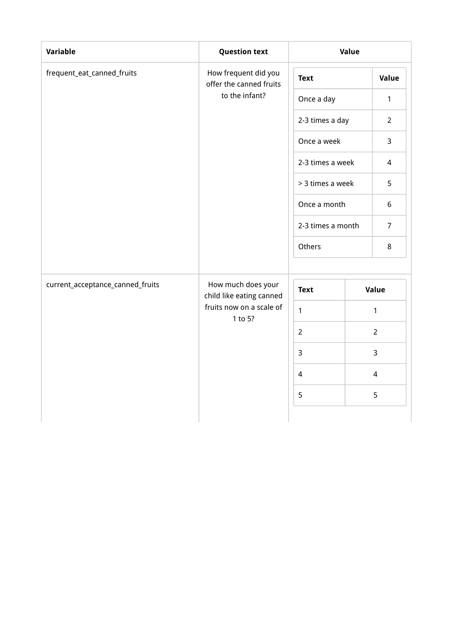| Variable                         | <b>Question text</b>                            |                   | Value |                 |
|----------------------------------|-------------------------------------------------|-------------------|-------|-----------------|
| frequent_eat_canned_fruits       | How frequent did you<br>offer the canned fruits | <b>Text</b>       |       |                 |
|                                  | to the infant?                                  | Once a day        |       | 1               |
|                                  |                                                 | 2-3 times a day   |       | $\overline{2}$  |
|                                  |                                                 | Once a week       |       | 3               |
|                                  |                                                 | 2-3 times a week  |       | $\overline{4}$  |
|                                  |                                                 | > 3 times a week  |       | 5               |
|                                  |                                                 | Once a month      |       | $6\phantom{.}6$ |
|                                  |                                                 | 2-3 times a month |       | $\overline{7}$  |
|                                  |                                                 | Others            |       | 8               |
| current_acceptance_canned_fruits | How much does your<br>child like eating canned  | <b>Text</b>       |       | Value           |
|                                  | fruits now on a scale of<br>1 to 5?             | $\mathbf{1}$      |       | $\mathbf{1}$    |
|                                  |                                                 | $\overline{2}$    |       | $\overline{2}$  |
|                                  |                                                 | $\mathsf{3}$      |       | 3               |
|                                  |                                                 | $\overline{4}$    |       | 4               |
|                                  |                                                 | 5                 |       | 5               |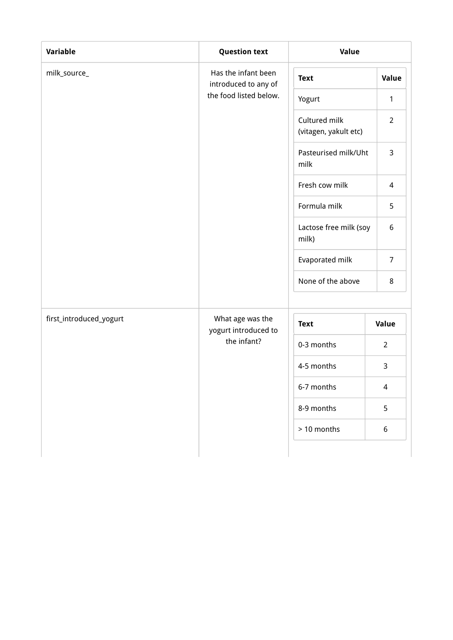| Variable                | <b>Question text</b>                        | Value                                  |                  |
|-------------------------|---------------------------------------------|----------------------------------------|------------------|
| milk_source_            | Has the infant been<br>introduced to any of | <b>Text</b>                            | Value            |
|                         | the food listed below.                      | Yogurt                                 | $\mathbf{1}$     |
|                         |                                             | Cultured milk<br>(vitagen, yakult etc) | $\overline{2}$   |
|                         |                                             | Pasteurised milk/Uht<br>milk           | 3                |
|                         |                                             | Fresh cow milk                         | $\overline{4}$   |
|                         |                                             | Formula milk                           | 5                |
|                         |                                             | Lactose free milk (soy<br>milk)        | 6                |
|                         |                                             | Evaporated milk                        | $\overline{7}$   |
|                         |                                             | None of the above                      | 8                |
| first_introduced_yogurt | What age was the<br>yogurt introduced to    | <b>Text</b>                            | Value            |
|                         | the infant?                                 | 0-3 months                             | $\overline{2}$   |
|                         |                                             | 4-5 months                             | $\mathsf{3}$     |
|                         |                                             | 6-7 months                             | 4                |
|                         |                                             | 8-9 months                             | 5                |
|                         |                                             | > 10 months                            | $\boldsymbol{6}$ |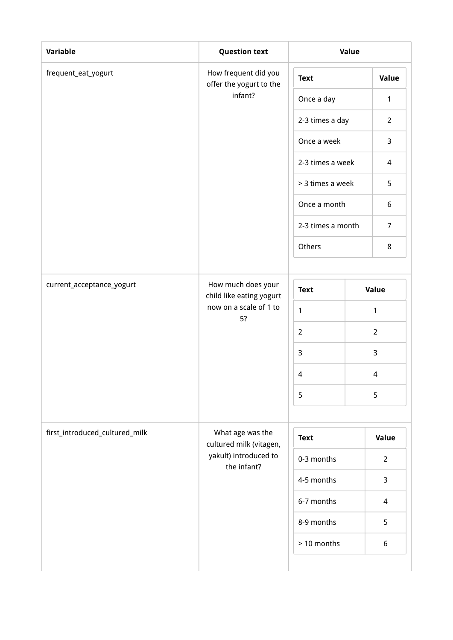| Variable                       | <b>Question text</b>                            | Value             |  |                  |  |  |
|--------------------------------|-------------------------------------------------|-------------------|--|------------------|--|--|
| frequent_eat_yogurt            | How frequent did you<br>offer the yogurt to the | <b>Text</b>       |  | Value            |  |  |
|                                | infant?                                         | Once a day        |  | $\mathbf{1}$     |  |  |
|                                |                                                 | 2-3 times a day   |  | $\overline{2}$   |  |  |
|                                |                                                 | Once a week       |  | $\mathsf{3}$     |  |  |
|                                |                                                 | 2-3 times a week  |  | 4                |  |  |
|                                |                                                 | > 3 times a week  |  | 5                |  |  |
|                                |                                                 | Once a month      |  | $\boldsymbol{6}$ |  |  |
|                                |                                                 | 2-3 times a month |  | $\overline{7}$   |  |  |
|                                |                                                 | Others            |  | 8                |  |  |
|                                |                                                 |                   |  |                  |  |  |
| current_acceptance_yogurt      | How much does your<br>child like eating yogurt  | <b>Text</b>       |  | Value            |  |  |
|                                | now on a scale of 1 to<br>5?                    | 1                 |  | $\mathbf{1}$     |  |  |
|                                |                                                 | $\overline{2}$    |  | $\overline{2}$   |  |  |
|                                |                                                 | $\overline{3}$    |  | 3                |  |  |
|                                |                                                 | $\overline{4}$    |  | 4                |  |  |
|                                |                                                 | 5                 |  | 5                |  |  |
|                                |                                                 |                   |  |                  |  |  |
| first_introduced_cultured_milk | What age was the<br>cultured milk (vitagen,     | <b>Text</b>       |  | Value            |  |  |
|                                | yakult) introduced to<br>the infant?            | 0-3 months        |  | $\overline{2}$   |  |  |
|                                |                                                 | 4-5 months        |  | 3                |  |  |
|                                |                                                 | 6-7 months        |  | $\overline{4}$   |  |  |
|                                |                                                 | 8-9 months        |  | 5                |  |  |
|                                |                                                 | > 10 months       |  | 6                |  |  |
|                                |                                                 |                   |  |                  |  |  |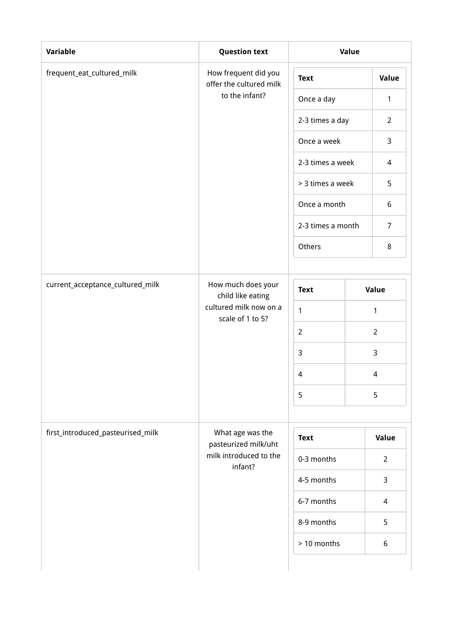| Variable                          | <b>Question text</b>                            | Value             |  |                  |  |
|-----------------------------------|-------------------------------------------------|-------------------|--|------------------|--|
| frequent_eat_cultured_milk        | How frequent did you<br>offer the cultured milk | <b>Text</b>       |  | Value            |  |
|                                   | to the infant?                                  | Once a day        |  | 1                |  |
|                                   |                                                 | 2-3 times a day   |  | $\overline{2}$   |  |
|                                   |                                                 | Once a week       |  | 3                |  |
|                                   |                                                 | 2-3 times a week  |  | 4                |  |
|                                   |                                                 | > 3 times a week  |  | 5                |  |
|                                   |                                                 | Once a month      |  | $\boldsymbol{6}$ |  |
|                                   |                                                 | 2-3 times a month |  | $\overline{7}$   |  |
|                                   |                                                 | Others            |  | 8                |  |
|                                   |                                                 |                   |  |                  |  |
| current_acceptance_cultured_milk  | How much does your<br>child like eating         | <b>Text</b>       |  | Value            |  |
|                                   | cultured milk now on a<br>scale of 1 to 5?      | $\mathbf{1}$      |  | 1                |  |
|                                   |                                                 | $\overline{2}$    |  | $\overline{2}$   |  |
|                                   |                                                 | $\mathsf{3}$      |  | 3                |  |
|                                   |                                                 | 4                 |  | 4                |  |
|                                   |                                                 | 5                 |  | 5                |  |
|                                   |                                                 |                   |  |                  |  |
| first_introduced_pasteurised_milk | What age was the<br>pasteurized milk/uht        | <b>Text</b>       |  | Value            |  |
|                                   | milk introduced to the<br>infant?               | 0-3 months        |  | $\overline{2}$   |  |
|                                   |                                                 | 4-5 months        |  | 3                |  |
|                                   |                                                 | 6-7 months        |  | $\overline{4}$   |  |
|                                   |                                                 | 8-9 months        |  | 5                |  |
|                                   |                                                 | > 10 months       |  | 6                |  |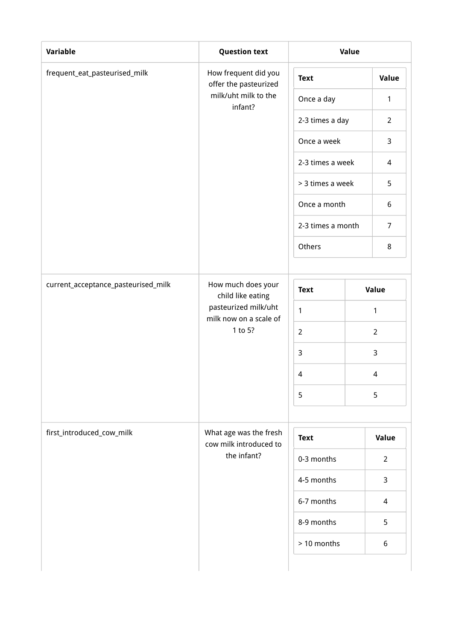|                                     |                                                  | Value             |  |                  |  |
|-------------------------------------|--------------------------------------------------|-------------------|--|------------------|--|
| frequent_eat_pasteurised_milk       | How frequent did you<br>offer the pasteurized    | <b>Text</b>       |  | Value            |  |
|                                     | milk/uht milk to the<br>infant?                  | Once a day        |  | 1                |  |
|                                     |                                                  | 2-3 times a day   |  | $\overline{2}$   |  |
|                                     |                                                  | Once a week       |  | 3                |  |
|                                     |                                                  | 2-3 times a week  |  | 4                |  |
|                                     |                                                  | > 3 times a week  |  | 5                |  |
|                                     |                                                  | Once a month      |  | $\boldsymbol{6}$ |  |
|                                     |                                                  | 2-3 times a month |  | $\overline{7}$   |  |
|                                     |                                                  | Others            |  | 8                |  |
|                                     |                                                  |                   |  |                  |  |
| current_acceptance_pasteurised_milk | How much does your<br>child like eating          | <b>Text</b>       |  | Value            |  |
|                                     | pasteurized milk/uht<br>milk now on a scale of   | 1                 |  | 1                |  |
|                                     | 1 to 5?                                          | $\overline{2}$    |  | $\overline{2}$   |  |
|                                     |                                                  | $\mathsf{3}$      |  | 3                |  |
|                                     |                                                  | $\overline{4}$    |  | 4                |  |
|                                     |                                                  | 5                 |  | 5                |  |
|                                     |                                                  |                   |  |                  |  |
| first_introduced_cow_milk           | What age was the fresh<br>cow milk introduced to | <b>Text</b>       |  | Value            |  |
|                                     | the infant?                                      | 0-3 months        |  | $\overline{2}$   |  |
|                                     |                                                  | 4-5 months        |  | 3                |  |
|                                     |                                                  | 6-7 months        |  | $\overline{4}$   |  |
|                                     |                                                  | 8-9 months        |  | 5                |  |
|                                     |                                                  | > 10 months       |  | 6                |  |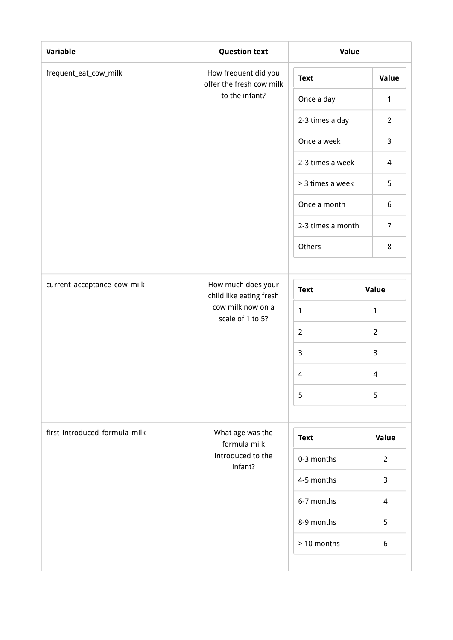| Variable                      | <b>Question text</b>                             | Value             |  |                  |  |
|-------------------------------|--------------------------------------------------|-------------------|--|------------------|--|
| frequent_eat_cow_milk         | How frequent did you<br>offer the fresh cow milk | <b>Text</b>       |  | Value            |  |
|                               | to the infant?                                   | Once a day        |  | $\mathbf{1}$     |  |
|                               |                                                  | 2-3 times a day   |  | $\overline{2}$   |  |
|                               |                                                  | Once a week       |  | 3                |  |
|                               |                                                  | 2-3 times a week  |  | 4                |  |
|                               |                                                  | > 3 times a week  |  | 5                |  |
|                               |                                                  | Once a month      |  | $\boldsymbol{6}$ |  |
|                               |                                                  | 2-3 times a month |  | $\overline{7}$   |  |
|                               |                                                  | Others            |  | 8                |  |
|                               |                                                  |                   |  |                  |  |
| current_acceptance_cow_milk   | How much does your<br>child like eating fresh    | <b>Text</b>       |  | Value            |  |
|                               | cow milk now on a<br>scale of 1 to 5?            | $\mathbf{1}$      |  | 1                |  |
|                               |                                                  | $\overline{2}$    |  | $\overline{2}$   |  |
|                               |                                                  | $\mathsf{3}$      |  | 3                |  |
|                               |                                                  | $\overline{4}$    |  | 4                |  |
|                               |                                                  | 5                 |  | 5                |  |
|                               |                                                  |                   |  |                  |  |
| first_introduced_formula_milk | What age was the<br>formula milk                 | <b>Text</b>       |  | Value            |  |
|                               | introduced to the<br>infant?                     | 0-3 months        |  | $\overline{2}$   |  |
|                               |                                                  | 4-5 months        |  | 3                |  |
|                               |                                                  | 6-7 months        |  | $\overline{4}$   |  |
|                               |                                                  | 8-9 months        |  | 5                |  |
|                               |                                                  | > 10 months       |  | 6                |  |
|                               |                                                  |                   |  |                  |  |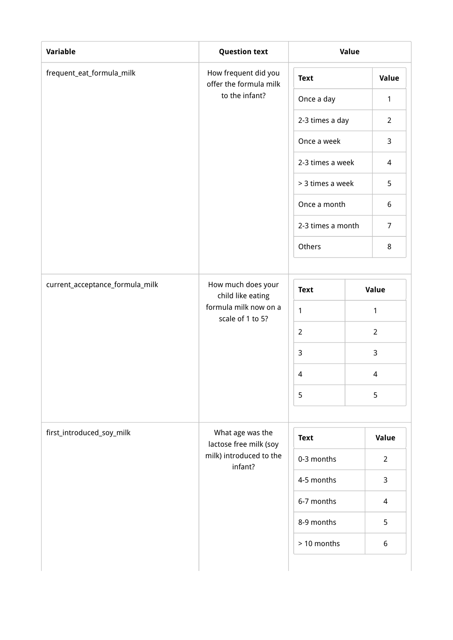| Variable                        | <b>Question text</b>                           | Value             |  |                  |  |
|---------------------------------|------------------------------------------------|-------------------|--|------------------|--|
| frequent_eat_formula_milk       | How frequent did you<br>offer the formula milk | <b>Text</b>       |  | Value            |  |
|                                 | to the infant?                                 | Once a day        |  | $\mathbf{1}$     |  |
|                                 |                                                | 2-3 times a day   |  | $\overline{2}$   |  |
|                                 |                                                | Once a week       |  | 3                |  |
|                                 |                                                | 2-3 times a week  |  | 4                |  |
|                                 |                                                | > 3 times a week  |  | 5                |  |
|                                 |                                                | Once a month      |  | $\boldsymbol{6}$ |  |
|                                 |                                                | 2-3 times a month |  | $\overline{7}$   |  |
|                                 |                                                | Others            |  | 8                |  |
|                                 |                                                |                   |  |                  |  |
| current_acceptance_formula_milk | How much does your<br>child like eating        | <b>Text</b>       |  | Value            |  |
|                                 | formula milk now on a<br>scale of 1 to 5?      | $\mathbf{1}$      |  | 1                |  |
|                                 |                                                | $\overline{2}$    |  | $\overline{2}$   |  |
|                                 |                                                | $\mathsf{3}$      |  | 3                |  |
|                                 |                                                | 4                 |  | 4                |  |
|                                 |                                                | 5                 |  | 5                |  |
|                                 |                                                |                   |  |                  |  |
| first_introduced_soy_milk       | What age was the<br>lactose free milk (soy     | <b>Text</b>       |  | Value            |  |
|                                 | milk) introduced to the<br>infant?             | 0-3 months        |  | $\overline{2}$   |  |
|                                 |                                                | 4-5 months        |  | 3                |  |
|                                 |                                                | 6-7 months        |  | $\overline{4}$   |  |
|                                 |                                                | 8-9 months        |  | 5                |  |
|                                 |                                                | > 10 months       |  | 6                |  |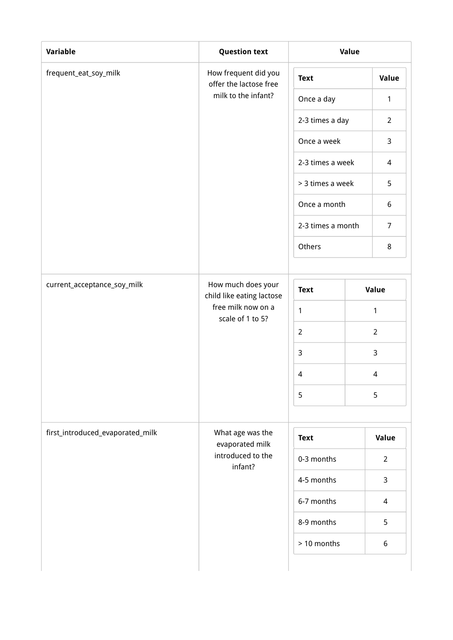| Variable                         | <b>Question text</b>                            | Value             |  |                  |  |
|----------------------------------|-------------------------------------------------|-------------------|--|------------------|--|
| frequent_eat_soy_milk            | How frequent did you<br>offer the lactose free  | <b>Text</b>       |  | Value            |  |
|                                  | milk to the infant?                             | Once a day        |  | $\mathbf{1}$     |  |
|                                  |                                                 | 2-3 times a day   |  | $\overline{2}$   |  |
|                                  |                                                 | Once a week       |  | 3                |  |
|                                  |                                                 | 2-3 times a week  |  | 4                |  |
|                                  |                                                 | > 3 times a week  |  | 5                |  |
|                                  |                                                 | Once a month      |  | $\boldsymbol{6}$ |  |
|                                  |                                                 | 2-3 times a month |  | $\overline{7}$   |  |
|                                  |                                                 | Others            |  | 8                |  |
|                                  |                                                 |                   |  |                  |  |
| current_acceptance_soy_milk      | How much does your<br>child like eating lactose | <b>Text</b>       |  | Value            |  |
|                                  | free milk now on a<br>scale of 1 to 5?          | $\mathbf{1}$      |  | 1                |  |
|                                  |                                                 | $\overline{2}$    |  | $\overline{2}$   |  |
|                                  |                                                 | $\mathsf{3}$      |  | 3                |  |
|                                  |                                                 | 4                 |  | 4                |  |
|                                  |                                                 | 5                 |  | 5                |  |
|                                  |                                                 |                   |  |                  |  |
| first_introduced_evaporated_milk | What age was the<br>evaporated milk             | <b>Text</b>       |  | Value            |  |
|                                  | introduced to the<br>infant?                    | 0-3 months        |  | $\overline{2}$   |  |
|                                  |                                                 | 4-5 months        |  | 3                |  |
|                                  |                                                 | 6-7 months        |  | $\overline{4}$   |  |
|                                  |                                                 | 8-9 months        |  | 5                |  |
|                                  |                                                 | > 10 months       |  | 6                |  |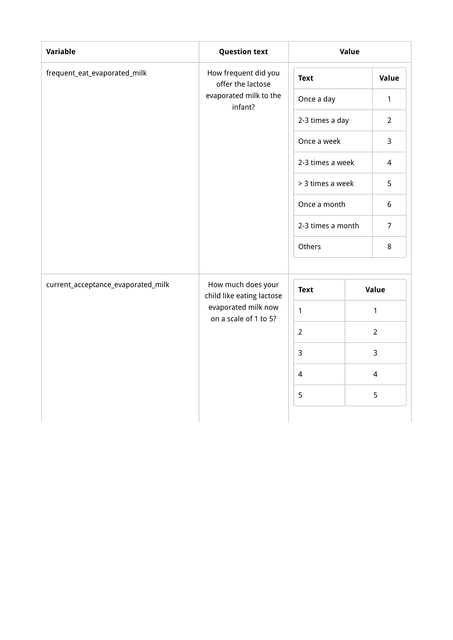| Variable                           | <b>Question text</b>                            |                   | Value |                |
|------------------------------------|-------------------------------------------------|-------------------|-------|----------------|
| frequent_eat_evaporated_milk       | How frequent did you<br>offer the lactose       | <b>Text</b>       |       | Value          |
|                                    | evaporated milk to the<br>infant?               | Once a day        |       | 1              |
|                                    |                                                 | 2-3 times a day   |       | $\overline{2}$ |
|                                    |                                                 | Once a week       |       | $\overline{3}$ |
|                                    |                                                 | 2-3 times a week  |       | $\overline{4}$ |
|                                    |                                                 | > 3 times a week  |       | 5              |
|                                    |                                                 | Once a month      |       | 6              |
|                                    |                                                 | 2-3 times a month |       | $\overline{7}$ |
|                                    |                                                 | Others            |       | 8              |
| current_acceptance_evaporated_milk | How much does your<br>child like eating lactose | <b>Text</b>       |       | Value          |
|                                    | evaporated milk now<br>on a scale of 1 to 5?    | $\mathbf{1}$      |       | $\mathbf{1}$   |
|                                    |                                                 | $\overline{2}$    |       | $\overline{2}$ |
|                                    |                                                 | $\overline{3}$    |       | 3              |
|                                    |                                                 | $\overline{4}$    |       | 4              |
|                                    |                                                 | 5                 |       | 5              |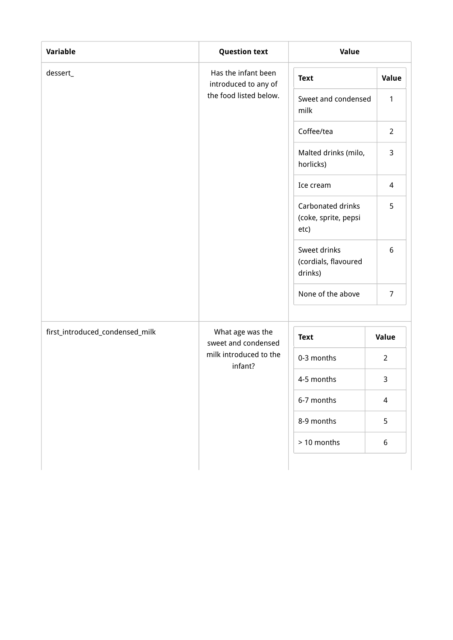| Variable                        | <b>Question text</b>                        | Value                                             |                |
|---------------------------------|---------------------------------------------|---------------------------------------------------|----------------|
| dessert_                        | Has the infant been<br>introduced to any of | <b>Text</b>                                       | Value          |
|                                 | the food listed below.                      | Sweet and condensed<br>milk                       | $\mathbf{1}$   |
|                                 |                                             | Coffee/tea                                        | $\overline{2}$ |
|                                 |                                             | Malted drinks (milo,<br>horlicks)                 | 3              |
|                                 |                                             | Ice cream                                         | $\overline{4}$ |
|                                 |                                             | Carbonated drinks<br>(coke, sprite, pepsi<br>etc) | 5              |
|                                 |                                             | Sweet drinks<br>(cordials, flavoured<br>drinks)   | 6              |
|                                 |                                             | None of the above                                 | $\overline{7}$ |
| first_introduced_condensed_milk | What age was the<br>sweet and condensed     | <b>Text</b>                                       | Value          |
|                                 | milk introduced to the<br>infant?           | 0-3 months                                        | $\overline{2}$ |
|                                 |                                             | 4-5 months                                        | 3              |
|                                 |                                             | 6-7 months                                        | $\overline{4}$ |
|                                 |                                             | 8-9 months                                        | 5              |
|                                 |                                             | > 10 months                                       | 6              |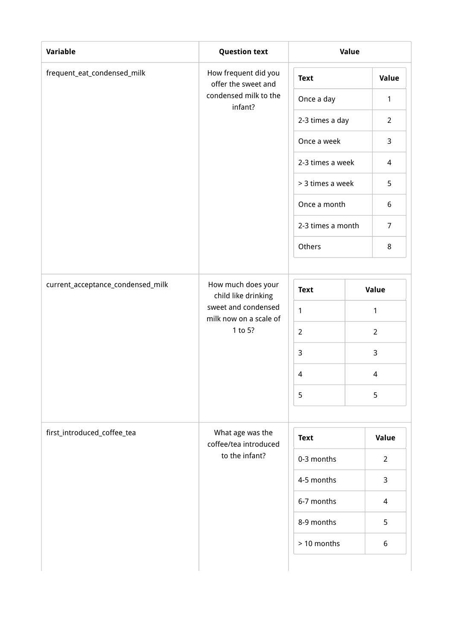| Variable                          | <b>Question text</b>                          | Value                          |  |                  |  |
|-----------------------------------|-----------------------------------------------|--------------------------------|--|------------------|--|
| frequent_eat_condensed_milk       | How frequent did you<br>offer the sweet and   | <b>Text</b>                    |  | Value            |  |
|                                   | condensed milk to the<br>infant?              | Once a day                     |  | 1                |  |
|                                   |                                               | 2-3 times a day                |  | $\overline{2}$   |  |
|                                   |                                               | Once a week                    |  | 3                |  |
|                                   |                                               | 2-3 times a week               |  | 4                |  |
|                                   |                                               | > 3 times a week               |  | 5                |  |
|                                   |                                               | Once a month                   |  | $\boldsymbol{6}$ |  |
|                                   |                                               | 2-3 times a month              |  | $\overline{7}$   |  |
|                                   |                                               | Others                         |  | 8                |  |
|                                   |                                               |                                |  |                  |  |
| current_acceptance_condensed_milk | How much does your<br>child like drinking     | <b>Text</b>                    |  | Value            |  |
|                                   | sweet and condensed<br>milk now on a scale of | 1                              |  | 1                |  |
|                                   | 1 to 5?                                       | $\overline{2}$<br>$\mathsf{3}$ |  | $\overline{2}$   |  |
|                                   |                                               |                                |  | 3                |  |
|                                   |                                               | $\overline{4}$                 |  | 4                |  |
|                                   |                                               | 5                              |  | 5                |  |
|                                   |                                               |                                |  |                  |  |
| first_introduced_coffee_tea       | What age was the<br>coffee/tea introduced     | <b>Text</b>                    |  | Value            |  |
|                                   | to the infant?                                | 0-3 months                     |  | $\overline{2}$   |  |
|                                   |                                               | 4-5 months                     |  | 3                |  |
|                                   |                                               | 6-7 months                     |  | $\overline{4}$   |  |
|                                   |                                               | 8-9 months                     |  | 5                |  |
|                                   |                                               | > 10 months                    |  | 6                |  |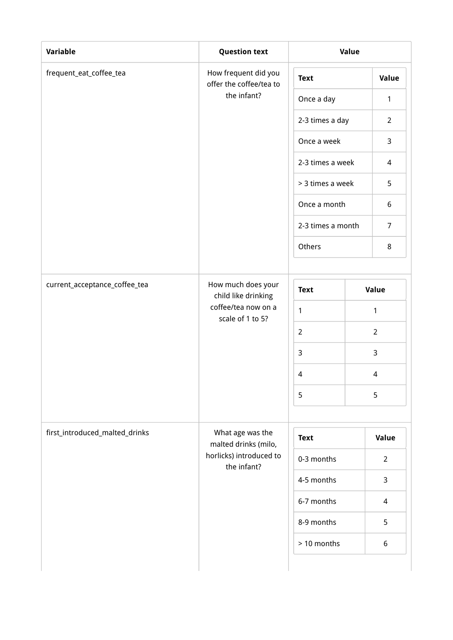| Variable                       | <b>Question text</b>                            | Value             |  |                          |  |
|--------------------------------|-------------------------------------------------|-------------------|--|--------------------------|--|
| frequent_eat_coffee_tea        | How frequent did you<br>offer the coffee/tea to | <b>Text</b>       |  | Value                    |  |
|                                | the infant?                                     | Once a day        |  | $\mathbf{1}$             |  |
|                                |                                                 | 2-3 times a day   |  | $\overline{2}$           |  |
|                                |                                                 | Once a week       |  | 3                        |  |
|                                |                                                 | 2-3 times a week  |  | 4                        |  |
|                                |                                                 | > 3 times a week  |  | 5                        |  |
|                                |                                                 | Once a month      |  | $\boldsymbol{6}$         |  |
|                                |                                                 | 2-3 times a month |  | $\overline{7}$           |  |
|                                |                                                 | Others            |  | 8                        |  |
|                                |                                                 |                   |  |                          |  |
| current_acceptance_coffee_tea  | How much does your<br>child like drinking       | <b>Text</b>       |  | Value                    |  |
|                                | coffee/tea now on a<br>scale of 1 to 5?         | $\mathbf{1}$      |  | 1                        |  |
|                                |                                                 | $\overline{2}$    |  | $\overline{2}$           |  |
|                                |                                                 | $\mathsf{3}$      |  | 3                        |  |
|                                |                                                 | $\overline{4}$    |  | 4                        |  |
|                                |                                                 | 5                 |  | 5                        |  |
|                                |                                                 |                   |  |                          |  |
| first_introduced_malted_drinks | What age was the<br>malted drinks (milo,        | <b>Text</b>       |  | Value                    |  |
|                                | horlicks) introduced to<br>the infant?          | 0-3 months        |  | $\overline{2}$           |  |
|                                |                                                 | 4-5 months        |  | 3                        |  |
|                                |                                                 | 6-7 months        |  | $\overline{\mathcal{L}}$ |  |
|                                |                                                 | 8-9 months        |  | 5                        |  |
|                                |                                                 | > 10 months       |  | 6                        |  |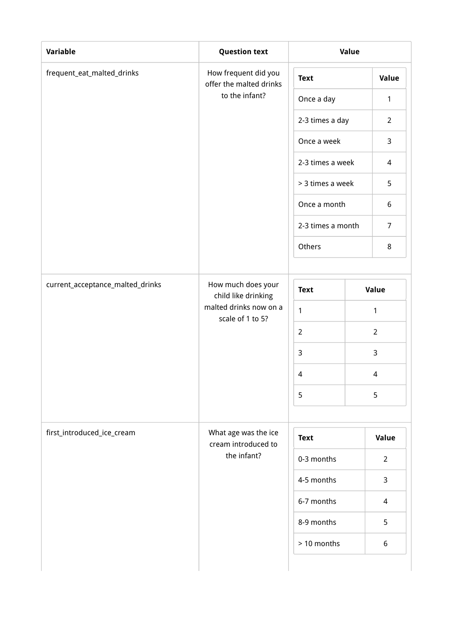| Variable                         | <b>Question text</b>                            | Value             |  |                          |  |
|----------------------------------|-------------------------------------------------|-------------------|--|--------------------------|--|
| frequent_eat_malted_drinks       | How frequent did you<br>offer the malted drinks | <b>Text</b>       |  | Value                    |  |
|                                  | to the infant?                                  | Once a day        |  | 1                        |  |
|                                  |                                                 | 2-3 times a day   |  | $\overline{2}$           |  |
|                                  |                                                 | Once a week       |  | 3                        |  |
|                                  |                                                 | 2-3 times a week  |  | 4                        |  |
|                                  |                                                 | > 3 times a week  |  | 5                        |  |
|                                  |                                                 | Once a month      |  | $\boldsymbol{6}$         |  |
|                                  |                                                 | 2-3 times a month |  | $\overline{7}$           |  |
|                                  |                                                 | Others            |  | 8                        |  |
|                                  |                                                 |                   |  |                          |  |
| current_acceptance_malted_drinks | How much does your<br>child like drinking       | <b>Text</b>       |  | Value                    |  |
|                                  | malted drinks now on a<br>scale of 1 to 5?      | 1                 |  | 1                        |  |
|                                  |                                                 | $\overline{2}$    |  | $\overline{2}$           |  |
|                                  |                                                 | $\mathsf{3}$      |  | 3                        |  |
|                                  |                                                 | $\overline{4}$    |  | 4                        |  |
|                                  |                                                 | 5                 |  | 5                        |  |
|                                  |                                                 |                   |  |                          |  |
| first_introduced_ice_cream       | What age was the ice<br>cream introduced to     | <b>Text</b>       |  | Value                    |  |
|                                  | the infant?                                     | 0-3 months        |  | $\overline{2}$           |  |
|                                  |                                                 | 4-5 months        |  | 3                        |  |
|                                  |                                                 | 6-7 months        |  | $\overline{\mathcal{L}}$ |  |
|                                  |                                                 | 8-9 months        |  | 5                        |  |
|                                  |                                                 | > 10 months       |  | 6                        |  |
|                                  |                                                 |                   |  |                          |  |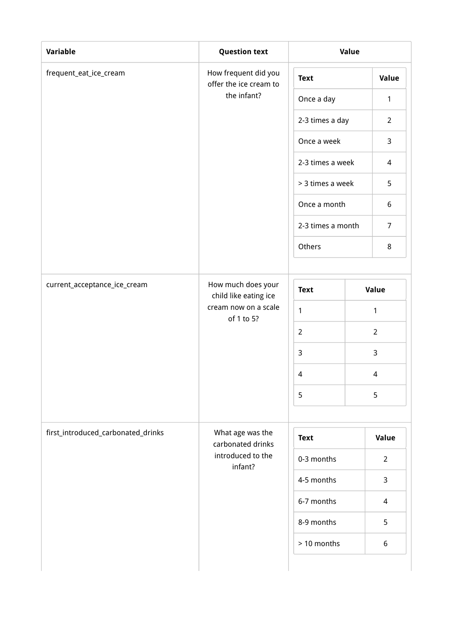| Variable                           | <b>Question text</b>                           | Value                    |  |                  |  |
|------------------------------------|------------------------------------------------|--------------------------|--|------------------|--|
| frequent_eat_ice_cream             | How frequent did you<br>offer the ice cream to | <b>Text</b>              |  | Value            |  |
|                                    | the infant?                                    | Once a day               |  | $\mathbf{1}$     |  |
|                                    |                                                | 2-3 times a day          |  | $\overline{2}$   |  |
|                                    |                                                | Once a week              |  | 3                |  |
|                                    |                                                | 2-3 times a week         |  | 4                |  |
|                                    |                                                | > 3 times a week         |  | 5                |  |
|                                    |                                                | Once a month             |  | $\boldsymbol{6}$ |  |
|                                    |                                                | 2-3 times a month        |  | $\overline{7}$   |  |
|                                    |                                                | Others                   |  | 8                |  |
|                                    |                                                |                          |  |                  |  |
| current_acceptance_ice_cream       | How much does your<br>child like eating ice    | <b>Text</b>              |  | Value            |  |
|                                    | cream now on a scale<br>of 1 to 5?             | $\mathbf{1}$             |  | 1                |  |
|                                    |                                                | $\overline{2}$           |  | $\overline{2}$   |  |
|                                    |                                                | $\mathsf{3}$             |  | 3                |  |
|                                    |                                                | $\overline{\mathcal{A}}$ |  | 4                |  |
|                                    |                                                | 5                        |  | 5                |  |
|                                    |                                                |                          |  |                  |  |
| first_introduced_carbonated_drinks | What age was the<br>carbonated drinks          | <b>Text</b>              |  | Value            |  |
|                                    | introduced to the<br>infant?                   | 0-3 months               |  | $\overline{2}$   |  |
|                                    |                                                | 4-5 months               |  | 3                |  |
|                                    |                                                | 6-7 months               |  | $\overline{4}$   |  |
|                                    |                                                | 8-9 months               |  | 5                |  |
|                                    |                                                | > 10 months              |  | 6                |  |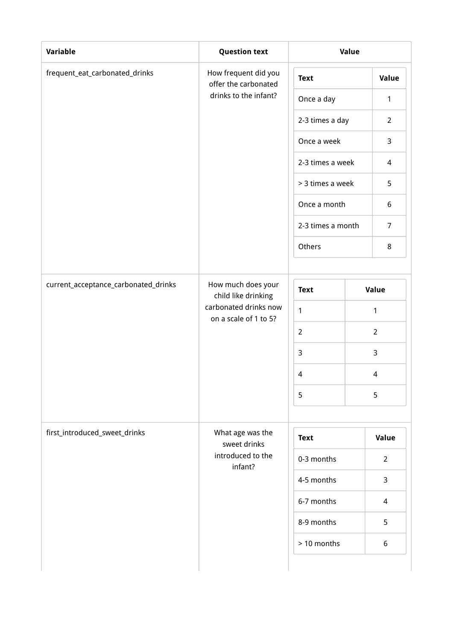| Variable                             | <b>Question text</b>                           | Value             |  |                  |  |
|--------------------------------------|------------------------------------------------|-------------------|--|------------------|--|
| frequent_eat_carbonated_drinks       | How frequent did you<br>offer the carbonated   | <b>Text</b>       |  | Value            |  |
|                                      | drinks to the infant?                          | Once a day        |  | 1                |  |
|                                      |                                                | 2-3 times a day   |  | $\overline{2}$   |  |
|                                      |                                                | Once a week       |  | 3                |  |
|                                      |                                                | 2-3 times a week  |  | 4                |  |
|                                      |                                                | > 3 times a week  |  | 5                |  |
|                                      |                                                | Once a month      |  | $\boldsymbol{6}$ |  |
|                                      |                                                | 2-3 times a month |  | $\overline{7}$   |  |
|                                      |                                                | Others            |  | 8                |  |
|                                      |                                                |                   |  |                  |  |
| current_acceptance_carbonated_drinks | How much does your<br>child like drinking      | <b>Text</b>       |  | Value            |  |
|                                      | carbonated drinks now<br>on a scale of 1 to 5? | 1                 |  | 1                |  |
|                                      |                                                | $\overline{2}$    |  | $\overline{2}$   |  |
|                                      |                                                | $\mathsf{3}$      |  | 3                |  |
|                                      |                                                | $\overline{4}$    |  | 4                |  |
|                                      |                                                | 5                 |  | 5                |  |
|                                      |                                                |                   |  |                  |  |
| first_introduced_sweet_drinks        | What age was the<br>sweet drinks               | <b>Text</b>       |  | Value            |  |
|                                      | introduced to the<br>infant?                   | 0-3 months        |  | $\overline{2}$   |  |
|                                      |                                                | 4-5 months        |  | 3                |  |
|                                      |                                                | 6-7 months        |  | $\overline{4}$   |  |
|                                      |                                                | 8-9 months        |  | 5                |  |
|                                      |                                                | > 10 months       |  | 6                |  |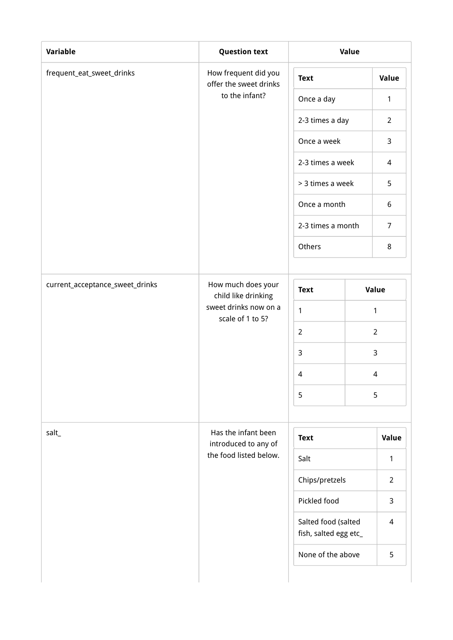| Variable                        | <b>Question text</b>                           | Value                                        |   |                |
|---------------------------------|------------------------------------------------|----------------------------------------------|---|----------------|
| frequent_eat_sweet_drinks       | How frequent did you<br>offer the sweet drinks | <b>Text</b>                                  |   | Value          |
|                                 | to the infant?                                 | Once a day                                   |   | $\mathbf{1}$   |
|                                 |                                                | 2-3 times a day                              |   | $\overline{2}$ |
|                                 |                                                | Once a week                                  |   | 3              |
|                                 |                                                | 2-3 times a week                             |   | $\overline{4}$ |
|                                 |                                                | > 3 times a week                             |   | 5              |
|                                 |                                                | Once a month                                 |   | 6              |
|                                 |                                                | 2-3 times a month                            |   | $\overline{7}$ |
|                                 | Others                                         |                                              | 8 |                |
| current_acceptance_sweet_drinks | How much does your                             |                                              |   |                |
|                                 | child like drinking<br>sweet drinks now on a   | <b>Text</b>                                  |   | Value          |
|                                 | scale of 1 to 5?                               | 1                                            |   | $\mathbf{1}$   |
|                                 |                                                | $\overline{2}$                               |   | $\overline{2}$ |
|                                 |                                                | 3                                            |   | $\mathsf{3}$   |
|                                 |                                                | $\sqrt{4}$                                   |   | $\overline{4}$ |
|                                 |                                                | 5                                            |   | 5              |
| salt_                           | Has the infant been                            | <b>Text</b>                                  |   | Value          |
|                                 | introduced to any of<br>the food listed below. | Salt                                         |   | $\mathbf{1}$   |
|                                 |                                                | Chips/pretzels                               |   | $\overline{2}$ |
|                                 |                                                | Pickled food                                 |   | $\mathsf{3}$   |
|                                 |                                                | Salted food (salted<br>fish, salted egg etc_ |   | $\overline{4}$ |
|                                 |                                                | None of the above                            |   | 5              |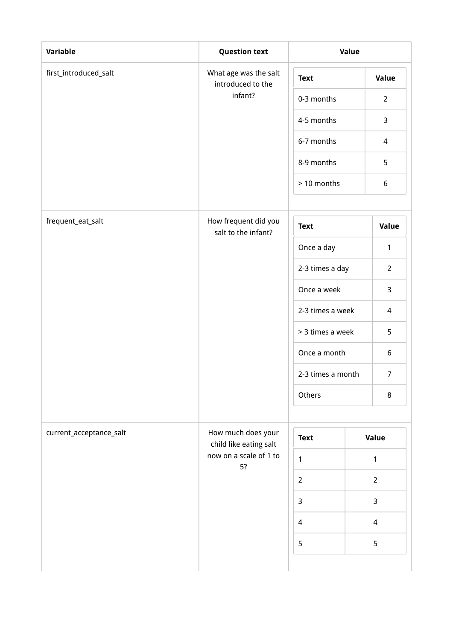| <b>Variable</b>         | <b>Question text</b>                         | Value             |                |  |
|-------------------------|----------------------------------------------|-------------------|----------------|--|
| first_introduced_salt   | What age was the salt<br>introduced to the   | <b>Text</b>       | Value          |  |
|                         | infant?                                      | 0-3 months        | $\overline{2}$ |  |
|                         |                                              | 4-5 months        | 3              |  |
|                         |                                              | 6-7 months        | $\overline{4}$ |  |
|                         |                                              | 8-9 months        | 5              |  |
|                         |                                              | > 10 months       | 6              |  |
| frequent_eat_salt       | How frequent did you<br>salt to the infant?  | <b>Text</b>       | Value          |  |
|                         |                                              | Once a day        | $\mathbf{1}$   |  |
|                         |                                              | 2-3 times a day   | $\overline{2}$ |  |
|                         |                                              | Once a week       | $\mathsf{3}$   |  |
|                         |                                              | 2-3 times a week  | 4              |  |
|                         |                                              | > 3 times a week  | 5              |  |
|                         |                                              | Once a month      | 6              |  |
|                         |                                              | 2-3 times a month | $\overline{7}$ |  |
|                         |                                              | Others            | $\,8\,$        |  |
| current_acceptance_salt | How much does your<br>child like eating salt | <b>Text</b>       | Value          |  |
|                         | now on a scale of 1 to<br>5?                 | $\mathbf{1}$      | $\mathbf{1}$   |  |
|                         |                                              | $\overline{2}$    | $\overline{2}$ |  |
|                         |                                              | $\mathbf{3}$      | $\mathsf{3}$   |  |
|                         |                                              | $\overline{4}$    | $\overline{4}$ |  |
|                         |                                              | 5                 | 5              |  |
|                         |                                              |                   |                |  |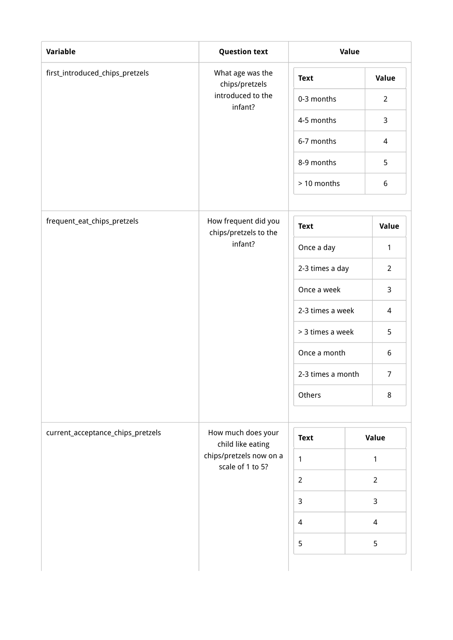| <b>Variable</b>                   | <b>Question text</b>                          | Value             |                          |                  |
|-----------------------------------|-----------------------------------------------|-------------------|--------------------------|------------------|
| first_introduced_chips_pretzels   | What age was the<br>chips/pretzels            | <b>Text</b>       |                          | Value            |
|                                   | introduced to the<br>infant?                  | 0-3 months        |                          | $\overline{2}$   |
|                                   |                                               | 4-5 months        |                          | 3                |
|                                   |                                               | 6-7 months        |                          | $\overline{4}$   |
|                                   |                                               | 8-9 months        |                          | 5                |
|                                   |                                               | > 10 months       |                          | $\boldsymbol{6}$ |
| frequent_eat_chips_pretzels       | How frequent did you<br>chips/pretzels to the |                   |                          | Value            |
|                                   | infant?                                       | Once a day        |                          | $\mathbf{1}$     |
|                                   |                                               | 2-3 times a day   |                          | $\overline{2}$   |
|                                   |                                               | Once a week       |                          | 3                |
|                                   |                                               | 2-3 times a week  |                          | 4                |
|                                   |                                               | > 3 times a week  |                          | 5                |
|                                   |                                               | Once a month      |                          | 6                |
|                                   |                                               | 2-3 times a month |                          | $\overline{7}$   |
|                                   |                                               | Others            |                          | 8                |
| current_acceptance_chips_pretzels | How much does your<br>child like eating       | <b>Text</b>       | Value                    |                  |
|                                   | chips/pretzels now on a<br>scale of 1 to 5?   | $\mathbf{1}$      | 1                        |                  |
|                                   |                                               | $\overline{2}$    | $\overline{2}$           |                  |
|                                   |                                               | $\mathsf{3}$      | 3                        |                  |
|                                   |                                               | $\overline{4}$    | $\overline{\mathcal{A}}$ |                  |
|                                   |                                               | 5                 | 5                        |                  |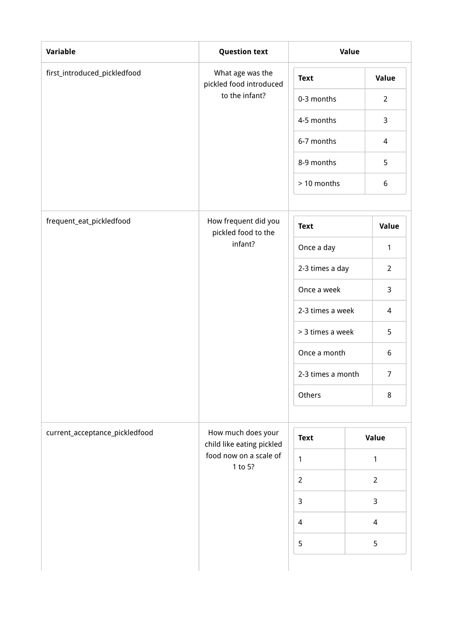| <b>Variable</b>                | <b>Question text</b>                            | Value             |  |                          |
|--------------------------------|-------------------------------------------------|-------------------|--|--------------------------|
| first_introduced_pickledfood   | What age was the<br>pickled food introduced     | <b>Text</b>       |  | Value                    |
|                                | to the infant?                                  | 0-3 months        |  | $\overline{2}$           |
|                                |                                                 | 4-5 months        |  | 3                        |
|                                |                                                 | 6-7 months        |  | $\overline{4}$           |
|                                |                                                 | 8-9 months        |  | 5                        |
|                                |                                                 | > 10 months       |  | $\boldsymbol{6}$         |
| frequent_eat_pickledfood       | How frequent did you<br>pickled food to the     |                   |  | Value                    |
|                                | infant?                                         | Once a day        |  | $\mathbf{1}$             |
|                                |                                                 | 2-3 times a day   |  | $\overline{2}$           |
|                                |                                                 | Once a week       |  | 3                        |
|                                |                                                 | 2-3 times a week  |  | 4                        |
|                                |                                                 | > 3 times a week  |  | 5                        |
|                                |                                                 | Once a month      |  | 6                        |
|                                |                                                 | 2-3 times a month |  | $\overline{7}$           |
|                                |                                                 |                   |  | $\,8\,$                  |
| current_acceptance_pickledfood | How much does your<br>child like eating pickled | <b>Text</b>       |  | Value                    |
|                                | food now on a scale of<br>1 to 5?               | $\mathbf{1}$      |  | 1                        |
|                                |                                                 | $\overline{2}$    |  | $\overline{2}$           |
|                                |                                                 | $\mathbf{3}$      |  | 3                        |
|                                |                                                 | $\overline{4}$    |  | $\overline{\mathcal{A}}$ |
|                                |                                                 | 5                 |  | 5                        |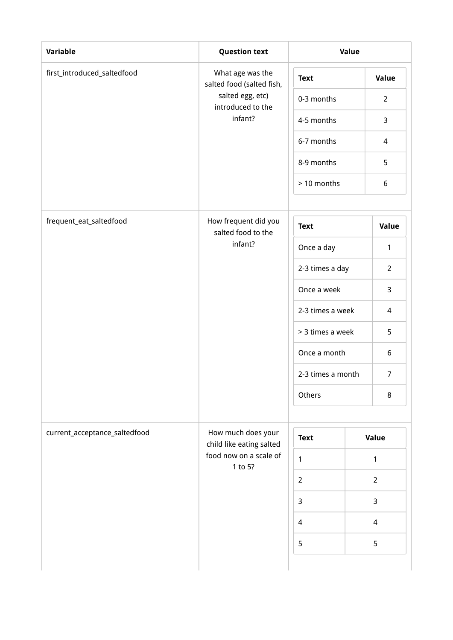| <b>Variable</b>               | <b>Question text</b>                                                                   | Value             |                          |
|-------------------------------|----------------------------------------------------------------------------------------|-------------------|--------------------------|
| first_introduced_saltedfood   | What age was the<br>salted food (salted fish,<br>salted egg, etc)<br>introduced to the | <b>Text</b>       | Value                    |
|                               |                                                                                        | 0-3 months        | $\overline{2}$           |
|                               | infant?                                                                                | 4-5 months        | 3                        |
|                               |                                                                                        | 6-7 months        | $\overline{4}$           |
|                               |                                                                                        | 8-9 months        | 5                        |
|                               |                                                                                        | > 10 months       | $\boldsymbol{6}$         |
| frequent_eat_saltedfood       | How frequent did you<br>salted food to the                                             |                   | Value                    |
|                               | infant?                                                                                | Once a day        | 1                        |
|                               |                                                                                        | 2-3 times a day   | $\overline{2}$           |
|                               |                                                                                        | Once a week       | 3                        |
|                               |                                                                                        | 2-3 times a week  | 4                        |
|                               |                                                                                        | > 3 times a week  | 5                        |
|                               |                                                                                        | Once a month      | 6                        |
|                               |                                                                                        | 2-3 times a month | $\overline{7}$           |
|                               |                                                                                        | Others            | $\,8\,$                  |
| current_acceptance_saltedfood | How much does your<br>child like eating salted<br>food now on a scale of<br>1 to 5?    | <b>Text</b>       | Value                    |
|                               |                                                                                        | $\mathbf{1}$      | 1                        |
|                               |                                                                                        | $\overline{2}$    | $\overline{2}$           |
|                               |                                                                                        | $\mathbf{3}$      | 3                        |
|                               |                                                                                        | $\overline{4}$    | $\overline{\mathcal{A}}$ |
|                               |                                                                                        | 5                 | 5                        |
|                               |                                                                                        |                   |                          |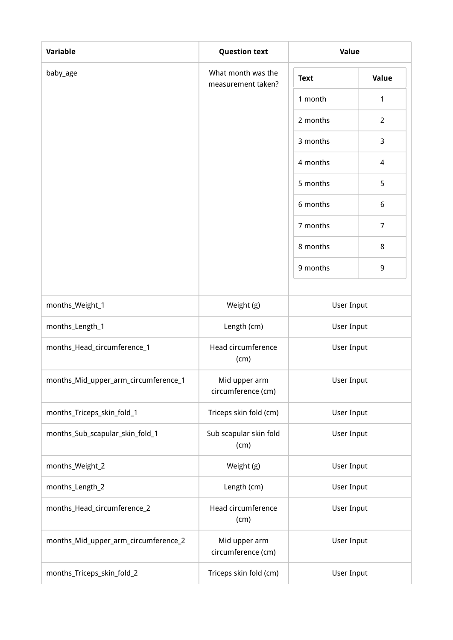| Variable                             | <b>Question text</b>                     | Value             |                |
|--------------------------------------|------------------------------------------|-------------------|----------------|
| baby_age                             | What month was the<br>measurement taken? | <b>Text</b>       | Value          |
|                                      |                                          | 1 month           | 1              |
|                                      |                                          | 2 months          | $\overline{2}$ |
|                                      |                                          | 3 months          | 3              |
|                                      |                                          | 4 months          | $\overline{4}$ |
|                                      |                                          | 5 months          | 5              |
|                                      |                                          | 6 months          | 6              |
|                                      |                                          | 7 months          | $\overline{7}$ |
|                                      |                                          | 8 months          | $\,8\,$        |
|                                      |                                          | 9 months          | 9              |
|                                      |                                          |                   |                |
| months_Weight_1                      | Weight (g)                               | User Input        |                |
| months_Length_1                      | Length (cm)                              | User Input        |                |
| months_Head_circumference_1          | Head circumference<br>(cm)               | <b>User Input</b> |                |
| months_Mid_upper_arm_circumference_1 | Mid upper arm<br>circumference (cm)      | User Input        |                |
| months_Triceps_skin_fold_1           | Triceps skin fold (cm)                   | User Input        |                |
| months_Sub_scapular_skin_fold_1      | Sub scapular skin fold<br>(cm)           | User Input        |                |
| months_Weight_2                      | Weight (g)                               | User Input        |                |
| months_Length_2                      | Length (cm)                              | User Input        |                |
| months_Head_circumference_2          | Head circumference<br>(cm)               | User Input        |                |
| months_Mid_upper_arm_circumference_2 | Mid upper arm<br>circumference (cm)      | User Input        |                |
| months_Triceps_skin_fold_2           | Triceps skin fold (cm)                   | User Input        |                |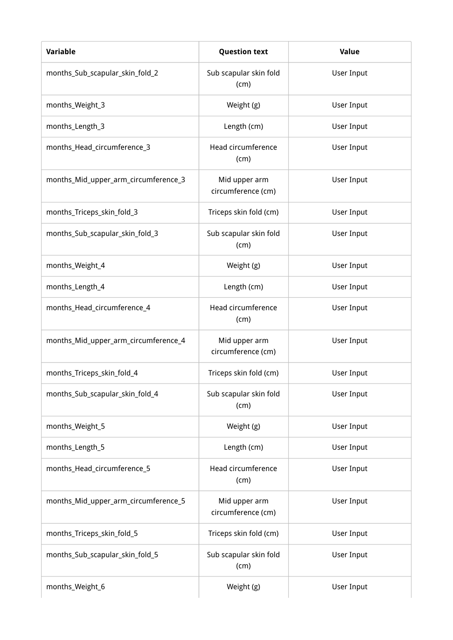| <b>Variable</b>                      | <b>Question text</b>                | Value             |
|--------------------------------------|-------------------------------------|-------------------|
| months_Sub_scapular_skin_fold_2      | Sub scapular skin fold<br>(cm)      | User Input        |
| months_Weight_3                      | Weight (g)                          | User Input        |
| months_Length_3                      | Length (cm)                         | User Input        |
| months_Head_circumference_3          | Head circumference<br>(cm)          | User Input        |
| months_Mid_upper_arm_circumference_3 | Mid upper arm<br>circumference (cm) | User Input        |
| months_Triceps_skin_fold_3           | Triceps skin fold (cm)              | User Input        |
| months_Sub_scapular_skin_fold_3      | Sub scapular skin fold<br>(cm)      | User Input        |
| months_Weight_4                      | Weight (g)                          | User Input        |
| months_Length_4                      | Length (cm)                         | <b>User Input</b> |
| months_Head_circumference_4          | Head circumference<br>(cm)          | User Input        |
| months_Mid_upper_arm_circumference_4 | Mid upper arm<br>circumference (cm) | User Input        |
| months_Triceps_skin_fold_4           | Triceps skin fold (cm)              | <b>User Input</b> |
| months_Sub_scapular_skin_fold_4      | Sub scapular skin fold<br>(cm)      | User Input        |
| months_Weight_5                      | Weight (g)                          | User Input        |
| months_Length_5                      | Length (cm)                         | User Input        |
| months_Head_circumference_5          | Head circumference<br>(cm)          | User Input        |
| months_Mid_upper_arm_circumference_5 | Mid upper arm<br>circumference (cm) | User Input        |
| months_Triceps_skin_fold_5           | Triceps skin fold (cm)              | User Input        |
| months_Sub_scapular_skin_fold_5      | Sub scapular skin fold<br>(cm)      | User Input        |
| months_Weight_6                      | Weight (g)                          | User Input        |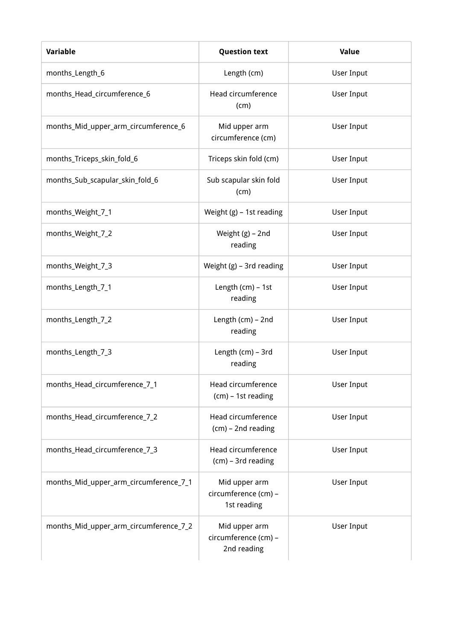| Variable                               | <b>Question text</b>                                 | Value      |
|----------------------------------------|------------------------------------------------------|------------|
| months_Length_6                        | Length (cm)                                          | User Input |
| months_Head_circumference_6            | Head circumference<br>(cm)                           | User Input |
| months_Mid_upper_arm_circumference_6   | Mid upper arm<br>circumference (cm)                  | User Input |
| months_Triceps_skin_fold_6             | Triceps skin fold (cm)                               | User Input |
| months_Sub_scapular_skin_fold_6        | Sub scapular skin fold<br>(cm)                       | User Input |
| months_Weight_7_1                      | Weight $(g)$ – 1st reading                           | User Input |
| months_Weight_7_2                      | Weight (g) - 2nd<br>reading                          | User Input |
| months_Weight_7_3                      | Weight (g) - 3rd reading                             | User Input |
| months_Length_7_1                      | Length (cm) - 1st<br>reading                         | User Input |
| months_Length_7_2                      | Length (cm) - 2nd<br>reading                         | User Input |
| months_Length_7_3                      | Length (cm) - 3rd<br>reading                         | User Input |
| months_Head_circumference_7_1          | Head circumference<br>(cm) - 1st reading             | User Input |
| months_Head_circumference_7_2          | Head circumference<br>(cm) - 2nd reading             | User Input |
| months_Head_circumference_7_3          | Head circumference<br>(cm) - 3rd reading             | User Input |
| months_Mid_upper_arm_circumference_7_1 | Mid upper arm<br>circumference (cm) -<br>1st reading | User Input |
| months_Mid_upper_arm_circumference_7_2 | Mid upper arm<br>circumference (cm) -<br>2nd reading | User Input |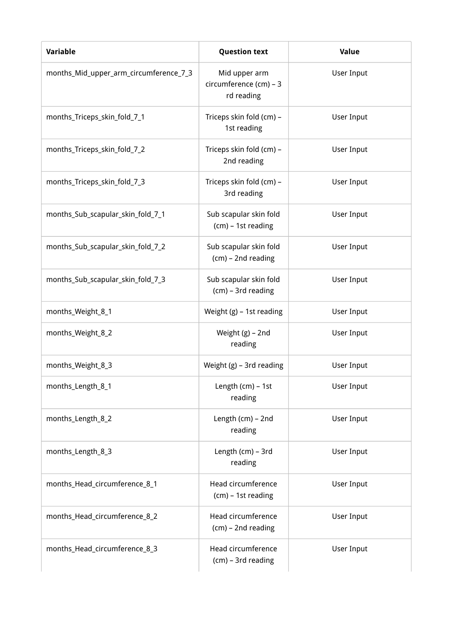| Variable                               | <b>Question text</b>                                  | Value      |
|----------------------------------------|-------------------------------------------------------|------------|
| months_Mid_upper_arm_circumference_7_3 | Mid upper arm<br>circumference (cm) - 3<br>rd reading | User Input |
| months_Triceps_skin_fold_7_1           | Triceps skin fold (cm) -<br>1st reading               | User Input |
| months_Triceps_skin_fold_7_2           | Triceps skin fold (cm) -<br>2nd reading               | User Input |
| months_Triceps_skin_fold_7_3           | Triceps skin fold (cm) -<br>3rd reading               | User Input |
| months_Sub_scapular_skin_fold_7_1      | Sub scapular skin fold<br>(cm) - 1st reading          | User Input |
| months_Sub_scapular_skin_fold_7_2      | Sub scapular skin fold<br>(cm) - 2nd reading          | User Input |
| months_Sub_scapular_skin_fold_7_3      | Sub scapular skin fold<br>(cm) - 3rd reading          | User Input |
| months_Weight_8_1                      | Weight (g) - 1st reading                              | User Input |
| months_Weight_8_2                      | Weight (g) - 2nd<br>reading                           | User Input |
| months_Weight_8_3                      | Weight (g) - 3rd reading                              | User Input |
| months_Length_8_1                      | Length (cm) - 1st<br>reading                          | User Input |
| months_Length_8_2                      | Length (cm) - 2nd<br>reading                          | User Input |
| months_Length_8_3                      | Length (cm) - 3rd<br>reading                          | User Input |
| months_Head_circumference_8_1          | Head circumference<br>(cm) - 1st reading              | User Input |
| months_Head_circumference_8_2          | Head circumference<br>(cm) - 2nd reading              | User Input |
| months_Head_circumference_8_3          | Head circumference<br>(cm) - 3rd reading              | User Input |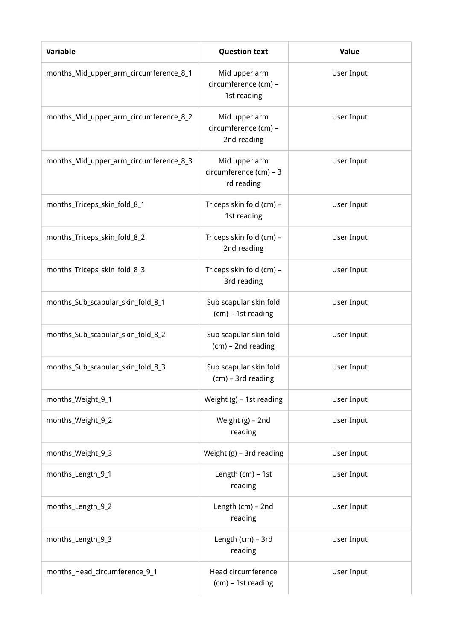| <b>Variable</b>                        | <b>Question text</b>                                  | Value             |
|----------------------------------------|-------------------------------------------------------|-------------------|
| months_Mid_upper_arm_circumference_8_1 | Mid upper arm<br>circumference (cm) -<br>1st reading  | User Input        |
| months_Mid_upper_arm_circumference_8_2 | Mid upper arm<br>circumference (cm) -<br>2nd reading  | User Input        |
| months_Mid_upper_arm_circumference_8_3 | Mid upper arm<br>circumference (cm) - 3<br>rd reading | User Input        |
| months_Triceps_skin_fold_8_1           | Triceps skin fold (cm) -<br>1st reading               | User Input        |
| months_Triceps_skin_fold_8_2           | Triceps skin fold (cm) -<br>2nd reading               | User Input        |
| months_Triceps_skin_fold_8_3           | Triceps skin fold (cm) -<br>3rd reading               | User Input        |
| months_Sub_scapular_skin_fold_8_1      | Sub scapular skin fold<br>(cm) - 1st reading          | User Input        |
| months_Sub_scapular_skin_fold_8_2      | Sub scapular skin fold<br>$(cm)$ - 2nd reading        | User Input        |
| months_Sub_scapular_skin_fold_8_3      | Sub scapular skin fold<br>(cm) - 3rd reading          | User Input        |
| months_Weight_9_1                      | Weight $(g)$ – 1st reading                            | <b>User Input</b> |
| months_Weight_9_2                      | Weight (g) - 2nd<br>reading                           | User Input        |
| months_Weight_9_3                      | Weight (g) - 3rd reading                              | User Input        |
| months_Length_9_1                      | Length (cm) - 1st<br>reading                          | User Input        |
| months_Length_9_2                      | Length (cm) - 2nd<br>reading                          | User Input        |
| months_Length_9_3                      | Length (cm) - 3rd<br>reading                          | User Input        |
| months_Head_circumference_9_1          | Head circumference<br>(cm) - 1st reading              | User Input        |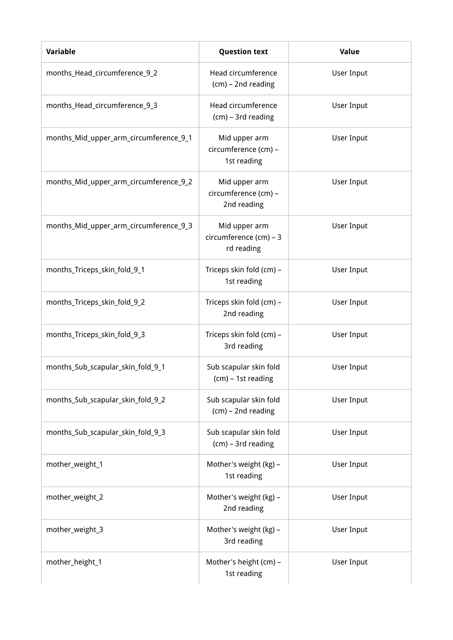| Variable                               | <b>Question text</b>                                  | Value      |
|----------------------------------------|-------------------------------------------------------|------------|
| months_Head_circumference_9_2          | Head circumference<br>(cm) - 2nd reading              | User Input |
| months_Head_circumference_9_3          | Head circumference<br>(cm) - 3rd reading              | User Input |
| months_Mid_upper_arm_circumference_9_1 | Mid upper arm<br>circumference (cm) -<br>1st reading  | User Input |
| months_Mid_upper_arm_circumference_9_2 | Mid upper arm<br>circumference (cm) -<br>2nd reading  | User Input |
| months_Mid_upper_arm_circumference_9_3 | Mid upper arm<br>circumference (cm) - 3<br>rd reading | User Input |
| months_Triceps_skin_fold_9_1           | Triceps skin fold (cm) -<br>1st reading               | User Input |
| months_Triceps_skin_fold_9_2           | Triceps skin fold (cm) -<br>2nd reading               | User Input |
| months_Triceps_skin_fold_9_3           | Triceps skin fold (cm) -<br>3rd reading               | User Input |
| months_Sub_scapular_skin_fold_9_1      | Sub scapular skin fold<br>(cm) - 1st reading          | User Input |
| months_Sub_scapular_skin_fold_9_2      | Sub scapular skin fold<br>(cm) - 2nd reading          | User Input |
| months_Sub_scapular_skin_fold_9_3      | Sub scapular skin fold<br>(cm) - 3rd reading          | User Input |
| mother_weight_1                        | Mother's weight (kg) -<br>1st reading                 | User Input |
| mother_weight_2                        | Mother's weight (kg) -<br>2nd reading                 | User Input |
| mother_weight_3                        | Mother's weight (kg) -<br>3rd reading                 | User Input |
| mother_height_1                        | Mother's height (cm) -<br>1st reading                 | User Input |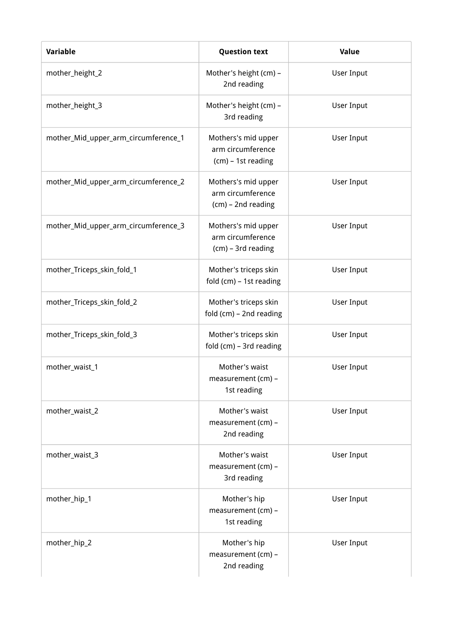| <b>Variable</b>                      | <b>Question text</b>                                           | Value             |
|--------------------------------------|----------------------------------------------------------------|-------------------|
| mother_height_2                      | Mother's height (cm) -<br>2nd reading                          | User Input        |
| mother_height_3                      | Mother's height (cm) -<br>3rd reading                          | User Input        |
| mother_Mid_upper_arm_circumference_1 | Mothers's mid upper<br>arm circumference<br>(cm) - 1st reading | User Input        |
| mother_Mid_upper_arm_circumference_2 | Mothers's mid upper<br>arm circumference<br>(cm) - 2nd reading | User Input        |
| mother_Mid_upper_arm_circumference_3 | Mothers's mid upper<br>arm circumference<br>(cm) - 3rd reading | User Input        |
| mother_Triceps_skin_fold_1           | Mother's triceps skin<br>fold (cm) - 1st reading               | User Input        |
| mother_Triceps_skin_fold_2           | Mother's triceps skin<br>fold (cm) - 2nd reading               | <b>User Input</b> |
| mother_Triceps_skin_fold_3           | Mother's triceps skin<br>fold (cm) - 3rd reading               | User Input        |
| mother_waist_1                       | Mother's waist<br>measurement (cm) -<br>1st reading            | <b>User Input</b> |
| mother_waist_2                       | Mother's waist<br>measurement (cm) -<br>2nd reading            | User Input        |
| mother_waist_3                       | Mother's waist<br>measurement (cm) -<br>3rd reading            | User Input        |
| mother_hip_1                         | Mother's hip<br>measurement (cm) -<br>1st reading              | User Input        |
| mother_hip_2                         | Mother's hip<br>measurement (cm) -<br>2nd reading              | User Input        |